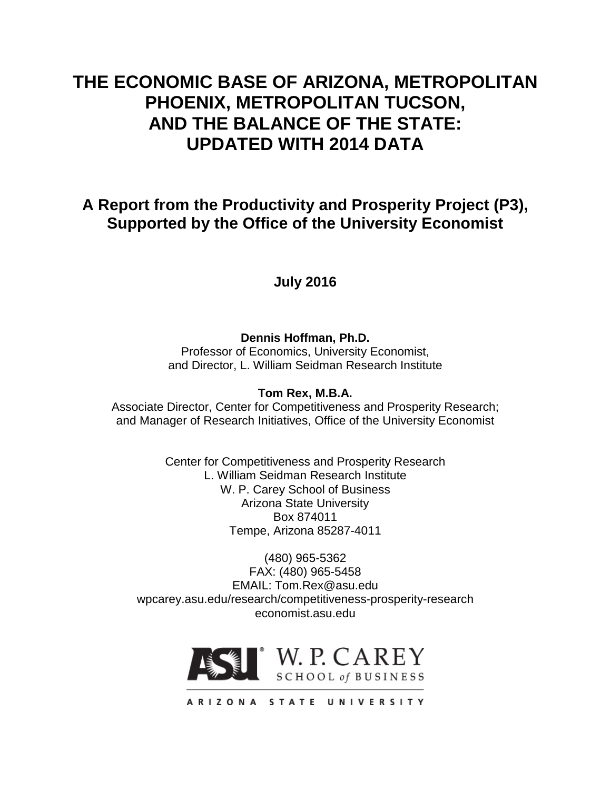# **THE ECONOMIC BASE OF ARIZONA, METROPOLITAN PHOENIX, METROPOLITAN TUCSON, AND THE BALANCE OF THE STATE: UPDATED WITH 2014 DATA**

# **A Report from the Productivity and Prosperity Project (P3), Supported by the Office of the University Economist**

# **July 2016**

# **Dennis Hoffman, Ph.D.**

Professor of Economics, University Economist, and Director, L. William Seidman Research Institute

# **Tom Rex, M.B.A.**

Associate Director, Center for Competitiveness and Prosperity Research; and Manager of Research Initiatives, Office of the University Economist

> Center for Competitiveness and Prosperity Research L. William Seidman Research Institute W. P. Carey School of Business Arizona State University Box 874011 Tempe, Arizona 85287-4011

(480) 965-5362 FAX: (480) 965-5458 EMAIL: Tom.Rex@asu.edu wpcarey.asu.edu/research/competitiveness-prosperity-research economist.asu.edu



ARIZONA STATE UNIVERSITY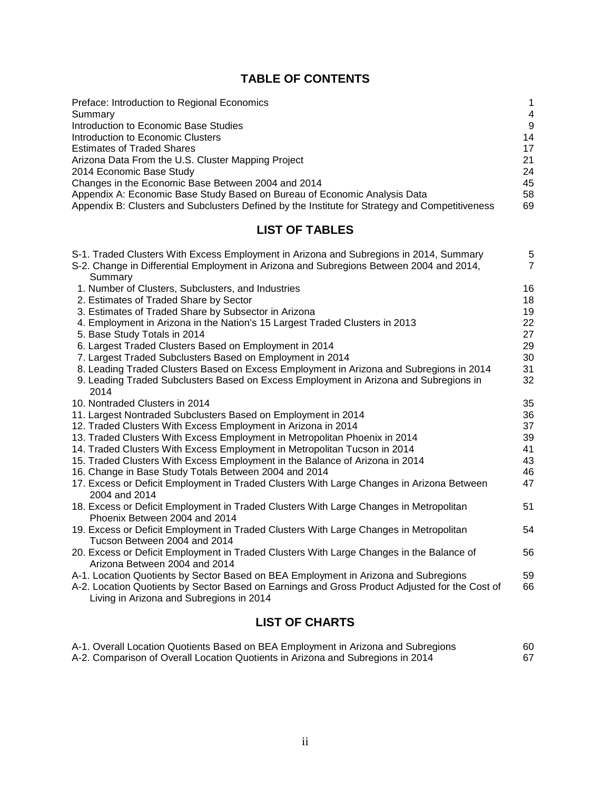# **TABLE OF CONTENTS**

| Preface: Introduction to Regional Economics                                                    | 1  |
|------------------------------------------------------------------------------------------------|----|
| Summary                                                                                        | 4  |
| Introduction to Economic Base Studies                                                          | 9  |
| Introduction to Economic Clusters                                                              | 14 |
| <b>Estimates of Traded Shares</b>                                                              | 17 |
| Arizona Data From the U.S. Cluster Mapping Project                                             | 21 |
| 2014 Economic Base Study                                                                       | 24 |
| Changes in the Economic Base Between 2004 and 2014                                             | 45 |
| Appendix A: Economic Base Study Based on Bureau of Economic Analysis Data                      | 58 |
| Appendix B: Clusters and Subclusters Defined by the Institute for Strategy and Competitiveness | 69 |

# **LIST OF TABLES**

| S-1. Traded Clusters With Excess Employment in Arizona and Subregions in 2014, Summary         | 5              |
|------------------------------------------------------------------------------------------------|----------------|
| S-2. Change in Differential Employment in Arizona and Subregions Between 2004 and 2014,        | $\overline{7}$ |
| Summary                                                                                        |                |
| 1. Number of Clusters, Subclusters, and Industries                                             | 16             |
| 2. Estimates of Traded Share by Sector                                                         | 18             |
| 3. Estimates of Traded Share by Subsector in Arizona                                           | 19             |
| 4. Employment in Arizona in the Nation's 15 Largest Traded Clusters in 2013                    | 22             |
| 5. Base Study Totals in 2014                                                                   | 27             |
| 6. Largest Traded Clusters Based on Employment in 2014                                         | 29             |
| 7. Largest Traded Subclusters Based on Employment in 2014                                      | 30             |
| 8. Leading Traded Clusters Based on Excess Employment in Arizona and Subregions in 2014        | 31             |
| 9. Leading Traded Subclusters Based on Excess Employment in Arizona and Subregions in          | 32             |
| 2014                                                                                           |                |
| 10. Nontraded Clusters in 2014                                                                 | 35             |
| 11. Largest Nontraded Subclusters Based on Employment in 2014                                  | 36             |
| 12. Traded Clusters With Excess Employment in Arizona in 2014                                  | 37             |
| 13. Traded Clusters With Excess Employment in Metropolitan Phoenix in 2014                     | 39             |
| 14. Traded Clusters With Excess Employment in Metropolitan Tucson in 2014                      | 41             |
| 15. Traded Clusters With Excess Employment in the Balance of Arizona in 2014                   | 43             |
| 16. Change in Base Study Totals Between 2004 and 2014                                          | 46             |
| 17. Excess or Deficit Employment in Traded Clusters With Large Changes in Arizona Between      | 47             |
| 2004 and 2014                                                                                  |                |
| 18. Excess or Deficit Employment in Traded Clusters With Large Changes in Metropolitan         | 51             |
| Phoenix Between 2004 and 2014                                                                  |                |
| 19. Excess or Deficit Employment in Traded Clusters With Large Changes in Metropolitan         | 54             |
| Tucson Between 2004 and 2014                                                                   |                |
| 20. Excess or Deficit Employment in Traded Clusters With Large Changes in the Balance of       | 56             |
| Arizona Between 2004 and 2014                                                                  |                |
| A-1. Location Quotients by Sector Based on BEA Employment in Arizona and Subregions            | 59             |
| A-2. Location Quotients by Sector Based on Earnings and Gross Product Adjusted for the Cost of | 66             |
| Living in Arizona and Subregions in 2014                                                       |                |
|                                                                                                |                |

# **LIST OF CHARTS**

| A-1. Overall Location Quotients Based on BEA Employment in Arizona and Subregions | 60 |
|-----------------------------------------------------------------------------------|----|
| A-2. Comparison of Overall Location Quotients in Arizona and Subregions in 2014   | 67 |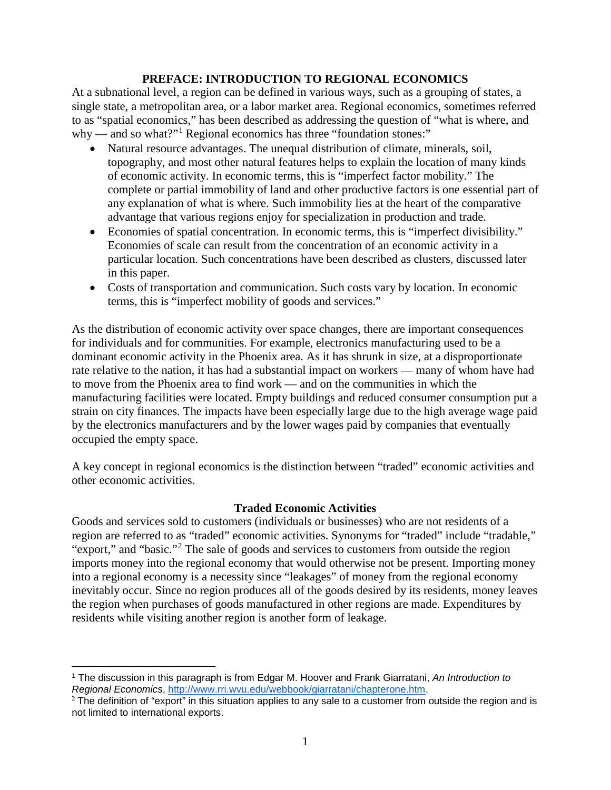### **PREFACE: INTRODUCTION TO REGIONAL ECONOMICS**

At a subnational level, a region can be defined in various ways, such as a grouping of states, a single state, a metropolitan area, or a labor market area. Regional economics, sometimes referred to as "spatial economics," has been described as addressing the question of "what is where, and why — and so what?"<sup>[1](#page-2-0)</sup> Regional economics has three "foundation stones:"

- Natural resource advantages. The unequal distribution of climate, minerals, soil, topography, and most other natural features helps to explain the location of many kinds of economic activity. In economic terms, this is "imperfect factor mobility." The complete or partial immobility of land and other productive factors is one essential part of any explanation of what is where. Such immobility lies at the heart of the comparative advantage that various regions enjoy for specialization in production and trade.
- Economies of spatial concentration. In economic terms, this is "imperfect divisibility." Economies of scale can result from the concentration of an economic activity in a particular location. Such concentrations have been described as clusters, discussed later in this paper.
- Costs of transportation and communication. Such costs vary by location. In economic terms, this is "imperfect mobility of goods and services."

As the distribution of economic activity over space changes, there are important consequences for individuals and for communities. For example, electronics manufacturing used to be a dominant economic activity in the Phoenix area. As it has shrunk in size, at a disproportionate rate relative to the nation, it has had a substantial impact on workers — many of whom have had to move from the Phoenix area to find work — and on the communities in which the manufacturing facilities were located. Empty buildings and reduced consumer consumption put a strain on city finances. The impacts have been especially large due to the high average wage paid by the electronics manufacturers and by the lower wages paid by companies that eventually occupied the empty space.

A key concept in regional economics is the distinction between "traded" economic activities and other economic activities.

# **Traded Economic Activities**

Goods and services sold to customers (individuals or businesses) who are not residents of a region are referred to as "traded" economic activities. Synonyms for "traded" include "tradable," "export," and "basic."<sup>[2](#page-2-1)</sup> The sale of goods and services to customers from outside the region imports money into the regional economy that would otherwise not be present. Importing money into a regional economy is a necessity since "leakages" of money from the regional economy inevitably occur. Since no region produces all of the goods desired by its residents, money leaves the region when purchases of goods manufactured in other regions are made. Expenditures by residents while visiting another region is another form of leakage.

<span id="page-2-0"></span> $\overline{a}$ <sup>1</sup> The discussion in this paragraph is from Edgar M. Hoover and Frank Giarratani, *An Introduction to Regional Economics*, [http://www.rri.wvu.edu/webbook/giarratani/chapterone.htm.](http://www.rri.wvu.edu/webbook/giarratani/chapterone.htm)

<span id="page-2-1"></span> $2$  The definition of "export" in this situation applies to any sale to a customer from outside the region and is not limited to international exports.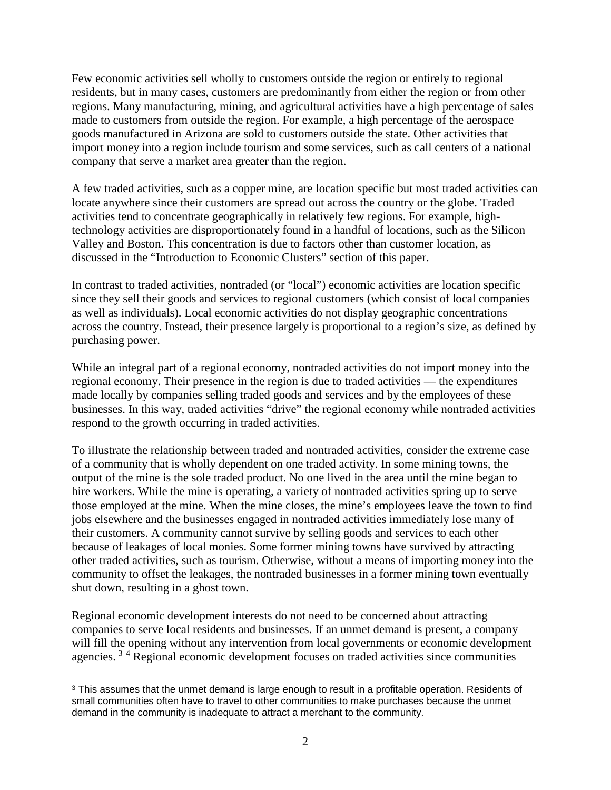Few economic activities sell wholly to customers outside the region or entirely to regional residents, but in many cases, customers are predominantly from either the region or from other regions. Many manufacturing, mining, and agricultural activities have a high percentage of sales made to customers from outside the region. For example, a high percentage of the aerospace goods manufactured in Arizona are sold to customers outside the state. Other activities that import money into a region include tourism and some services, such as call centers of a national company that serve a market area greater than the region.

A few traded activities, such as a copper mine, are location specific but most traded activities can locate anywhere since their customers are spread out across the country or the globe. Traded activities tend to concentrate geographically in relatively few regions. For example, hightechnology activities are disproportionately found in a handful of locations, such as the Silicon Valley and Boston. This concentration is due to factors other than customer location, as discussed in the "Introduction to Economic Clusters" section of this paper.

In contrast to traded activities, nontraded (or "local") economic activities are location specific since they sell their goods and services to regional customers (which consist of local companies as well as individuals). Local economic activities do not display geographic concentrations across the country. Instead, their presence largely is proportional to a region's size, as defined by purchasing power.

While an integral part of a regional economy, nontraded activities do not import money into the regional economy. Their presence in the region is due to traded activities — the expenditures made locally by companies selling traded goods and services and by the employees of these businesses. In this way, traded activities "drive" the regional economy while nontraded activities respond to the growth occurring in traded activities.

To illustrate the relationship between traded and nontraded activities, consider the extreme case of a community that is wholly dependent on one traded activity. In some mining towns, the output of the mine is the sole traded product. No one lived in the area until the mine began to hire workers. While the mine is operating, a variety of nontraded activities spring up to serve those employed at the mine. When the mine closes, the mine's employees leave the town to find jobs elsewhere and the businesses engaged in nontraded activities immediately lose many of their customers. A community cannot survive by selling goods and services to each other because of leakages of local monies. Some former mining towns have survived by attracting other traded activities, such as tourism. Otherwise, without a means of importing money into the community to offset the leakages, the nontraded businesses in a former mining town eventually shut down, resulting in a ghost town.

<span id="page-3-1"></span>Regional economic development interests do not need to be concerned about attracting companies to serve local residents and businesses. If an unmet demand is present, a company will fill the opening without any intervention from local governments or economic development agencies. [3](#page-3-0) [4](#page-3-1) Regional economic development focuses on traded activities since communities

<span id="page-3-0"></span> $\overline{a}$ <sup>3</sup> This assumes that the unmet demand is large enough to result in a profitable operation. Residents of small communities often have to travel to other communities to make purchases because the unmet demand in the community is inadequate to attract a merchant to the community.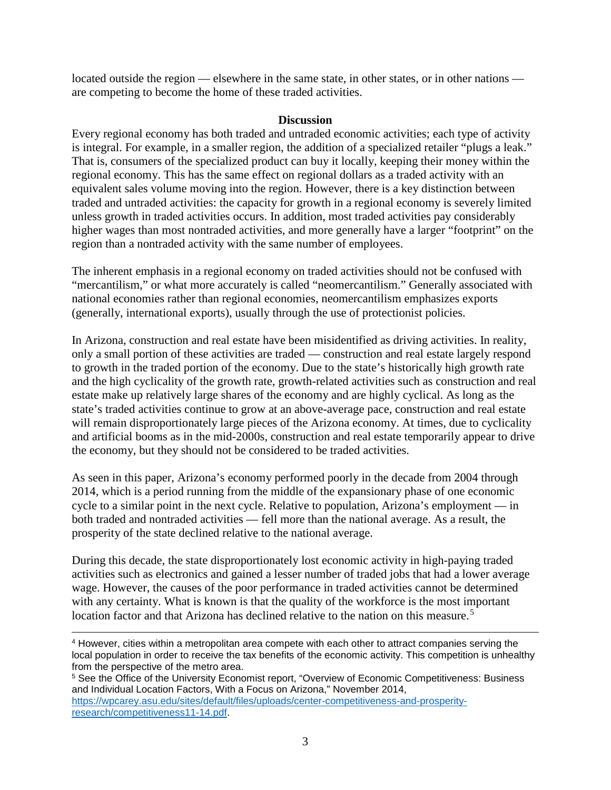located outside the region — elsewhere in the same state, in other states, or in other nations are competing to become the home of these traded activities.

#### **Discussion**

Every regional economy has both traded and untraded economic activities; each type of activity is integral. For example, in a smaller region, the addition of a specialized retailer "plugs a leak." That is, consumers of the specialized product can buy it locally, keeping their money within the regional economy. This has the same effect on regional dollars as a traded activity with an equivalent sales volume moving into the region. However, there is a key distinction between traded and untraded activities: the capacity for growth in a regional economy is severely limited unless growth in traded activities occurs. In addition, most traded activities pay considerably higher wages than most nontraded activities, and more generally have a larger "footprint" on the region than a nontraded activity with the same number of employees.

The inherent emphasis in a regional economy on traded activities should not be confused with "mercantilism," or what more accurately is called "neomercantilism." Generally associated with national economies rather than regional economies, neomercantilism emphasizes exports (generally, international exports), usually through the use of protectionist policies.

In Arizona, construction and real estate have been misidentified as driving activities. In reality, only a small portion of these activities are traded — construction and real estate largely respond to growth in the traded portion of the economy. Due to the state's historically high growth rate and the high cyclicality of the growth rate, growth-related activities such as construction and real estate make up relatively large shares of the economy and are highly cyclical. As long as the state's traded activities continue to grow at an above-average pace, construction and real estate will remain disproportionately large pieces of the Arizona economy. At times, due to cyclicality and artificial booms as in the mid-2000s, construction and real estate temporarily appear to drive the economy, but they should not be considered to be traded activities.

As seen in this paper, Arizona's economy performed poorly in the decade from 2004 through 2014, which is a period running from the middle of the expansionary phase of one economic cycle to a similar point in the next cycle. Relative to population, Arizona's employment — in both traded and nontraded activities — fell more than the national average. As a result, the prosperity of the state declined relative to the national average.

During this decade, the state disproportionately lost economic activity in high-paying traded activities such as electronics and gained a lesser number of traded jobs that had a lower average wage. However, the causes of the poor performance in traded activities cannot be determined with any certainty. What is known is that the quality of the workforce is the most important location factor and that Arizona has declined relative to the nation on this measure.<sup>[5](#page-4-0)</sup>

 $\overline{a}$ <sup>4</sup> However, cities within a metropolitan area compete with each other to attract companies serving the local population in order to receive the tax benefits of the economic activity. This competition is unhealthy from the perspective of the metro area.

<span id="page-4-0"></span><sup>5</sup> See the Office of the University Economist report, "Overview of Economic Competitiveness: Business and Individual Location Factors, With a Focus on Arizona," November 2014, [https://wpcarey.asu.edu/sites/default/files/uploads/center-competitiveness-and-prosperity](https://wpcarey.asu.edu/sites/default/files/uploads/center-competitiveness-and-prosperity-research/competitiveness11-14.pdf)[research/competitiveness11-14.pdf.](https://wpcarey.asu.edu/sites/default/files/uploads/center-competitiveness-and-prosperity-research/competitiveness11-14.pdf)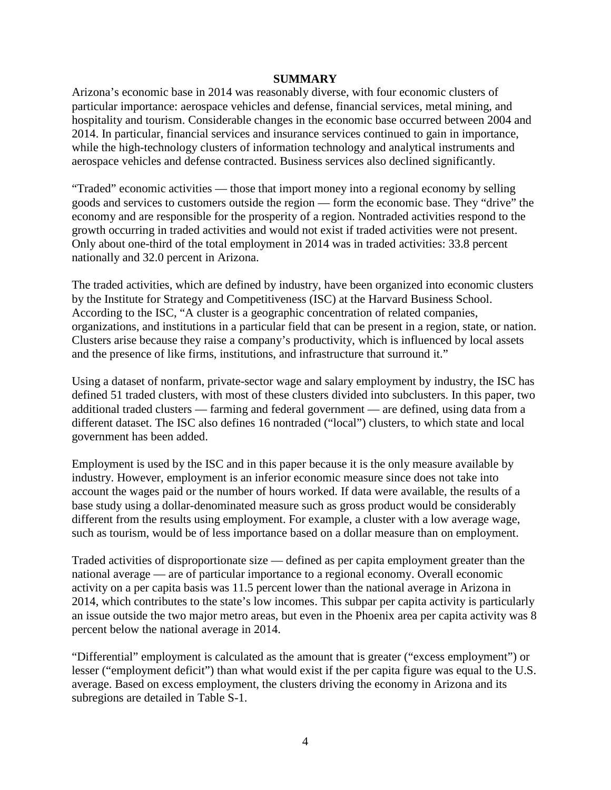#### **SUMMARY**

Arizona's economic base in 2014 was reasonably diverse, with four economic clusters of particular importance: aerospace vehicles and defense, financial services, metal mining, and hospitality and tourism. Considerable changes in the economic base occurred between 2004 and 2014. In particular, financial services and insurance services continued to gain in importance, while the high-technology clusters of information technology and analytical instruments and aerospace vehicles and defense contracted. Business services also declined significantly.

"Traded" economic activities — those that import money into a regional economy by selling goods and services to customers outside the region — form the economic base. They "drive" the economy and are responsible for the prosperity of a region. Nontraded activities respond to the growth occurring in traded activities and would not exist if traded activities were not present. Only about one-third of the total employment in 2014 was in traded activities: 33.8 percent nationally and 32.0 percent in Arizona.

The traded activities, which are defined by industry, have been organized into economic clusters by the Institute for Strategy and Competitiveness (ISC) at the Harvard Business School. According to the ISC, "A cluster is a geographic concentration of related companies, organizations, and institutions in a particular field that can be present in a region, state, or nation. Clusters arise because they raise a company's productivity, which is influenced by local assets and the presence of like firms, institutions, and infrastructure that surround it."

Using a dataset of nonfarm, private-sector wage and salary employment by industry, the ISC has defined 51 traded clusters, with most of these clusters divided into subclusters. In this paper, two additional traded clusters — farming and federal government — are defined, using data from a different dataset. The ISC also defines 16 nontraded ("local") clusters, to which state and local government has been added.

Employment is used by the ISC and in this paper because it is the only measure available by industry. However, employment is an inferior economic measure since does not take into account the wages paid or the number of hours worked. If data were available, the results of a base study using a dollar-denominated measure such as gross product would be considerably different from the results using employment. For example, a cluster with a low average wage, such as tourism, would be of less importance based on a dollar measure than on employment.

Traded activities of disproportionate size — defined as per capita employment greater than the national average — are of particular importance to a regional economy. Overall economic activity on a per capita basis was 11.5 percent lower than the national average in Arizona in 2014, which contributes to the state's low incomes. This subpar per capita activity is particularly an issue outside the two major metro areas, but even in the Phoenix area per capita activity was 8 percent below the national average in 2014.

"Differential" employment is calculated as the amount that is greater ("excess employment") or lesser ("employment deficit") than what would exist if the per capita figure was equal to the U.S. average. Based on excess employment, the clusters driving the economy in Arizona and its subregions are detailed in Table S-1.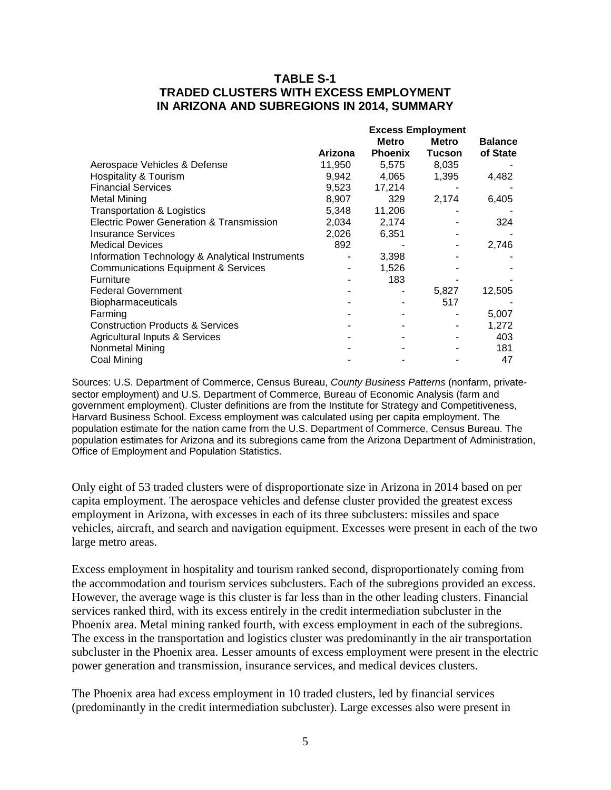## **TABLE S-1 TRADED CLUSTERS WITH EXCESS EMPLOYMENT IN ARIZONA AND SUBREGIONS IN 2014, SUMMARY**

|                                                     |                | <b>Excess Employment</b> |               |                |
|-----------------------------------------------------|----------------|--------------------------|---------------|----------------|
|                                                     |                | <b>Metro</b>             | <b>Metro</b>  | <b>Balance</b> |
|                                                     | <b>Arizona</b> | <b>Phoenix</b>           | <b>Tucson</b> | of State       |
| Aerospace Vehicles & Defense                        | 11,950         | 5,575                    | 8,035         |                |
| <b>Hospitality &amp; Tourism</b>                    | 9,942          | 4,065                    | 1,395         | 4,482          |
| <b>Financial Services</b>                           | 9,523          | 17,214                   |               |                |
| <b>Metal Mining</b>                                 | 8,907          | 329                      | 2,174         | 6,405          |
| <b>Transportation &amp; Logistics</b>               | 5,348          | 11,206                   |               |                |
| <b>Electric Power Generation &amp; Transmission</b> | 2,034          | 2,174                    |               | 324            |
| <b>Insurance Services</b>                           | 2,026          | 6,351                    |               |                |
| <b>Medical Devices</b>                              | 892            |                          |               | 2,746          |
| Information Technology & Analytical Instruments     |                | 3,398                    |               |                |
| <b>Communications Equipment &amp; Services</b>      |                | 1,526                    |               |                |
| <b>Furniture</b>                                    |                | 183                      |               |                |
| <b>Federal Government</b>                           |                |                          | 5,827         | 12,505         |
| <b>Biopharmaceuticals</b>                           |                |                          | 517           |                |
| Farming                                             |                |                          |               | 5,007          |
| <b>Construction Products &amp; Services</b>         |                |                          |               | 1,272          |
| Agricultural Inputs & Services                      |                |                          |               | 403            |
| Nonmetal Mining                                     |                |                          |               | 181            |
| Coal Mining                                         |                |                          |               | 47             |

Sources: U.S. Department of Commerce, Census Bureau, *County Business Patterns* (nonfarm, privatesector employment) and U.S. Department of Commerce, Bureau of Economic Analysis (farm and government employment). Cluster definitions are from the Institute for Strategy and Competitiveness, Harvard Business School. Excess employment was calculated using per capita employment. The population estimate for the nation came from the U.S. Department of Commerce, Census Bureau. The population estimates for Arizona and its subregions came from the Arizona Department of Administration, Office of Employment and Population Statistics.

Only eight of 53 traded clusters were of disproportionate size in Arizona in 2014 based on per capita employment. The aerospace vehicles and defense cluster provided the greatest excess employment in Arizona, with excesses in each of its three subclusters: missiles and space vehicles, aircraft, and search and navigation equipment. Excesses were present in each of the two large metro areas.

Excess employment in hospitality and tourism ranked second, disproportionately coming from the accommodation and tourism services subclusters. Each of the subregions provided an excess. However, the average wage is this cluster is far less than in the other leading clusters. Financial services ranked third, with its excess entirely in the credit intermediation subcluster in the Phoenix area. Metal mining ranked fourth, with excess employment in each of the subregions. The excess in the transportation and logistics cluster was predominantly in the air transportation subcluster in the Phoenix area. Lesser amounts of excess employment were present in the electric power generation and transmission, insurance services, and medical devices clusters.

The Phoenix area had excess employment in 10 traded clusters, led by financial services (predominantly in the credit intermediation subcluster). Large excesses also were present in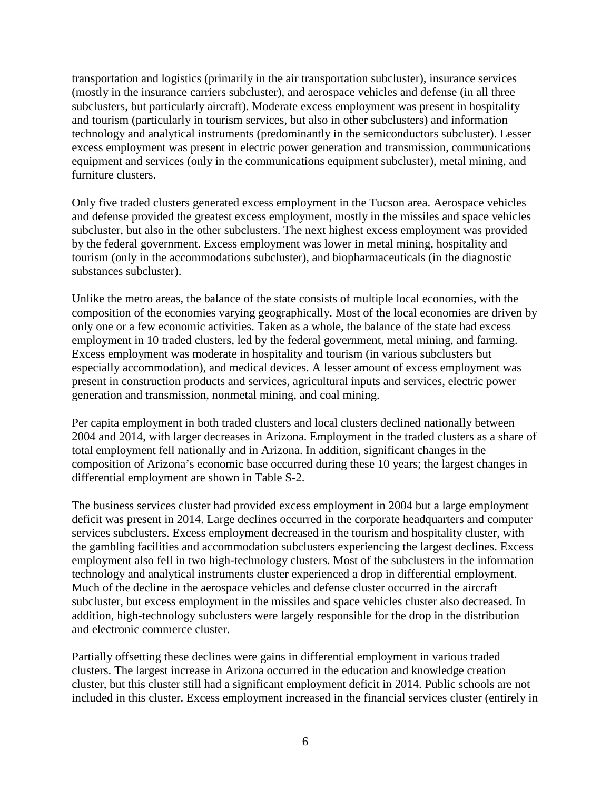transportation and logistics (primarily in the air transportation subcluster), insurance services (mostly in the insurance carriers subcluster), and aerospace vehicles and defense (in all three subclusters, but particularly aircraft). Moderate excess employment was present in hospitality and tourism (particularly in tourism services, but also in other subclusters) and information technology and analytical instruments (predominantly in the semiconductors subcluster). Lesser excess employment was present in electric power generation and transmission, communications equipment and services (only in the communications equipment subcluster), metal mining, and furniture clusters.

Only five traded clusters generated excess employment in the Tucson area. Aerospace vehicles and defense provided the greatest excess employment, mostly in the missiles and space vehicles subcluster, but also in the other subclusters. The next highest excess employment was provided by the federal government. Excess employment was lower in metal mining, hospitality and tourism (only in the accommodations subcluster), and biopharmaceuticals (in the diagnostic substances subcluster).

Unlike the metro areas, the balance of the state consists of multiple local economies, with the composition of the economies varying geographically. Most of the local economies are driven by only one or a few economic activities. Taken as a whole, the balance of the state had excess employment in 10 traded clusters, led by the federal government, metal mining, and farming. Excess employment was moderate in hospitality and tourism (in various subclusters but especially accommodation), and medical devices. A lesser amount of excess employment was present in construction products and services, agricultural inputs and services, electric power generation and transmission, nonmetal mining, and coal mining.

Per capita employment in both traded clusters and local clusters declined nationally between 2004 and 2014, with larger decreases in Arizona. Employment in the traded clusters as a share of total employment fell nationally and in Arizona. In addition, significant changes in the composition of Arizona's economic base occurred during these 10 years; the largest changes in differential employment are shown in Table S-2.

The business services cluster had provided excess employment in 2004 but a large employment deficit was present in 2014. Large declines occurred in the corporate headquarters and computer services subclusters. Excess employment decreased in the tourism and hospitality cluster, with the gambling facilities and accommodation subclusters experiencing the largest declines. Excess employment also fell in two high-technology clusters. Most of the subclusters in the information technology and analytical instruments cluster experienced a drop in differential employment. Much of the decline in the aerospace vehicles and defense cluster occurred in the aircraft subcluster, but excess employment in the missiles and space vehicles cluster also decreased. In addition, high-technology subclusters were largely responsible for the drop in the distribution and electronic commerce cluster.

Partially offsetting these declines were gains in differential employment in various traded clusters. The largest increase in Arizona occurred in the education and knowledge creation cluster, but this cluster still had a significant employment deficit in 2014. Public schools are not included in this cluster. Excess employment increased in the financial services cluster (entirely in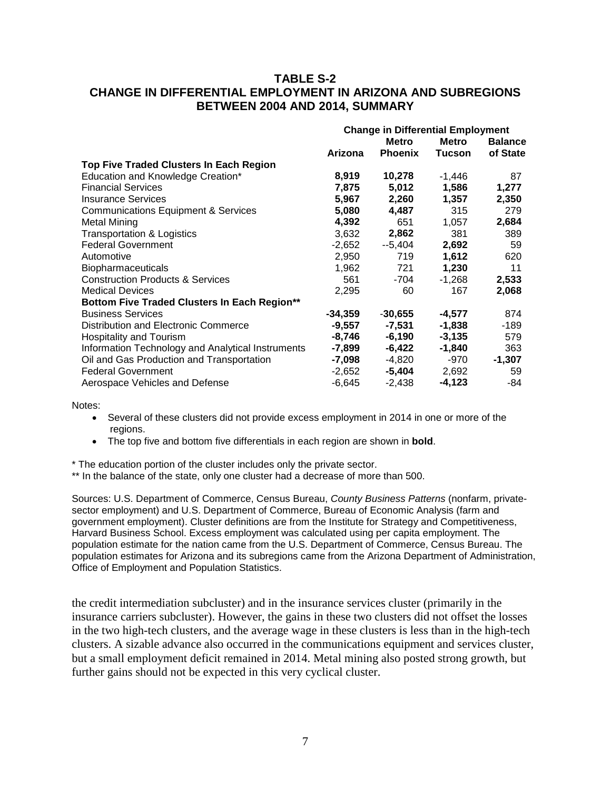### **TABLE S-2 CHANGE IN DIFFERENTIAL EMPLOYMENT IN ARIZONA AND SUBREGIONS BETWEEN 2004 AND 2014, SUMMARY**

|                                                   | <b>Change in Differential Employment</b> |                |               |                |
|---------------------------------------------------|------------------------------------------|----------------|---------------|----------------|
|                                                   | <b>Metro</b>                             |                | <b>Metro</b>  | <b>Balance</b> |
|                                                   | Arizona                                  | <b>Phoenix</b> | <b>Tucson</b> | of State       |
| Top Five Traded Clusters In Each Region           |                                          |                |               |                |
| Education and Knowledge Creation*                 | 8,919                                    | 10,278         | $-1,446$      | 87             |
| <b>Financial Services</b>                         | 7,875                                    | 5,012          | 1,586         | 1,277          |
| <b>Insurance Services</b>                         | 5,967                                    | 2,260          | 1,357         | 2,350          |
| <b>Communications Equipment &amp; Services</b>    | 5,080                                    | 4,487          | 315           | 279            |
| <b>Metal Mining</b>                               | 4,392                                    | 651            | 1,057         | 2,684          |
| <b>Transportation &amp; Logistics</b>             | 3,632                                    | 2,862          | 381           | 389            |
| <b>Federal Government</b>                         | $-2,652$                                 | --5,404        | 2,692         | 59             |
| Automotive                                        | 2,950                                    | 719            | 1,612         | 620            |
| <b>Biopharmaceuticals</b>                         | 1,962                                    | 721            | 1,230         | 11             |
| <b>Construction Products &amp; Services</b>       | 561                                      | -704           | $-1,268$      | 2,533          |
| <b>Medical Devices</b>                            | 2,295                                    | 60             | 167           | 2,068          |
| Bottom Five Traded Clusters In Each Region**      |                                          |                |               |                |
| <b>Business Services</b>                          | $-34,359$                                | $-30,655$      | $-4,577$      | 874            |
| Distribution and Electronic Commerce              | $-9,557$                                 | -7,531         | $-1,838$      | -189           |
| <b>Hospitality and Tourism</b>                    | $-8,746$                                 | $-6,190$       | $-3,135$      | 579            |
| Information Technology and Analytical Instruments | -7,899                                   | $-6,422$       | $-1,840$      | 363            |
| Oil and Gas Production and Transportation         | $-7,098$                                 | -4,820         | -970          | $-1,307$       |
| <b>Federal Government</b>                         | $-2,652$                                 | $-5,404$       | 2,692         | 59             |
| Aerospace Vehicles and Defense                    | -6,645                                   | $-2,438$       | -4,123        | -84            |

Notes:

- Several of these clusters did not provide excess employment in 2014 in one or more of the regions.
- The top five and bottom five differentials in each region are shown in **bold**.

\* The education portion of the cluster includes only the private sector.

\*\* In the balance of the state, only one cluster had a decrease of more than 500.

Sources: U.S. Department of Commerce, Census Bureau, *County Business Patterns* (nonfarm, privatesector employment) and U.S. Department of Commerce, Bureau of Economic Analysis (farm and government employment). Cluster definitions are from the Institute for Strategy and Competitiveness, Harvard Business School. Excess employment was calculated using per capita employment. The population estimate for the nation came from the U.S. Department of Commerce, Census Bureau. The population estimates for Arizona and its subregions came from the Arizona Department of Administration, Office of Employment and Population Statistics.

the credit intermediation subcluster) and in the insurance services cluster (primarily in the insurance carriers subcluster). However, the gains in these two clusters did not offset the losses in the two high-tech clusters, and the average wage in these clusters is less than in the high-tech clusters. A sizable advance also occurred in the communications equipment and services cluster, but a small employment deficit remained in 2014. Metal mining also posted strong growth, but further gains should not be expected in this very cyclical cluster.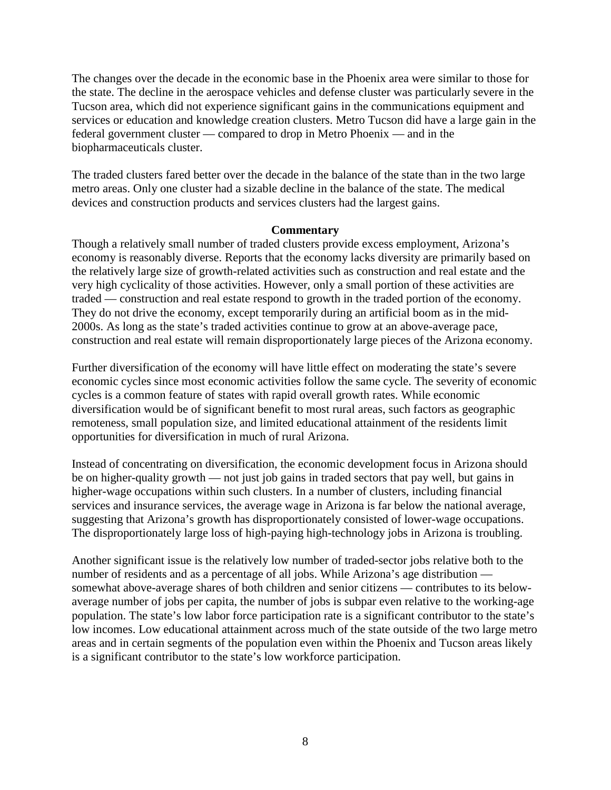The changes over the decade in the economic base in the Phoenix area were similar to those for the state. The decline in the aerospace vehicles and defense cluster was particularly severe in the Tucson area, which did not experience significant gains in the communications equipment and services or education and knowledge creation clusters. Metro Tucson did have a large gain in the federal government cluster — compared to drop in Metro Phoenix — and in the biopharmaceuticals cluster.

The traded clusters fared better over the decade in the balance of the state than in the two large metro areas. Only one cluster had a sizable decline in the balance of the state. The medical devices and construction products and services clusters had the largest gains.

#### **Commentary**

Though a relatively small number of traded clusters provide excess employment, Arizona's economy is reasonably diverse. Reports that the economy lacks diversity are primarily based on the relatively large size of growth-related activities such as construction and real estate and the very high cyclicality of those activities. However, only a small portion of these activities are traded — construction and real estate respond to growth in the traded portion of the economy. They do not drive the economy, except temporarily during an artificial boom as in the mid-2000s. As long as the state's traded activities continue to grow at an above-average pace, construction and real estate will remain disproportionately large pieces of the Arizona economy.

Further diversification of the economy will have little effect on moderating the state's severe economic cycles since most economic activities follow the same cycle. The severity of economic cycles is a common feature of states with rapid overall growth rates. While economic diversification would be of significant benefit to most rural areas, such factors as geographic remoteness, small population size, and limited educational attainment of the residents limit opportunities for diversification in much of rural Arizona.

Instead of concentrating on diversification, the economic development focus in Arizona should be on higher-quality growth — not just job gains in traded sectors that pay well, but gains in higher-wage occupations within such clusters. In a number of clusters, including financial services and insurance services, the average wage in Arizona is far below the national average, suggesting that Arizona's growth has disproportionately consisted of lower-wage occupations. The disproportionately large loss of high-paying high-technology jobs in Arizona is troubling.

Another significant issue is the relatively low number of traded-sector jobs relative both to the number of residents and as a percentage of all jobs. While Arizona's age distribution somewhat above-average shares of both children and senior citizens — contributes to its belowaverage number of jobs per capita, the number of jobs is subpar even relative to the working-age population. The state's low labor force participation rate is a significant contributor to the state's low incomes. Low educational attainment across much of the state outside of the two large metro areas and in certain segments of the population even within the Phoenix and Tucson areas likely is a significant contributor to the state's low workforce participation.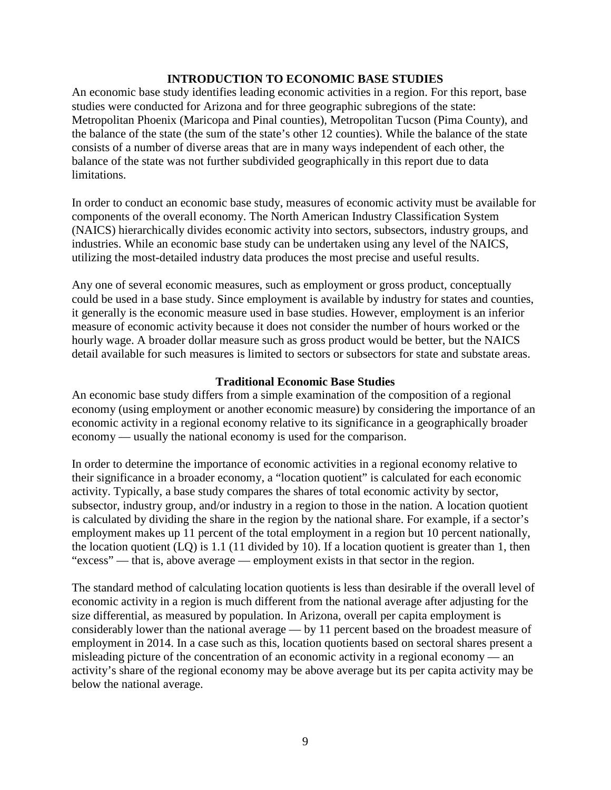#### **INTRODUCTION TO ECONOMIC BASE STUDIES**

An economic base study identifies leading economic activities in a region. For this report, base studies were conducted for Arizona and for three geographic subregions of the state: Metropolitan Phoenix (Maricopa and Pinal counties), Metropolitan Tucson (Pima County), and the balance of the state (the sum of the state's other 12 counties). While the balance of the state consists of a number of diverse areas that are in many ways independent of each other, the balance of the state was not further subdivided geographically in this report due to data limitations.

In order to conduct an economic base study, measures of economic activity must be available for components of the overall economy. The North American Industry Classification System (NAICS) hierarchically divides economic activity into sectors, subsectors, industry groups, and industries. While an economic base study can be undertaken using any level of the NAICS, utilizing the most-detailed industry data produces the most precise and useful results.

Any one of several economic measures, such as employment or gross product, conceptually could be used in a base study. Since employment is available by industry for states and counties, it generally is the economic measure used in base studies. However, employment is an inferior measure of economic activity because it does not consider the number of hours worked or the hourly wage. A broader dollar measure such as gross product would be better, but the NAICS detail available for such measures is limited to sectors or subsectors for state and substate areas.

### **Traditional Economic Base Studies**

An economic base study differs from a simple examination of the composition of a regional economy (using employment or another economic measure) by considering the importance of an economic activity in a regional economy relative to its significance in a geographically broader economy — usually the national economy is used for the comparison.

In order to determine the importance of economic activities in a regional economy relative to their significance in a broader economy, a "location quotient" is calculated for each economic activity. Typically, a base study compares the shares of total economic activity by sector, subsector, industry group, and/or industry in a region to those in the nation. A location quotient is calculated by dividing the share in the region by the national share. For example, if a sector's employment makes up 11 percent of the total employment in a region but 10 percent nationally, the location quotient (LQ) is 1.1 (11 divided by 10). If a location quotient is greater than 1, then "excess" — that is, above average — employment exists in that sector in the region.

The standard method of calculating location quotients is less than desirable if the overall level of economic activity in a region is much different from the national average after adjusting for the size differential, as measured by population. In Arizona, overall per capita employment is considerably lower than the national average — by 11 percent based on the broadest measure of employment in 2014. In a case such as this, location quotients based on sectoral shares present a misleading picture of the concentration of an economic activity in a regional economy — an activity's share of the regional economy may be above average but its per capita activity may be below the national average.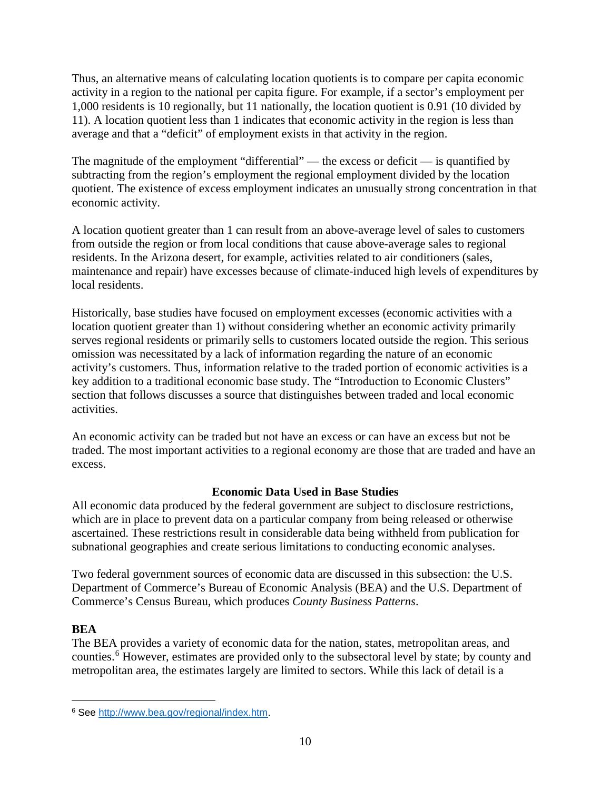Thus, an alternative means of calculating location quotients is to compare per capita economic activity in a region to the national per capita figure. For example, if a sector's employment per 1,000 residents is 10 regionally, but 11 nationally, the location quotient is 0.91 (10 divided by 11). A location quotient less than 1 indicates that economic activity in the region is less than average and that a "deficit" of employment exists in that activity in the region.

The magnitude of the employment "differential" — the excess or deficit — is quantified by subtracting from the region's employment the regional employment divided by the location quotient. The existence of excess employment indicates an unusually strong concentration in that economic activity.

A location quotient greater than 1 can result from an above-average level of sales to customers from outside the region or from local conditions that cause above-average sales to regional residents. In the Arizona desert, for example, activities related to air conditioners (sales, maintenance and repair) have excesses because of climate-induced high levels of expenditures by local residents.

Historically, base studies have focused on employment excesses (economic activities with a location quotient greater than 1) without considering whether an economic activity primarily serves regional residents or primarily sells to customers located outside the region. This serious omission was necessitated by a lack of information regarding the nature of an economic activity's customers. Thus, information relative to the traded portion of economic activities is a key addition to a traditional economic base study. The "Introduction to Economic Clusters" section that follows discusses a source that distinguishes between traded and local economic activities.

An economic activity can be traded but not have an excess or can have an excess but not be traded. The most important activities to a regional economy are those that are traded and have an excess.

# **Economic Data Used in Base Studies**

All economic data produced by the federal government are subject to disclosure restrictions, which are in place to prevent data on a particular company from being released or otherwise ascertained. These restrictions result in considerable data being withheld from publication for subnational geographies and create serious limitations to conducting economic analyses.

Two federal government sources of economic data are discussed in this subsection: the U.S. Department of Commerce's Bureau of Economic Analysis (BEA) and the U.S. Department of Commerce's Census Bureau, which produces *County Business Patterns*.

# **BEA**

The BEA provides a variety of economic data for the nation, states, metropolitan areas, and counties. [6](#page-11-0) However, estimates are provided only to the subsectoral level by state; by county and metropolitan area, the estimates largely are limited to sectors. While this lack of detail is a

<span id="page-11-0"></span> $\overline{a}$ <sup>6</sup> See [http://www.bea.gov/regional/index.htm.](http://www.bea.gov/regional/index.htm)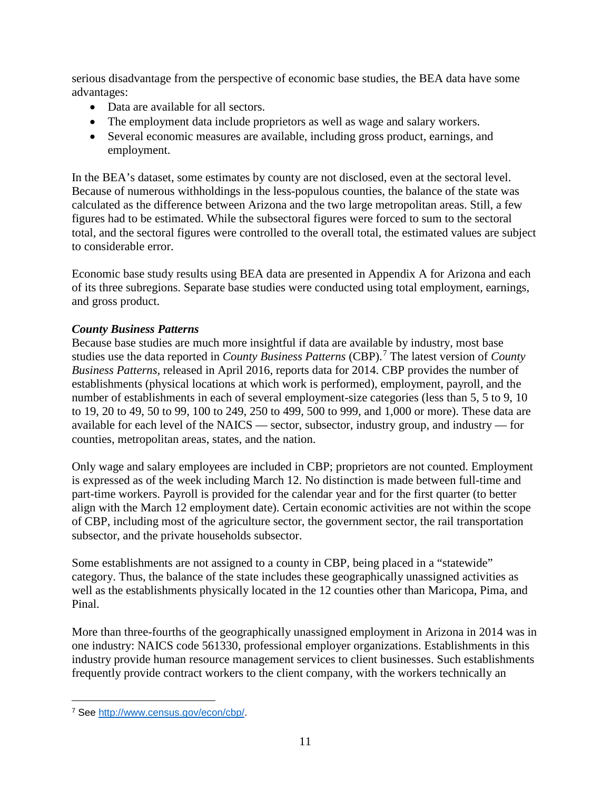serious disadvantage from the perspective of economic base studies, the BEA data have some advantages:

- Data are available for all sectors.
- The employment data include proprietors as well as wage and salary workers.
- Several economic measures are available, including gross product, earnings, and employment.

In the BEA's dataset, some estimates by county are not disclosed, even at the sectoral level. Because of numerous withholdings in the less-populous counties, the balance of the state was calculated as the difference between Arizona and the two large metropolitan areas. Still, a few figures had to be estimated. While the subsectoral figures were forced to sum to the sectoral total, and the sectoral figures were controlled to the overall total, the estimated values are subject to considerable error.

Economic base study results using BEA data are presented in Appendix A for Arizona and each of its three subregions. Separate base studies were conducted using total employment, earnings, and gross product.

# *County Business Patterns*

Because base studies are much more insightful if data are available by industry, most base studies use the data reported in *County Business Patterns* (CBP).<sup>[7](#page-12-0)</sup> The latest version of *County Business Patterns*, released in April 2016, reports data for 2014. CBP provides the number of establishments (physical locations at which work is performed), employment, payroll, and the number of establishments in each of several employment-size categories (less than 5, 5 to 9, 10) to 19, 20 to 49, 50 to 99, 100 to 249, 250 to 499, 500 to 999, and 1,000 or more). These data are available for each level of the NAICS — sector, subsector, industry group, and industry — for counties, metropolitan areas, states, and the nation.

Only wage and salary employees are included in CBP; proprietors are not counted. Employment is expressed as of the week including March 12. No distinction is made between full-time and part-time workers. Payroll is provided for the calendar year and for the first quarter (to better align with the March 12 employment date). Certain economic activities are not within the scope of CBP, including most of the agriculture sector, the government sector, the rail transportation subsector, and the private households subsector.

Some establishments are not assigned to a county in CBP, being placed in a "statewide" category. Thus, the balance of the state includes these geographically unassigned activities as well as the establishments physically located in the 12 counties other than Maricopa, Pima, and Pinal.

More than three-fourths of the geographically unassigned employment in Arizona in 2014 was in one industry: NAICS code 561330, professional employer organizations. Establishments in this industry provide human resource management services to client businesses. Such establishments frequently provide contract workers to the client company, with the workers technically an

<span id="page-12-0"></span> $\overline{a}$ <sup>7</sup> See [http://www.census.gov/econ/cbp/.](http://www.census.gov/econ/cbp/)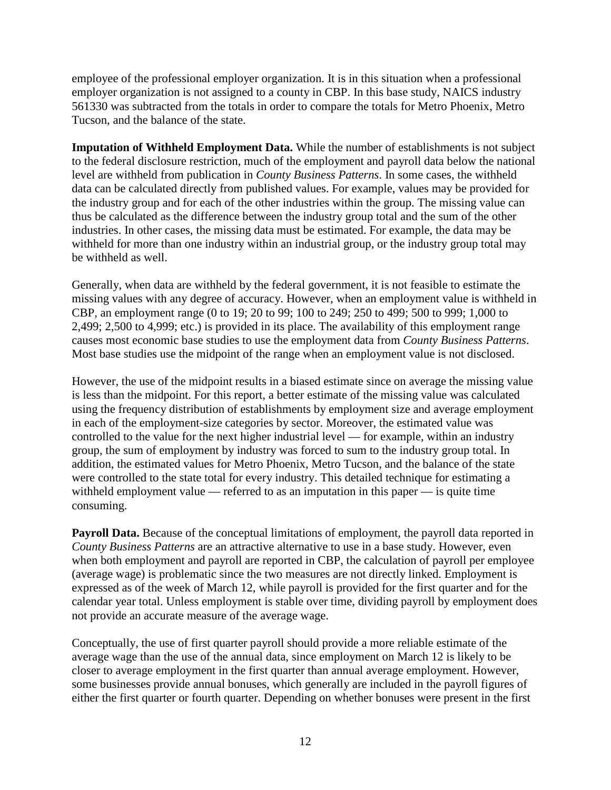employee of the professional employer organization. It is in this situation when a professional employer organization is not assigned to a county in CBP. In this base study, NAICS industry 561330 was subtracted from the totals in order to compare the totals for Metro Phoenix, Metro Tucson, and the balance of the state.

**Imputation of Withheld Employment Data.** While the number of establishments is not subject to the federal disclosure restriction, much of the employment and payroll data below the national level are withheld from publication in *County Business Patterns*. In some cases, the withheld data can be calculated directly from published values. For example, values may be provided for the industry group and for each of the other industries within the group. The missing value can thus be calculated as the difference between the industry group total and the sum of the other industries. In other cases, the missing data must be estimated. For example, the data may be withheld for more than one industry within an industrial group, or the industry group total may be withheld as well.

Generally, when data are withheld by the federal government, it is not feasible to estimate the missing values with any degree of accuracy. However, when an employment value is withheld in CBP, an employment range (0 to 19; 20 to 99; 100 to 249; 250 to 499; 500 to 999; 1,000 to 2,499; 2,500 to 4,999; etc.) is provided in its place. The availability of this employment range causes most economic base studies to use the employment data from *County Business Patterns*. Most base studies use the midpoint of the range when an employment value is not disclosed.

However, the use of the midpoint results in a biased estimate since on average the missing value is less than the midpoint. For this report, a better estimate of the missing value was calculated using the frequency distribution of establishments by employment size and average employment in each of the employment-size categories by sector. Moreover, the estimated value was controlled to the value for the next higher industrial level — for example, within an industry group, the sum of employment by industry was forced to sum to the industry group total. In addition, the estimated values for Metro Phoenix, Metro Tucson, and the balance of the state were controlled to the state total for every industry. This detailed technique for estimating a withheld employment value — referred to as an imputation in this paper — is quite time consuming.

**Payroll Data.** Because of the conceptual limitations of employment, the payroll data reported in *County Business Patterns* are an attractive alternative to use in a base study. However, even when both employment and payroll are reported in CBP, the calculation of payroll per employee (average wage) is problematic since the two measures are not directly linked. Employment is expressed as of the week of March 12, while payroll is provided for the first quarter and for the calendar year total. Unless employment is stable over time, dividing payroll by employment does not provide an accurate measure of the average wage.

Conceptually, the use of first quarter payroll should provide a more reliable estimate of the average wage than the use of the annual data, since employment on March 12 is likely to be closer to average employment in the first quarter than annual average employment. However, some businesses provide annual bonuses, which generally are included in the payroll figures of either the first quarter or fourth quarter. Depending on whether bonuses were present in the first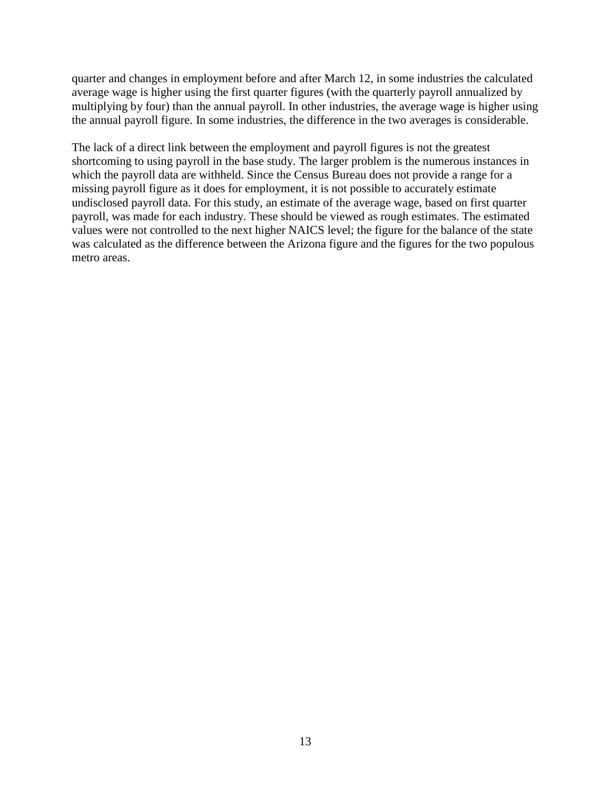quarter and changes in employment before and after March 12, in some industries the calculated average wage is higher using the first quarter figures (with the quarterly payroll annualized by multiplying by four) than the annual payroll. In other industries, the average wage is higher using the annual payroll figure. In some industries, the difference in the two averages is considerable.

The lack of a direct link between the employment and payroll figures is not the greatest shortcoming to using payroll in the base study. The larger problem is the numerous instances in which the payroll data are withheld. Since the Census Bureau does not provide a range for a missing payroll figure as it does for employment, it is not possible to accurately estimate undisclosed payroll data. For this study, an estimate of the average wage, based on first quarter payroll, was made for each industry. These should be viewed as rough estimates. The estimated values were not controlled to the next higher NAICS level; the figure for the balance of the state was calculated as the difference between the Arizona figure and the figures for the two populous metro areas.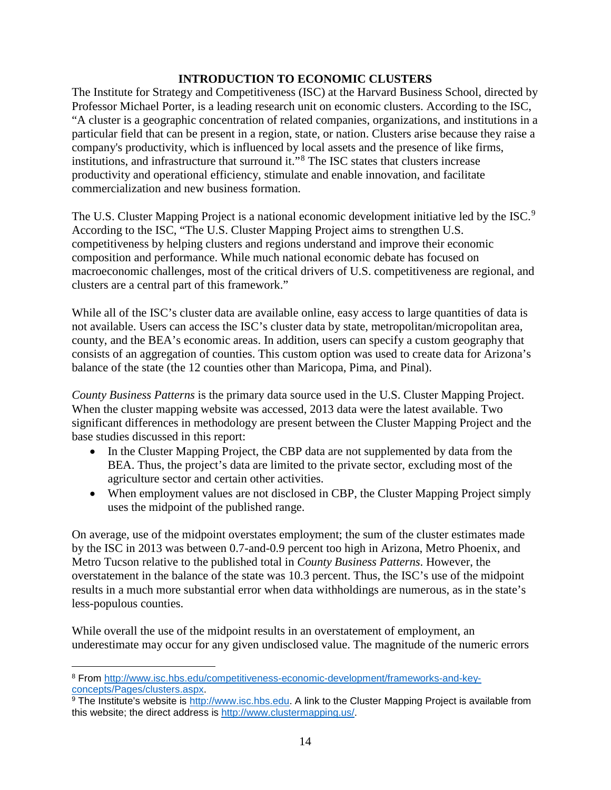### **INTRODUCTION TO ECONOMIC CLUSTERS**

The Institute for Strategy and Competitiveness (ISC) at the Harvard Business School, directed by Professor Michael Porter, is a leading research unit on economic clusters. According to the ISC, "A cluster is a geographic concentration of related companies, organizations, and institutions in a particular field that can be present in a region, state, or nation. Clusters arise because they raise a company's productivity, which is influenced by local assets and the presence of like firms, institutions, and infrastructure that surround it."[8](#page-15-0) The ISC states that clusters increase productivity and operational efficiency, stimulate and enable innovation, and facilitate commercialization and new business formation.

The U.S. Cluster Mapping Project is a national economic development initiative led by the ISC.<sup>[9](#page-15-1)</sup> According to the ISC, "The U.S. Cluster Mapping Project aims to strengthen U.S. competitiveness by helping clusters and regions understand and improve their economic composition and performance. While much national economic debate has focused on macroeconomic challenges, most of the critical drivers of U.S. competitiveness are regional, and clusters are a central part of this framework."

While all of the ISC's cluster data are available online, easy access to large quantities of data is not available. Users can access the ISC's cluster data by state, metropolitan/micropolitan area, county, and the BEA's economic areas. In addition, users can specify a custom geography that consists of an aggregation of counties. This custom option was used to create data for Arizona's balance of the state (the 12 counties other than Maricopa, Pima, and Pinal).

*County Business Patterns* is the primary data source used in the U.S. Cluster Mapping Project. When the cluster mapping website was accessed, 2013 data were the latest available. Two significant differences in methodology are present between the Cluster Mapping Project and the base studies discussed in this report:

- In the Cluster Mapping Project, the CBP data are not supplemented by data from the BEA. Thus, the project's data are limited to the private sector, excluding most of the agriculture sector and certain other activities.
- When employment values are not disclosed in CBP, the Cluster Mapping Project simply uses the midpoint of the published range.

On average, use of the midpoint overstates employment; the sum of the cluster estimates made by the ISC in 2013 was between 0.7-and-0.9 percent too high in Arizona, Metro Phoenix, and Metro Tucson relative to the published total in *County Business Patterns*. However, the overstatement in the balance of the state was 10.3 percent. Thus, the ISC's use of the midpoint results in a much more substantial error when data withholdings are numerous, as in the state's less-populous counties.

While overall the use of the midpoint results in an overstatement of employment, an underestimate may occur for any given undisclosed value. The magnitude of the numeric errors

<span id="page-15-0"></span> $\overline{a}$ <sup>8</sup> From [http://www.isc.hbs.edu/competitiveness-economic-development/frameworks-and-key](http://www.isc.hbs.edu/competitiveness-economic-development/frameworks-and-key-concepts/Pages/clusters.aspx)[concepts/Pages/clusters.aspx.](http://www.isc.hbs.edu/competitiveness-economic-development/frameworks-and-key-concepts/Pages/clusters.aspx)

<span id="page-15-1"></span><sup>9</sup> The Institute's website is [http://www.isc.hbs.edu.](http://www.isc.hbs.edu/) A link to the Cluster Mapping Project is available from this website; the direct address is [http://www.clustermapping.us/.](http://www.clustermapping.us/)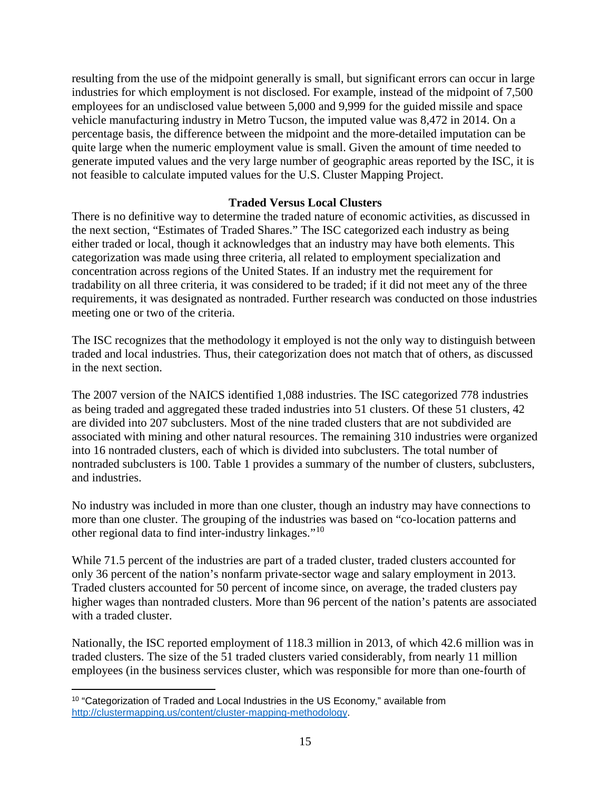resulting from the use of the midpoint generally is small, but significant errors can occur in large industries for which employment is not disclosed. For example, instead of the midpoint of 7,500 employees for an undisclosed value between 5,000 and 9,999 for the guided missile and space vehicle manufacturing industry in Metro Tucson, the imputed value was 8,472 in 2014. On a percentage basis, the difference between the midpoint and the more-detailed imputation can be quite large when the numeric employment value is small. Given the amount of time needed to generate imputed values and the very large number of geographic areas reported by the ISC, it is not feasible to calculate imputed values for the U.S. Cluster Mapping Project.

#### **Traded Versus Local Clusters**

There is no definitive way to determine the traded nature of economic activities, as discussed in the next section, "Estimates of Traded Shares." The ISC categorized each industry as being either traded or local, though it acknowledges that an industry may have both elements. This categorization was made using three criteria, all related to employment specialization and concentration across regions of the United States. If an industry met the requirement for tradability on all three criteria, it was considered to be traded; if it did not meet any of the three requirements, it was designated as nontraded. Further research was conducted on those industries meeting one or two of the criteria.

The ISC recognizes that the methodology it employed is not the only way to distinguish between traded and local industries. Thus, their categorization does not match that of others, as discussed in the next section.

The 2007 version of the NAICS identified 1,088 industries. The ISC categorized 778 industries as being traded and aggregated these traded industries into 51 clusters. Of these 51 clusters, 42 are divided into 207 subclusters. Most of the nine traded clusters that are not subdivided are associated with mining and other natural resources. The remaining 310 industries were organized into 16 nontraded clusters, each of which is divided into subclusters. The total number of nontraded subclusters is 100. Table 1 provides a summary of the number of clusters, subclusters, and industries.

No industry was included in more than one cluster, though an industry may have connections to more than one cluster. The grouping of the industries was based on "co-location patterns and other regional data to find inter-industry linkages."[10](#page-16-0)

While 71.5 percent of the industries are part of a traded cluster, traded clusters accounted for only 36 percent of the nation's nonfarm private-sector wage and salary employment in 2013. Traded clusters accounted for 50 percent of income since, on average, the traded clusters pay higher wages than nontraded clusters. More than 96 percent of the nation's patents are associated with a traded cluster.

Nationally, the ISC reported employment of 118.3 million in 2013, of which 42.6 million was in traded clusters. The size of the 51 traded clusters varied considerably, from nearly 11 million employees (in the business services cluster, which was responsible for more than one-fourth of

<span id="page-16-0"></span> $\overline{a}$ <sup>10</sup> "Categorization of Traded and Local Industries in the US Economy," available from [http://clustermapping.us/content/cluster-mapping-methodology.](http://clustermapping.us/content/cluster-mapping-methodology)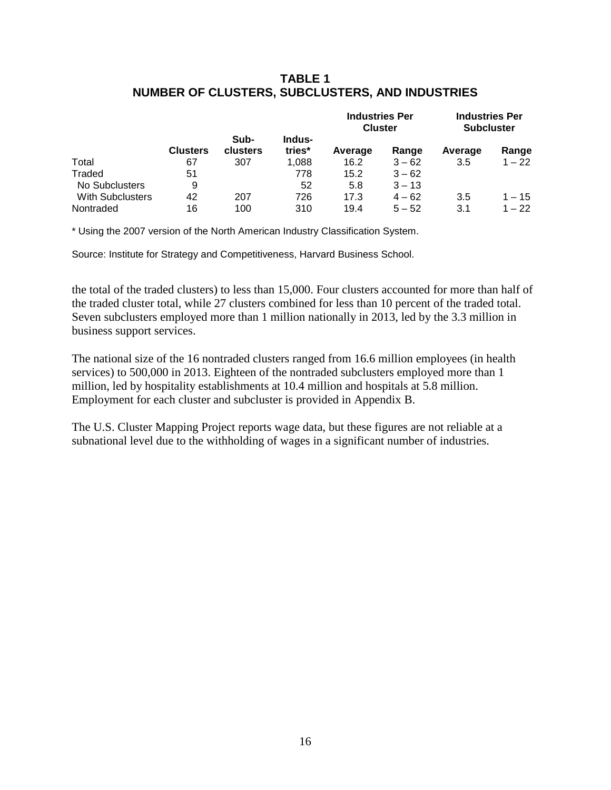## **TABLE 1 NUMBER OF CLUSTERS, SUBCLUSTERS, AND INDUSTRIES**

|                         |                 |                  |                  | <b>Industries Per</b><br><b>Cluster</b> |          | <b>Industries Per</b><br><b>Subcluster</b> |          |
|-------------------------|-----------------|------------------|------------------|-----------------------------------------|----------|--------------------------------------------|----------|
|                         | <b>Clusters</b> | Sub-<br>clusters | Indus-<br>tries* | Average                                 | Range    | Average                                    | Range    |
| Total                   | 67              | 307              | 1.088            | 16.2                                    | $3 - 62$ | 3.5                                        | $1 - 22$ |
| Traded                  | 51              |                  | 778              | 15.2                                    | $3 - 62$ |                                            |          |
| No Subclusters          | 9               |                  | 52               | 5.8                                     | $3 - 13$ |                                            |          |
| <b>With Subclusters</b> | 42              | 207              | 726              | 17.3                                    | $4 - 62$ | 3.5                                        | $1 - 15$ |
| Nontraded               | 16              | 100              | 310              | 19.4                                    | $5 - 52$ | 3.1                                        | $1 - 22$ |

\* Using the 2007 version of the North American Industry Classification System.

Source: Institute for Strategy and Competitiveness, Harvard Business School.

the total of the traded clusters) to less than 15,000. Four clusters accounted for more than half of the traded cluster total, while 27 clusters combined for less than 10 percent of the traded total. Seven subclusters employed more than 1 million nationally in 2013, led by the 3.3 million in business support services.

The national size of the 16 nontraded clusters ranged from 16.6 million employees (in health services) to 500,000 in 2013. Eighteen of the nontraded subclusters employed more than 1 million, led by hospitality establishments at 10.4 million and hospitals at 5.8 million. Employment for each cluster and subcluster is provided in Appendix B.

The U.S. Cluster Mapping Project reports wage data, but these figures are not reliable at a subnational level due to the withholding of wages in a significant number of industries.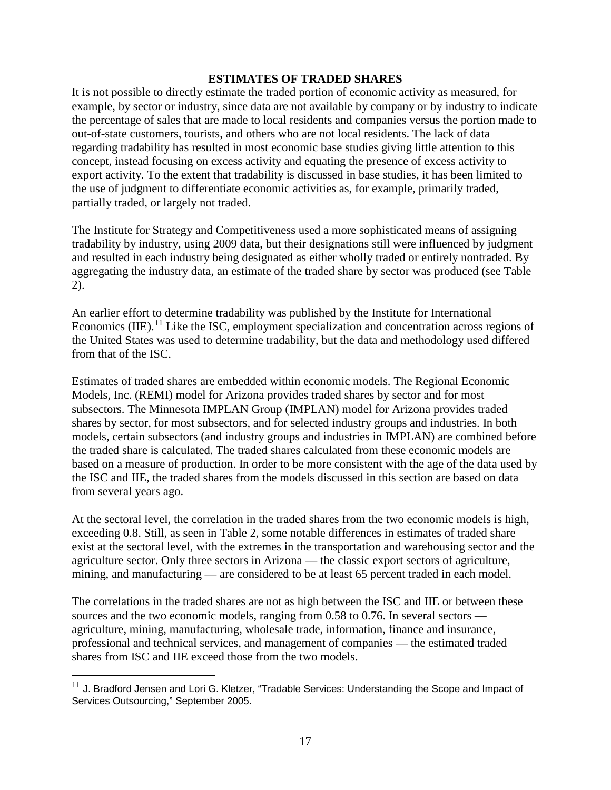#### **ESTIMATES OF TRADED SHARES**

It is not possible to directly estimate the traded portion of economic activity as measured, for example, by sector or industry, since data are not available by company or by industry to indicate the percentage of sales that are made to local residents and companies versus the portion made to out-of-state customers, tourists, and others who are not local residents. The lack of data regarding tradability has resulted in most economic base studies giving little attention to this concept, instead focusing on excess activity and equating the presence of excess activity to export activity. To the extent that tradability is discussed in base studies, it has been limited to the use of judgment to differentiate economic activities as, for example, primarily traded, partially traded, or largely not traded.

The Institute for Strategy and Competitiveness used a more sophisticated means of assigning tradability by industry, using 2009 data, but their designations still were influenced by judgment and resulted in each industry being designated as either wholly traded or entirely nontraded. By aggregating the industry data, an estimate of the traded share by sector was produced (see Table 2).

An earlier effort to determine tradability was published by the Institute for International Economics (IIE).<sup>[11](#page-18-0)</sup> Like the ISC, employment specialization and concentration across regions of the United States was used to determine tradability, but the data and methodology used differed from that of the ISC.

Estimates of traded shares are embedded within economic models. The Regional Economic Models, Inc. (REMI) model for Arizona provides traded shares by sector and for most subsectors. The Minnesota IMPLAN Group (IMPLAN) model for Arizona provides traded shares by sector, for most subsectors, and for selected industry groups and industries. In both models, certain subsectors (and industry groups and industries in IMPLAN) are combined before the traded share is calculated. The traded shares calculated from these economic models are based on a measure of production. In order to be more consistent with the age of the data used by the ISC and IIE, the traded shares from the models discussed in this section are based on data from several years ago.

At the sectoral level, the correlation in the traded shares from the two economic models is high, exceeding 0.8. Still, as seen in Table 2, some notable differences in estimates of traded share exist at the sectoral level, with the extremes in the transportation and warehousing sector and the agriculture sector. Only three sectors in Arizona — the classic export sectors of agriculture, mining, and manufacturing — are considered to be at least 65 percent traded in each model.

The correlations in the traded shares are not as high between the ISC and IIE or between these sources and the two economic models, ranging from 0.58 to 0.76. In several sectors agriculture, mining, manufacturing, wholesale trade, information, finance and insurance, professional and technical services, and management of companies — the estimated traded shares from ISC and IIE exceed those from the two models.

<span id="page-18-0"></span> $11$  J. Bradford Jensen and Lori G. Kletzer, "Tradable Services: Understanding the Scope and Impact of Services Outsourcing," September 2005.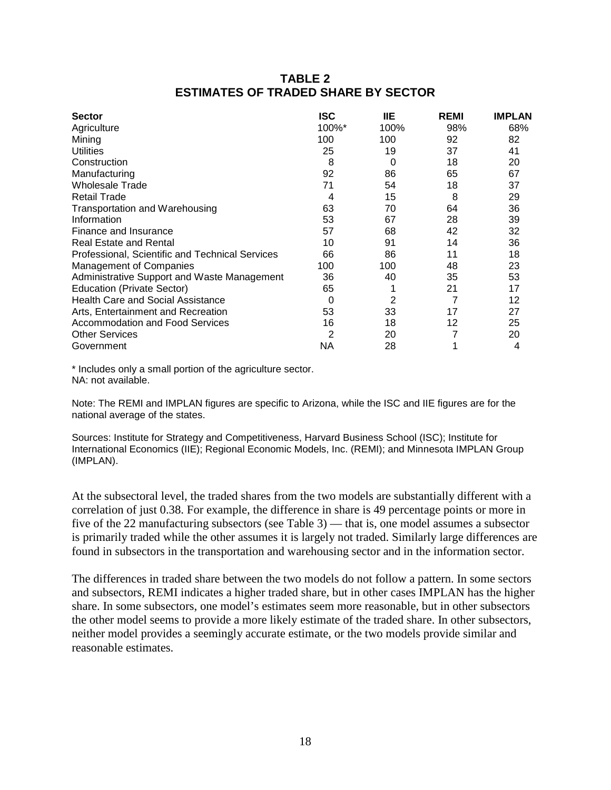## **TABLE 2 ESTIMATES OF TRADED SHARE BY SECTOR**

| <b>Sector</b>                                   | ISC   | <b>IIE</b> | <b>REMI</b> | <b>IMPLAN</b> |
|-------------------------------------------------|-------|------------|-------------|---------------|
| Agriculture                                     | 100%* | 100%       | 98%         | 68%           |
| Mining                                          | 100   | 100        | 92          | 82            |
| <b>Utilities</b>                                | 25    | 19         | 37          | 41            |
| Construction                                    | 8     | 0          | 18          | 20            |
| Manufacturing                                   | 92    | 86         | 65          | 67            |
| <b>Wholesale Trade</b>                          | 71    | 54         | 18          | 37            |
| <b>Retail Trade</b>                             | 4     | 15         | 8           | 29            |
| <b>Transportation and Warehousing</b>           | 63    | 70         | 64          | 36            |
| Information                                     | 53    | 67         | 28          | 39            |
| Finance and Insurance                           | 57    | 68         | 42          | 32            |
| <b>Real Estate and Rental</b>                   | 10    | 91         | 14          | 36            |
| Professional, Scientific and Technical Services | 66    | 86         | 11          | 18            |
| <b>Management of Companies</b>                  | 100   | 100        | 48          | 23            |
| Administrative Support and Waste Management     | 36    | 40         | 35          | 53            |
| <b>Education (Private Sector)</b>               | 65    |            | 21          | 17            |
| <b>Health Care and Social Assistance</b>        | 0     | 2          | 7           | 12            |
| Arts, Entertainment and Recreation              | 53    | 33         | 17          | 27            |
| Accommodation and Food Services                 | 16    | 18         | 12          | 25            |
| <b>Other Services</b>                           | 2     | 20         |             | 20            |
| Government                                      | ΝA    | 28         |             | 4             |

\* Includes only a small portion of the agriculture sector. NA: not available.

Note: The REMI and IMPLAN figures are specific to Arizona, while the ISC and IIE figures are for the national average of the states.

Sources: Institute for Strategy and Competitiveness, Harvard Business School (ISC); Institute for International Economics (IIE); Regional Economic Models, Inc. (REMI); and Minnesota IMPLAN Group (IMPLAN).

At the subsectoral level, the traded shares from the two models are substantially different with a correlation of just 0.38. For example, the difference in share is 49 percentage points or more in five of the 22 manufacturing subsectors (see Table 3) — that is, one model assumes a subsector is primarily traded while the other assumes it is largely not traded. Similarly large differences are found in subsectors in the transportation and warehousing sector and in the information sector.

The differences in traded share between the two models do not follow a pattern. In some sectors and subsectors, REMI indicates a higher traded share, but in other cases IMPLAN has the higher share. In some subsectors, one model's estimates seem more reasonable, but in other subsectors the other model seems to provide a more likely estimate of the traded share. In other subsectors, neither model provides a seemingly accurate estimate, or the two models provide similar and reasonable estimates.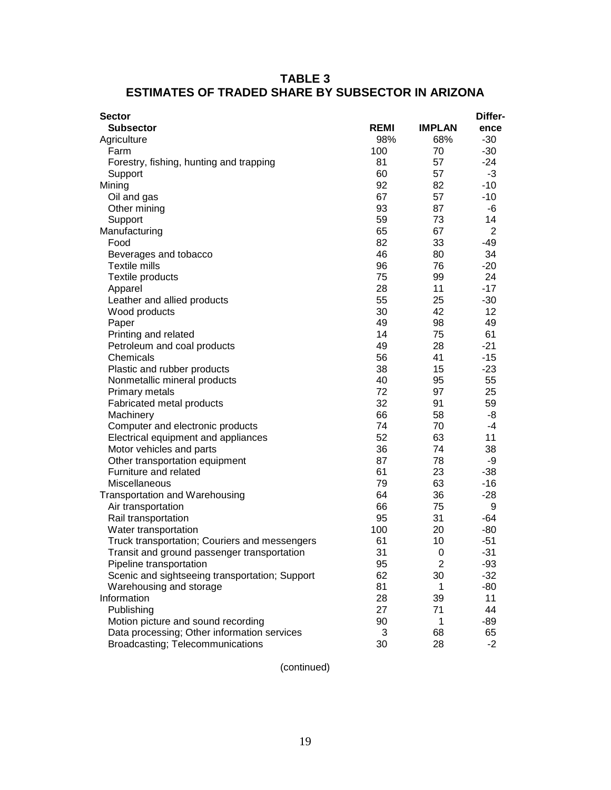| <b>TABLE 3</b>                                           |
|----------------------------------------------------------|
| <b>ESTIMATES OF TRADED SHARE BY SUBSECTOR IN ARIZONA</b> |

| <b>Sector</b>                                  |             |               | Differ-        |
|------------------------------------------------|-------------|---------------|----------------|
| <b>Subsector</b>                               | <b>REMI</b> | <b>IMPLAN</b> | ence           |
| Agriculture                                    | 98%         | 68%           | $-30$          |
| Farm                                           | 100         | 70            | $-30$          |
| Forestry, fishing, hunting and trapping        | 81          | 57            | $-24$          |
| Support                                        | 60          | 57            | -3             |
| Mining                                         | 92          | 82            | $-10$          |
| Oil and gas                                    | 67          | 57            | $-10$          |
| Other mining                                   | 93          | 87            | -6             |
| Support                                        | 59          | 73            | 14             |
| Manufacturing                                  | 65          | 67            | $\overline{2}$ |
| Food                                           | 82          | 33            | -49            |
| Beverages and tobacco                          | 46          | 80            | 34             |
| <b>Textile mills</b>                           | 96          | 76            | $-20$          |
| Textile products                               | 75          | 99            | 24             |
| Apparel                                        | 28          | 11            | $-17$          |
| Leather and allied products                    | 55          | 25            | $-30$          |
| Wood products                                  | 30          | 42            | 12             |
| Paper                                          | 49          | 98            | 49             |
| Printing and related                           | 14          | 75            | 61             |
| Petroleum and coal products                    | 49          | 28            | $-21$          |
| Chemicals                                      | 56          | 41            | $-15$          |
| Plastic and rubber products                    | 38          | 15            | $-23$          |
| Nonmetallic mineral products                   | 40<br>72    | 95<br>97      | 55<br>25       |
| Primary metals                                 | 32          | 91            | 59             |
| Fabricated metal products<br>Machinery         | 66          | 58            | -8             |
| Computer and electronic products               | 74          | 70            | $-4$           |
| Electrical equipment and appliances            | 52          | 63            | 11             |
| Motor vehicles and parts                       | 36          | 74            | 38             |
| Other transportation equipment                 | 87          | 78            | -9             |
| Furniture and related                          | 61          | 23            | $-38$          |
| Miscellaneous                                  | 79          | 63            | $-16$          |
| <b>Transportation and Warehousing</b>          | 64          | 36            | $-28$          |
| Air transportation                             | 66          | 75            | 9              |
| Rail transportation                            | 95          | 31            | $-64$          |
| Water transportation                           | 100         | 20            | $-80$          |
| Truck transportation; Couriers and messengers  | 61          | 10            | $-51$          |
| Transit and ground passenger transportation    | 31          | 0             | $-31$          |
| Pipeline transportation                        | 95          | 2             | $-93$          |
| Scenic and sightseeing transportation; Support | 62          | 30            | $-32$          |
| Warehousing and storage                        | 81          | 1             | -80            |
| Information                                    | 28          | 39            | 11             |
| Publishing                                     | 27          | 71            | 44             |
| Motion picture and sound recording             | 90          | 1             | $-89$          |
| Data processing; Other information services    | 3           | 68            | 65             |
| Broadcasting; Telecommunications               | 30          | 28            | $-2$           |

(continued)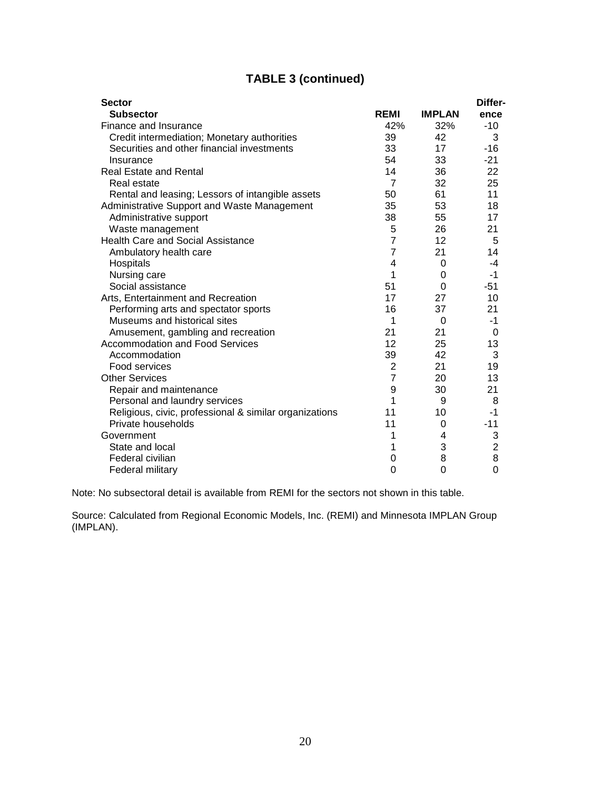# **TABLE 3 (continued)**

| <b>Sector</b>                                          |                |               | Differ-        |
|--------------------------------------------------------|----------------|---------------|----------------|
| <b>Subsector</b>                                       | <b>REMI</b>    | <b>IMPLAN</b> | ence           |
| Finance and Insurance                                  | 42%            | 32%           | $-10$          |
| Credit intermediation; Monetary authorities            | 39             | 42            | 3              |
| Securities and other financial investments             | 33             | 17            | $-16$          |
| Insurance                                              | 54             | 33            | $-21$          |
| <b>Real Estate and Rental</b>                          | 14             | 36            | 22             |
| Real estate                                            | $\overline{7}$ | 32            | 25             |
| Rental and leasing; Lessors of intangible assets       | 50             | 61            | 11             |
| Administrative Support and Waste Management            | 35             | 53            | 18             |
| Administrative support                                 | 38             | 55            | 17             |
| Waste management                                       | 5              | 26            | 21             |
| <b>Health Care and Social Assistance</b>               | $\overline{7}$ | 12            | 5              |
| Ambulatory health care                                 | $\overline{7}$ | 21            | 14             |
| Hospitals                                              | 4              | 0             | -4             |
| Nursing care                                           | 1              | 0             | $-1$           |
| Social assistance                                      | 51             | 0             | $-51$          |
| Arts, Entertainment and Recreation                     | 17             | 27            | 10             |
| Performing arts and spectator sports                   | 16             | 37            | 21             |
| Museums and historical sites                           | 1              | 0             | -1             |
| Amusement, gambling and recreation                     | 21             | 21            | 0              |
| <b>Accommodation and Food Services</b>                 | 12             | 25            | 13             |
| Accommodation                                          | 39             | 42            | 3              |
| Food services                                          | 2              | 21            | 19             |
| <b>Other Services</b>                                  | $\overline{7}$ | 20            | 13             |
| Repair and maintenance                                 | 9              | 30            | 21             |
| Personal and laundry services                          | 1              | 9             | 8              |
| Religious, civic, professional & similar organizations | 11             | 10            | -1             |
| Private households                                     | 11             | 0             | $-11$          |
| Government                                             | 1              | 4             | 3              |
| State and local                                        | 1              | 3             | $\overline{2}$ |
| Federal civilian                                       | 0              | 8             | 8              |
| Federal military                                       | 0              | 0             | 0              |

Note: No subsectoral detail is available from REMI for the sectors not shown in this table.

Source: Calculated from Regional Economic Models, Inc. (REMI) and Minnesota IMPLAN Group (IMPLAN).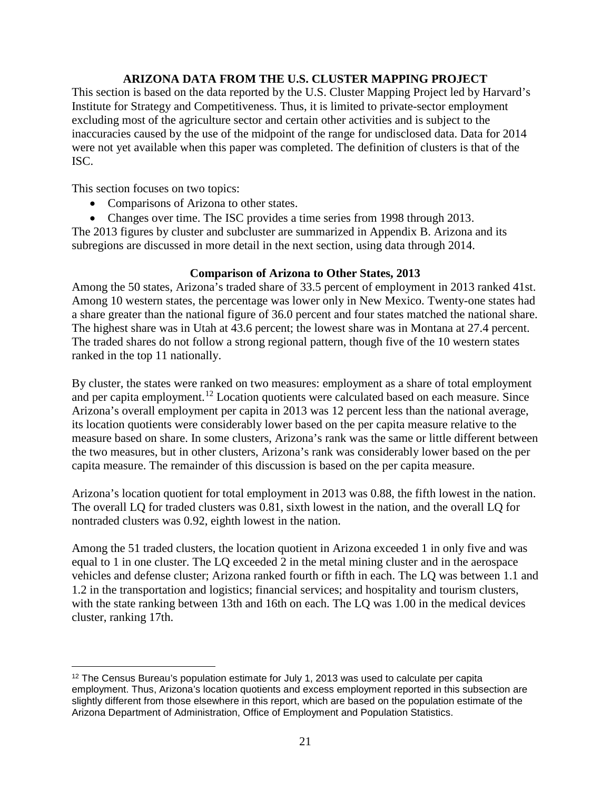### **ARIZONA DATA FROM THE U.S. CLUSTER MAPPING PROJECT**

This section is based on the data reported by the U.S. Cluster Mapping Project led by Harvard's Institute for Strategy and Competitiveness. Thus, it is limited to private-sector employment excluding most of the agriculture sector and certain other activities and is subject to the inaccuracies caused by the use of the midpoint of the range for undisclosed data. Data for 2014 were not yet available when this paper was completed. The definition of clusters is that of the ISC.

This section focuses on two topics:

- Comparisons of Arizona to other states.
- Changes over time. The ISC provides a time series from 1998 through 2013.

The 2013 figures by cluster and subcluster are summarized in Appendix B. Arizona and its subregions are discussed in more detail in the next section, using data through 2014.

#### **Comparison of Arizona to Other States, 2013**

Among the 50 states, Arizona's traded share of 33.5 percent of employment in 2013 ranked 41st. Among 10 western states, the percentage was lower only in New Mexico. Twenty-one states had a share greater than the national figure of 36.0 percent and four states matched the national share. The highest share was in Utah at 43.6 percent; the lowest share was in Montana at 27.4 percent. The traded shares do not follow a strong regional pattern, though five of the 10 western states ranked in the top 11 nationally.

By cluster, the states were ranked on two measures: employment as a share of total employment and per capita employment.<sup>[12](#page-22-0)</sup> Location quotients were calculated based on each measure. Since Arizona's overall employment per capita in 2013 was 12 percent less than the national average, its location quotients were considerably lower based on the per capita measure relative to the measure based on share. In some clusters, Arizona's rank was the same or little different between the two measures, but in other clusters, Arizona's rank was considerably lower based on the per capita measure. The remainder of this discussion is based on the per capita measure.

Arizona's location quotient for total employment in 2013 was 0.88, the fifth lowest in the nation. The overall LQ for traded clusters was 0.81, sixth lowest in the nation, and the overall LQ for nontraded clusters was 0.92, eighth lowest in the nation.

Among the 51 traded clusters, the location quotient in Arizona exceeded 1 in only five and was equal to 1 in one cluster. The LQ exceeded 2 in the metal mining cluster and in the aerospace vehicles and defense cluster; Arizona ranked fourth or fifth in each. The LQ was between 1.1 and 1.2 in the transportation and logistics; financial services; and hospitality and tourism clusters, with the state ranking between 13th and 16th on each. The LQ was 1.00 in the medical devices cluster, ranking 17th.

<span id="page-22-0"></span> $\overline{a}$  $12$  The Census Bureau's population estimate for July 1, 2013 was used to calculate per capita employment. Thus, Arizona's location quotients and excess employment reported in this subsection are slightly different from those elsewhere in this report, which are based on the population estimate of the Arizona Department of Administration, Office of Employment and Population Statistics.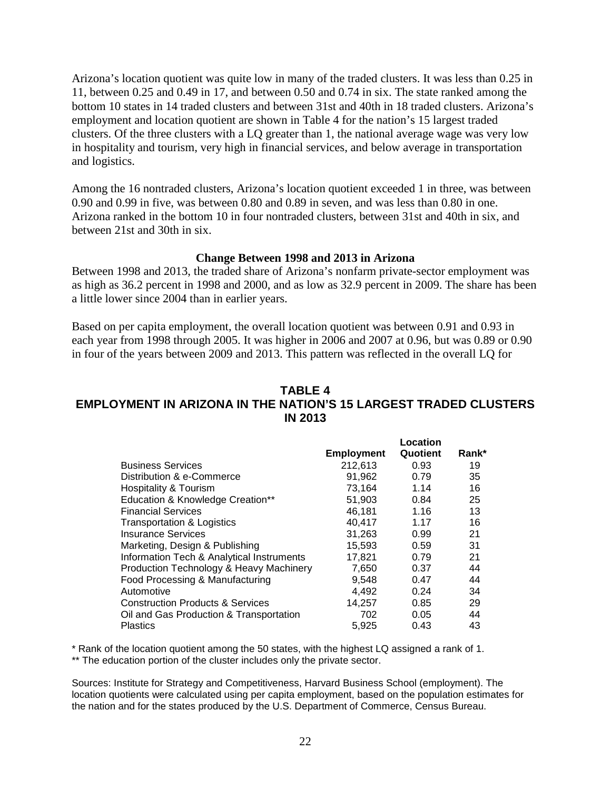Arizona's location quotient was quite low in many of the traded clusters. It was less than 0.25 in 11, between 0.25 and 0.49 in 17, and between 0.50 and 0.74 in six. The state ranked among the bottom 10 states in 14 traded clusters and between 31st and 40th in 18 traded clusters. Arizona's employment and location quotient are shown in Table 4 for the nation's 15 largest traded clusters. Of the three clusters with a LQ greater than 1, the national average wage was very low in hospitality and tourism, very high in financial services, and below average in transportation and logistics.

Among the 16 nontraded clusters, Arizona's location quotient exceeded 1 in three, was between 0.90 and 0.99 in five, was between 0.80 and 0.89 in seven, and was less than 0.80 in one. Arizona ranked in the bottom 10 in four nontraded clusters, between 31st and 40th in six, and between 21st and 30th in six.

#### **Change Between 1998 and 2013 in Arizona**

Between 1998 and 2013, the traded share of Arizona's nonfarm private-sector employment was as high as 36.2 percent in 1998 and 2000, and as low as 32.9 percent in 2009. The share has been a little lower since 2004 than in earlier years.

Based on per capita employment, the overall location quotient was between 0.91 and 0.93 in each year from 1998 through 2005. It was higher in 2006 and 2007 at 0.96, but was 0.89 or 0.90 in four of the years between 2009 and 2013. This pattern was reflected in the overall LQ for

#### **TABLE 4 EMPLOYMENT IN ARIZONA IN THE NATION'S 15 LARGEST TRADED CLUSTERS IN 2013**

|                                             |                   | Location |       |
|---------------------------------------------|-------------------|----------|-------|
|                                             | <b>Employment</b> | Quotient | Rank* |
| <b>Business Services</b>                    | 212.613           | 0.93     | 19    |
| Distribution & e-Commerce                   | 91.962            | 0.79     | 35    |
| Hospitality & Tourism                       | 73.164            | 1.14     | 16    |
| Education & Knowledge Creation**            | 51,903            | 0.84     | 25    |
| <b>Financial Services</b>                   | 46,181            | 1.16     | 13    |
| Transportation & Logistics                  | 40,417            | 1.17     | 16    |
| Insurance Services                          | 31.263            | 0.99     | 21    |
| Marketing, Design & Publishing              | 15,593            | 0.59     | 31    |
| Information Tech & Analytical Instruments   | 17,821            | 0.79     | 21    |
| Production Technology & Heavy Machinery     | 7,650             | 0.37     | 44    |
| Food Processing & Manufacturing             | 9,548             | 0.47     | 44    |
| Automotive                                  | 4,492             | 0.24     | 34    |
| <b>Construction Products &amp; Services</b> | 14,257            | 0.85     | 29    |
| Oil and Gas Production & Transportation     | 702               | 0.05     | 44    |
| Plastics                                    | 5.925             | 0.43     | 43    |

\* Rank of the location quotient among the 50 states, with the highest LQ assigned a rank of 1.

\*\* The education portion of the cluster includes only the private sector.

Sources: Institute for Strategy and Competitiveness, Harvard Business School (employment). The location quotients were calculated using per capita employment, based on the population estimates for the nation and for the states produced by the U.S. Department of Commerce, Census Bureau.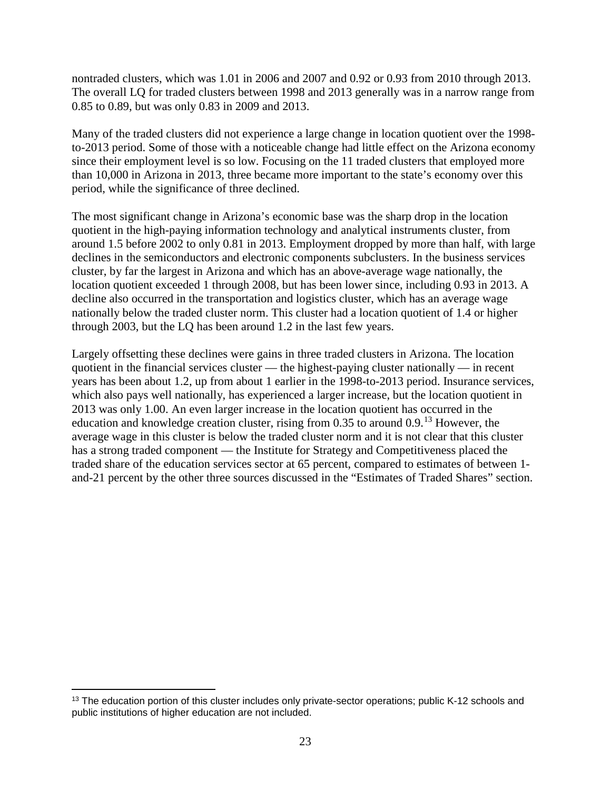nontraded clusters, which was 1.01 in 2006 and 2007 and 0.92 or 0.93 from 2010 through 2013. The overall LQ for traded clusters between 1998 and 2013 generally was in a narrow range from 0.85 to 0.89, but was only 0.83 in 2009 and 2013.

Many of the traded clusters did not experience a large change in location quotient over the 1998 to-2013 period. Some of those with a noticeable change had little effect on the Arizona economy since their employment level is so low. Focusing on the 11 traded clusters that employed more than 10,000 in Arizona in 2013, three became more important to the state's economy over this period, while the significance of three declined.

The most significant change in Arizona's economic base was the sharp drop in the location quotient in the high-paying information technology and analytical instruments cluster, from around 1.5 before 2002 to only 0.81 in 2013. Employment dropped by more than half, with large declines in the semiconductors and electronic components subclusters. In the business services cluster, by far the largest in Arizona and which has an above-average wage nationally, the location quotient exceeded 1 through 2008, but has been lower since, including 0.93 in 2013. A decline also occurred in the transportation and logistics cluster, which has an average wage nationally below the traded cluster norm. This cluster had a location quotient of 1.4 or higher through 2003, but the LQ has been around 1.2 in the last few years.

Largely offsetting these declines were gains in three traded clusters in Arizona. The location quotient in the financial services cluster — the highest-paying cluster nationally — in recent years has been about 1.2, up from about 1 earlier in the 1998-to-2013 period. Insurance services, which also pays well nationally, has experienced a larger increase, but the location quotient in 2013 was only 1.00. An even larger increase in the location quotient has occurred in the education and knowledge creation cluster, rising from 0.35 to around 0.9.[13](#page-24-0) However, the average wage in this cluster is below the traded cluster norm and it is not clear that this cluster has a strong traded component — the Institute for Strategy and Competitiveness placed the traded share of the education services sector at 65 percent, compared to estimates of between 1 and-21 percent by the other three sources discussed in the "Estimates of Traded Shares" section.

 $\overline{a}$ 

<span id="page-24-0"></span><sup>&</sup>lt;sup>13</sup> The education portion of this cluster includes only private-sector operations; public K-12 schools and public institutions of higher education are not included.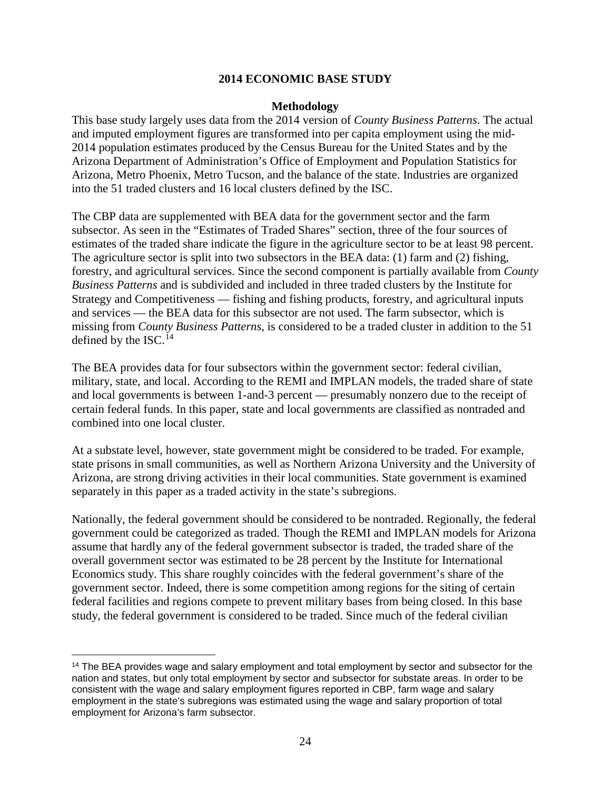#### **2014 ECONOMIC BASE STUDY**

#### **Methodology**

This base study largely uses data from the 2014 version of *County Business Patterns*. The actual and imputed employment figures are transformed into per capita employment using the mid-2014 population estimates produced by the Census Bureau for the United States and by the Arizona Department of Administration's Office of Employment and Population Statistics for Arizona, Metro Phoenix, Metro Tucson, and the balance of the state. Industries are organized into the 51 traded clusters and 16 local clusters defined by the ISC.

The CBP data are supplemented with BEA data for the government sector and the farm subsector. As seen in the "Estimates of Traded Shares" section, three of the four sources of estimates of the traded share indicate the figure in the agriculture sector to be at least 98 percent. The agriculture sector is split into two subsectors in the BEA data: (1) farm and (2) fishing, forestry, and agricultural services. Since the second component is partially available from *County Business Patterns* and is subdivided and included in three traded clusters by the Institute for Strategy and Competitiveness — fishing and fishing products, forestry, and agricultural inputs and services — the BEA data for this subsector are not used. The farm subsector, which is missing from *County Business Patterns*, is considered to be a traded cluster in addition to the 51 defined by the ISC.<sup>[14](#page-25-0)</sup>

The BEA provides data for four subsectors within the government sector: federal civilian, military, state, and local. According to the REMI and IMPLAN models, the traded share of state and local governments is between 1-and-3 percent — presumably nonzero due to the receipt of certain federal funds. In this paper, state and local governments are classified as nontraded and combined into one local cluster.

At a substate level, however, state government might be considered to be traded. For example, state prisons in small communities, as well as Northern Arizona University and the University of Arizona, are strong driving activities in their local communities. State government is examined separately in this paper as a traded activity in the state's subregions.

Nationally, the federal government should be considered to be nontraded. Regionally, the federal government could be categorized as traded. Though the REMI and IMPLAN models for Arizona assume that hardly any of the federal government subsector is traded, the traded share of the overall government sector was estimated to be 28 percent by the Institute for International Economics study. This share roughly coincides with the federal government's share of the government sector. Indeed, there is some competition among regions for the siting of certain federal facilities and regions compete to prevent military bases from being closed. In this base study, the federal government is considered to be traded. Since much of the federal civilian

 $\overline{a}$ 

<span id="page-25-0"></span><sup>&</sup>lt;sup>14</sup> The BEA provides wage and salary employment and total employment by sector and subsector for the nation and states, but only total employment by sector and subsector for substate areas. In order to be consistent with the wage and salary employment figures reported in CBP, farm wage and salary employment in the state's subregions was estimated using the wage and salary proportion of total employment for Arizona's farm subsector.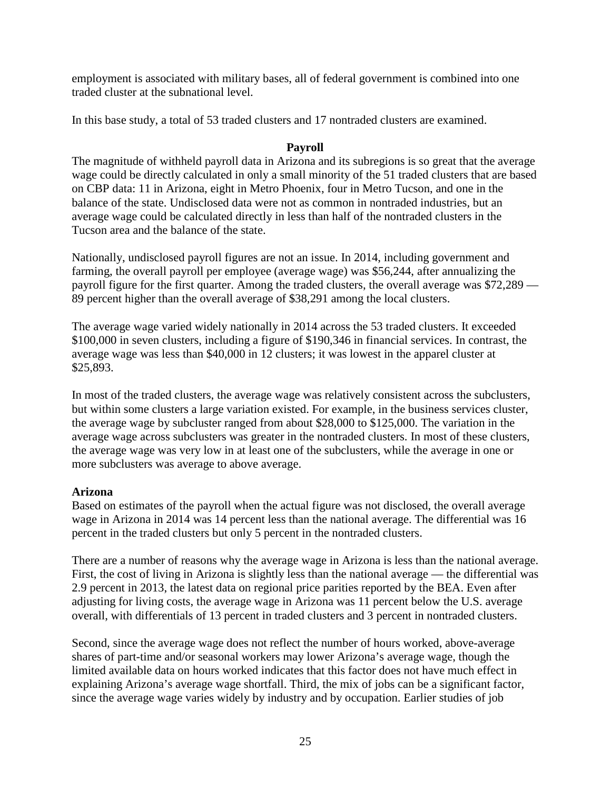employment is associated with military bases, all of federal government is combined into one traded cluster at the subnational level.

In this base study, a total of 53 traded clusters and 17 nontraded clusters are examined.

### **Payroll**

The magnitude of withheld payroll data in Arizona and its subregions is so great that the average wage could be directly calculated in only a small minority of the 51 traded clusters that are based on CBP data: 11 in Arizona, eight in Metro Phoenix, four in Metro Tucson, and one in the balance of the state. Undisclosed data were not as common in nontraded industries, but an average wage could be calculated directly in less than half of the nontraded clusters in the Tucson area and the balance of the state.

Nationally, undisclosed payroll figures are not an issue. In 2014, including government and farming, the overall payroll per employee (average wage) was \$56,244, after annualizing the payroll figure for the first quarter. Among the traded clusters, the overall average was \$72,289 — 89 percent higher than the overall average of \$38,291 among the local clusters.

The average wage varied widely nationally in 2014 across the 53 traded clusters. It exceeded \$100,000 in seven clusters, including a figure of \$190,346 in financial services. In contrast, the average wage was less than \$40,000 in 12 clusters; it was lowest in the apparel cluster at \$25,893.

In most of the traded clusters, the average wage was relatively consistent across the subclusters, but within some clusters a large variation existed. For example, in the business services cluster, the average wage by subcluster ranged from about \$28,000 to \$125,000. The variation in the average wage across subclusters was greater in the nontraded clusters. In most of these clusters, the average wage was very low in at least one of the subclusters, while the average in one or more subclusters was average to above average.

# **Arizona**

Based on estimates of the payroll when the actual figure was not disclosed, the overall average wage in Arizona in 2014 was 14 percent less than the national average. The differential was 16 percent in the traded clusters but only 5 percent in the nontraded clusters.

There are a number of reasons why the average wage in Arizona is less than the national average. First, the cost of living in Arizona is slightly less than the national average — the differential was 2.9 percent in 2013, the latest data on regional price parities reported by the BEA. Even after adjusting for living costs, the average wage in Arizona was 11 percent below the U.S. average overall, with differentials of 13 percent in traded clusters and 3 percent in nontraded clusters.

Second, since the average wage does not reflect the number of hours worked, above-average shares of part-time and/or seasonal workers may lower Arizona's average wage, though the limited available data on hours worked indicates that this factor does not have much effect in explaining Arizona's average wage shortfall. Third, the mix of jobs can be a significant factor, since the average wage varies widely by industry and by occupation. Earlier studies of job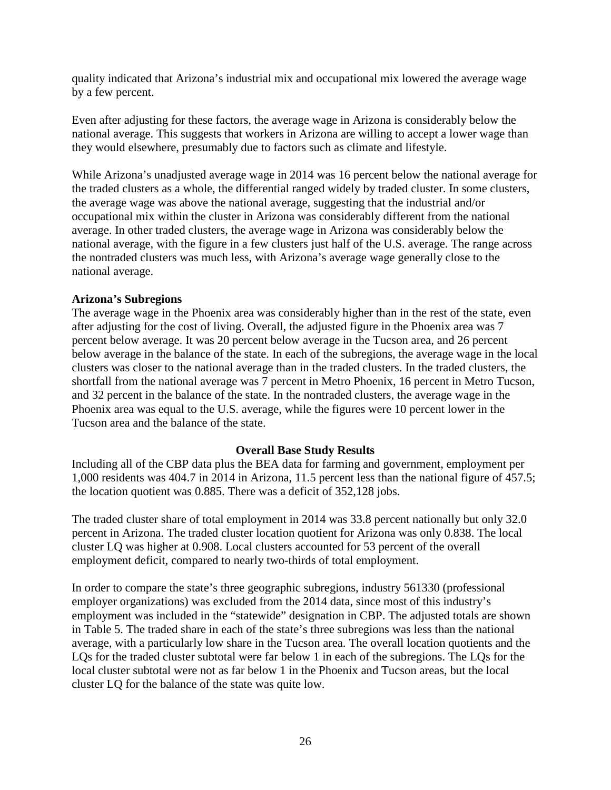quality indicated that Arizona's industrial mix and occupational mix lowered the average wage by a few percent.

Even after adjusting for these factors, the average wage in Arizona is considerably below the national average. This suggests that workers in Arizona are willing to accept a lower wage than they would elsewhere, presumably due to factors such as climate and lifestyle.

While Arizona's unadjusted average wage in 2014 was 16 percent below the national average for the traded clusters as a whole, the differential ranged widely by traded cluster. In some clusters, the average wage was above the national average, suggesting that the industrial and/or occupational mix within the cluster in Arizona was considerably different from the national average. In other traded clusters, the average wage in Arizona was considerably below the national average, with the figure in a few clusters just half of the U.S. average. The range across the nontraded clusters was much less, with Arizona's average wage generally close to the national average.

#### **Arizona's Subregions**

The average wage in the Phoenix area was considerably higher than in the rest of the state, even after adjusting for the cost of living. Overall, the adjusted figure in the Phoenix area was 7 percent below average. It was 20 percent below average in the Tucson area, and 26 percent below average in the balance of the state. In each of the subregions, the average wage in the local clusters was closer to the national average than in the traded clusters. In the traded clusters, the shortfall from the national average was 7 percent in Metro Phoenix, 16 percent in Metro Tucson, and 32 percent in the balance of the state. In the nontraded clusters, the average wage in the Phoenix area was equal to the U.S. average, while the figures were 10 percent lower in the Tucson area and the balance of the state.

#### **Overall Base Study Results**

Including all of the CBP data plus the BEA data for farming and government, employment per 1,000 residents was 404.7 in 2014 in Arizona, 11.5 percent less than the national figure of 457.5; the location quotient was 0.885. There was a deficit of 352,128 jobs.

The traded cluster share of total employment in 2014 was 33.8 percent nationally but only 32.0 percent in Arizona. The traded cluster location quotient for Arizona was only 0.838. The local cluster LQ was higher at 0.908. Local clusters accounted for 53 percent of the overall employment deficit, compared to nearly two-thirds of total employment.

In order to compare the state's three geographic subregions, industry 561330 (professional employer organizations) was excluded from the 2014 data, since most of this industry's employment was included in the "statewide" designation in CBP. The adjusted totals are shown in Table 5. The traded share in each of the state's three subregions was less than the national average, with a particularly low share in the Tucson area. The overall location quotients and the LQs for the traded cluster subtotal were far below 1 in each of the subregions. The LQs for the local cluster subtotal were not as far below 1 in the Phoenix and Tucson areas, but the local cluster LQ for the balance of the state was quite low.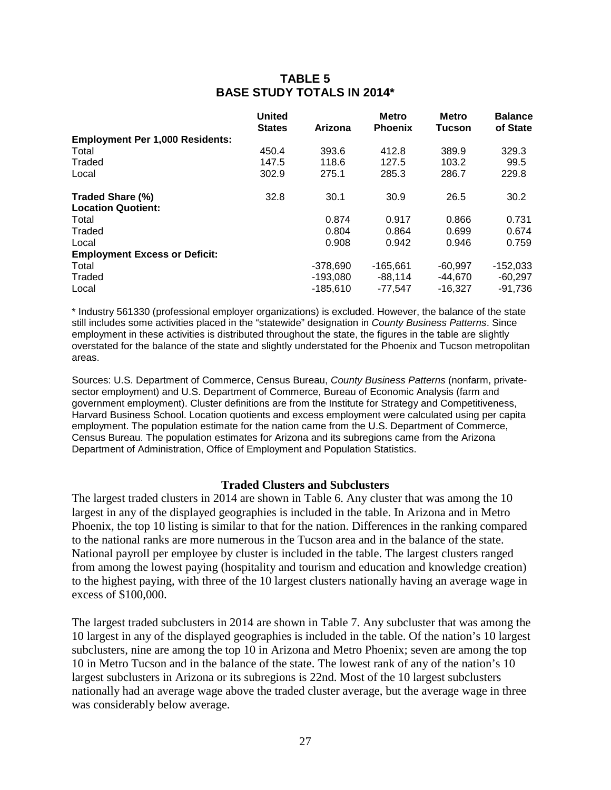# **TABLE 5 BASE STUDY TOTALS IN 2014\***

|                                        | <b>United</b> |            | <b>Metro</b>   | <b>Metro</b>  | <b>Balance</b> |
|----------------------------------------|---------------|------------|----------------|---------------|----------------|
|                                        | <b>States</b> | Arizona    | <b>Phoenix</b> | <b>Tucson</b> | of State       |
| <b>Employment Per 1,000 Residents:</b> |               |            |                |               |                |
| Total                                  | 450.4         | 393.6      | 412.8          | 389.9         | 329.3          |
| Traded                                 | 147.5         | 118.6      | 127.5          | 103.2         | 99.5           |
| Local                                  | 302.9         | 275.1      | 285.3          | 286.7         | 229.8          |
| Traded Share (%)                       | 32.8          | 30.1       | 30.9           | 26.5          | 30.2           |
| <b>Location Quotient:</b>              |               |            |                |               |                |
| Total                                  |               | 0.874      | 0.917          | 0.866         | 0.731          |
| Traded                                 |               | 0.804      | 0.864          | 0.699         | 0.674          |
| Local                                  |               | 0.908      | 0.942          | 0.946         | 0.759          |
| <b>Employment Excess or Deficit:</b>   |               |            |                |               |                |
| Total                                  |               | $-378,690$ | $-165.661$     | $-60.997$     | $-152,033$     |
| Traded                                 |               | $-193,080$ | -88,114        | -44,670       | $-60,297$      |
| Local                                  |               | $-185.610$ | -77.547        | $-16.327$     | -91.736        |

\* Industry 561330 (professional employer organizations) is excluded. However, the balance of the state still includes some activities placed in the "statewide" designation in *County Business Patterns*. Since employment in these activities is distributed throughout the state, the figures in the table are slightly overstated for the balance of the state and slightly understated for the Phoenix and Tucson metropolitan areas.

Sources: U.S. Department of Commerce, Census Bureau, *County Business Patterns* (nonfarm, privatesector employment) and U.S. Department of Commerce, Bureau of Economic Analysis (farm and government employment). Cluster definitions are from the Institute for Strategy and Competitiveness, Harvard Business School. Location quotients and excess employment were calculated using per capita employment. The population estimate for the nation came from the U.S. Department of Commerce, Census Bureau. The population estimates for Arizona and its subregions came from the Arizona Department of Administration, Office of Employment and Population Statistics.

#### **Traded Clusters and Subclusters**

The largest traded clusters in 2014 are shown in Table 6. Any cluster that was among the 10 largest in any of the displayed geographies is included in the table. In Arizona and in Metro Phoenix, the top 10 listing is similar to that for the nation. Differences in the ranking compared to the national ranks are more numerous in the Tucson area and in the balance of the state. National payroll per employee by cluster is included in the table. The largest clusters ranged from among the lowest paying (hospitality and tourism and education and knowledge creation) to the highest paying, with three of the 10 largest clusters nationally having an average wage in excess of \$100,000.

The largest traded subclusters in 2014 are shown in Table 7. Any subcluster that was among the 10 largest in any of the displayed geographies is included in the table. Of the nation's 10 largest subclusters, nine are among the top 10 in Arizona and Metro Phoenix; seven are among the top 10 in Metro Tucson and in the balance of the state. The lowest rank of any of the nation's 10 largest subclusters in Arizona or its subregions is 22nd. Most of the 10 largest subclusters nationally had an average wage above the traded cluster average, but the average wage in three was considerably below average.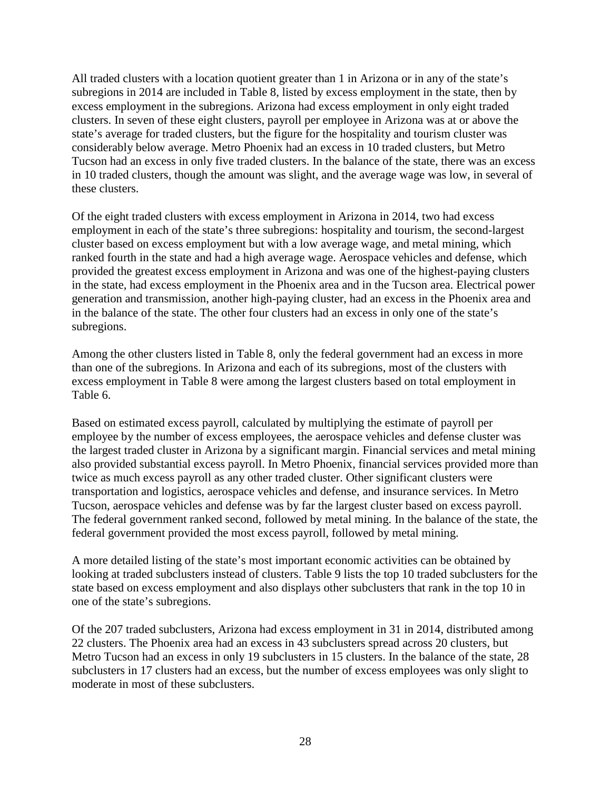All traded clusters with a location quotient greater than 1 in Arizona or in any of the state's subregions in 2014 are included in Table 8, listed by excess employment in the state, then by excess employment in the subregions. Arizona had excess employment in only eight traded clusters. In seven of these eight clusters, payroll per employee in Arizona was at or above the state's average for traded clusters, but the figure for the hospitality and tourism cluster was considerably below average. Metro Phoenix had an excess in 10 traded clusters, but Metro Tucson had an excess in only five traded clusters. In the balance of the state, there was an excess in 10 traded clusters, though the amount was slight, and the average wage was low, in several of these clusters.

Of the eight traded clusters with excess employment in Arizona in 2014, two had excess employment in each of the state's three subregions: hospitality and tourism, the second-largest cluster based on excess employment but with a low average wage, and metal mining, which ranked fourth in the state and had a high average wage. Aerospace vehicles and defense, which provided the greatest excess employment in Arizona and was one of the highest-paying clusters in the state, had excess employment in the Phoenix area and in the Tucson area. Electrical power generation and transmission, another high-paying cluster, had an excess in the Phoenix area and in the balance of the state. The other four clusters had an excess in only one of the state's subregions.

Among the other clusters listed in Table 8, only the federal government had an excess in more than one of the subregions. In Arizona and each of its subregions, most of the clusters with excess employment in Table 8 were among the largest clusters based on total employment in Table 6.

Based on estimated excess payroll, calculated by multiplying the estimate of payroll per employee by the number of excess employees, the aerospace vehicles and defense cluster was the largest traded cluster in Arizona by a significant margin. Financial services and metal mining also provided substantial excess payroll. In Metro Phoenix, financial services provided more than twice as much excess payroll as any other traded cluster. Other significant clusters were transportation and logistics, aerospace vehicles and defense, and insurance services. In Metro Tucson, aerospace vehicles and defense was by far the largest cluster based on excess payroll. The federal government ranked second, followed by metal mining. In the balance of the state, the federal government provided the most excess payroll, followed by metal mining.

A more detailed listing of the state's most important economic activities can be obtained by looking at traded subclusters instead of clusters. Table 9 lists the top 10 traded subclusters for the state based on excess employment and also displays other subclusters that rank in the top 10 in one of the state's subregions.

Of the 207 traded subclusters, Arizona had excess employment in 31 in 2014, distributed among 22 clusters. The Phoenix area had an excess in 43 subclusters spread across 20 clusters, but Metro Tucson had an excess in only 19 subclusters in 15 clusters. In the balance of the state, 28 subclusters in 17 clusters had an excess, but the number of excess employees was only slight to moderate in most of these subclusters.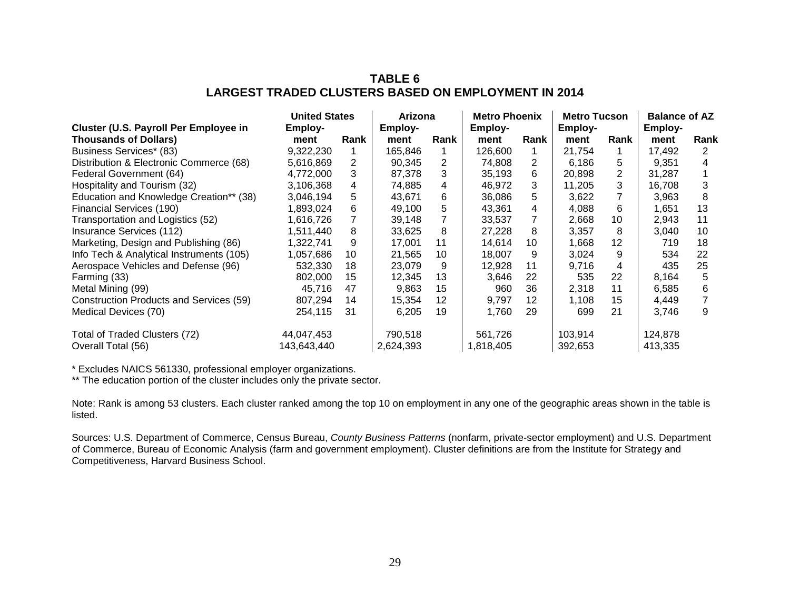# **TABLE 6 LARGEST TRADED CLUSTERS BASED ON EMPLOYMENT IN 2014**

|                                          | <b>United States</b> |      | Arizona   |      | <b>Metro Phoenix</b> |      | <b>Metro Tucson</b> |                | <b>Balance of AZ</b> |      |
|------------------------------------------|----------------------|------|-----------|------|----------------------|------|---------------------|----------------|----------------------|------|
| Cluster (U.S. Payroll Per Employee in    | Employ-              |      | Employ-   |      | Employ-              |      | <b>Employ-</b>      |                | Employ-              |      |
| <b>Thousands of Dollars)</b>             | ment                 | Rank | ment      | Rank | ment                 | Rank | ment                | Rank           | ment                 | Rank |
| Business Services* (83)                  | 9,322,230            |      | 165.846   |      | 126,600              |      | 21,754              |                | 17.492               | 2    |
| Distribution & Electronic Commerce (68)  | 5,616,869            | 2    | 90,345    | 2    | 74,808               | 2    | 6,186               | 5              | 9,351                | 4    |
| Federal Government (64)                  | 4,772,000            | 3    | 87,378    | 3    | 35,193               | 6    | 20,898              | $\overline{2}$ | 31,287               |      |
| Hospitality and Tourism (32)             | 3,106,368            | 4    | 74,885    | 4    | 46,972               | 3    | 11,205              | 3              | 16,708               | 3    |
| Education and Knowledge Creation** (38)  | 3,046,194            | 5    | 43,671    | 6    | 36,086               | 5    | 3,622               |                | 3,963                | 8    |
| Financial Services (190)                 | 1,893,024            | 6    | 49,100    | 5    | 43,361               | 4    | 4,088               | 6              | 1,651                | 13   |
| Transportation and Logistics (52)        | 1,616,726            |      | 39,148    |      | 33,537               |      | 2,668               | 10             | 2,943                | 11   |
| Insurance Services (112)                 | 1,511,440            | 8    | 33,625    | 8    | 27,228               | 8    | 3,357               | 8              | 3,040                | 10   |
| Marketing, Design and Publishing (86)    | 1,322,741            | 9    | 17,001    | 11   | 14.614               | 10   | 1,668               | 12             | 719                  | 18   |
| Info Tech & Analytical Instruments (105) | 1,057,686            | 10   | 21,565    | 10   | 18,007               | 9    | 3,024               | 9              | 534                  | 22   |
| Aerospace Vehicles and Defense (96)      | 532,330              | 18   | 23,079    | 9    | 12.928               | 11   | 9,716               | 4              | 435                  | 25   |
| Farming (33)                             | 802,000              | 15   | 12,345    | 13   | 3,646                | 22   | 535                 | 22             | 8,164                | 5    |
| Metal Mining (99)                        | 45,716               | 47   | 9.863     | 15   | 960                  | 36   | 2.318               | 11             | 6,585                | 6    |
| Construction Products and Services (59)  | 807.294              | 14   | 15,354    | 12   | 9.797                | 12   | 1,108               | 15             | 4,449                |      |
| Medical Devices (70)                     | 254,115              | 31   | 6,205     | 19   | 1.760                | 29   | 699                 | 21             | 3,746                | 9    |
| Total of Traded Clusters (72)            | 44,047,453           |      | 790,518   |      | 561,726              |      | 103.914             |                | 124,878              |      |
| Overall Total (56)                       | 143,643,440          |      | 2,624,393 |      | 1,818,405            |      | 392,653             |                | 413,335              |      |

\* Excludes NAICS 561330, professional employer organizations.

\*\* The education portion of the cluster includes only the private sector.

Note: Rank is among 53 clusters. Each cluster ranked among the top 10 on employment in any one of the geographic areas shown in the table is listed.

Sources: U.S. Department of Commerce, Census Bureau, *County Business Patterns* (nonfarm, private-sector employment) and U.S. Department of Commerce, Bureau of Economic Analysis (farm and government employment). Cluster definitions are from the Institute for Strategy and Competitiveness, Harvard Business School.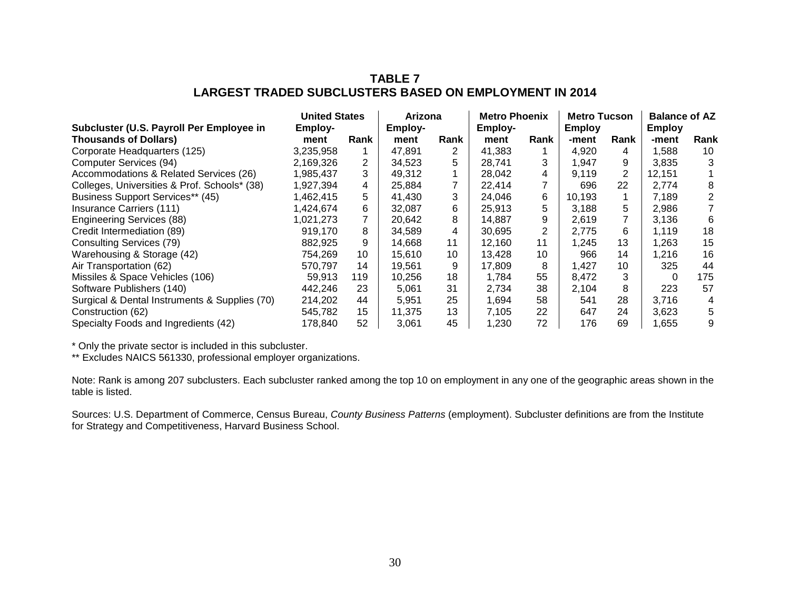# **TABLE 7 LARGEST TRADED SUBCLUSTERS BASED ON EMPLOYMENT IN 2014**

|                                               | <b>United States</b> |                | Arizona |      | <b>Metro Phoenix</b> |      | <b>Metro Tucson</b> |                | <b>Balance of AZ</b> |      |
|-----------------------------------------------|----------------------|----------------|---------|------|----------------------|------|---------------------|----------------|----------------------|------|
| Subcluster (U.S. Payroll Per Employee in      | Employ-              |                | Employ- |      | Employ-              |      | <b>Employ</b>       |                | <b>Employ</b>        |      |
| <b>Thousands of Dollars)</b>                  | ment                 | Rank           | ment    | Rank | ment                 | Rank | -ment               | Rank           | -ment                | Rank |
| Corporate Headquarters (125)                  | 3,235,958            |                | 47,891  | 2    | 41.383               |      | 4,920               | 4              | .588                 | 10   |
| Computer Services (94)                        | 2,169,326            | 2              | 34,523  | 5    | 28,741               | 3    | 1.947               | 9              | 3,835                | 3    |
| Accommodations & Related Services (26)        | 1,985,437            | 3              | 49,312  |      | 28,042               | 4    | 9,119               | $\overline{2}$ | 12,151               |      |
| Colleges, Universities & Prof. Schools* (38)  | 1,927,394            | 4              | 25,884  |      | 22,414               |      | 696                 | 22             | 2.774                | 8    |
| Business Support Services** (45)              | 1,462,415            | 5.             | 41.430  | 3    | 24.046               | 6    | 10,193              |                | 7.189                | 2    |
| Insurance Carriers (111)                      | 1,424,674            | 6              | 32,087  | 6    | 25,913               | 5    | 3,188               | 5              | 2,986                | 7    |
| <b>Engineering Services (88)</b>              | 1,021,273            | $\overline{7}$ | 20,642  | 8    | 14,887               | 9    | 2,619               | 7              | 3,136                | 6    |
| Credit Intermediation (89)                    | 919,170              | 8              | 34,589  | 4    | 30.695               | 2    | 2,775               | 6              | 1.119                | 18   |
| Consulting Services (79)                      | 882,925              | 9              | 14.668  | 11   | 12.160               | 11   | 1.245               | 13             | .263                 | 15   |
| Warehousing & Storage (42)                    | 754.269              | 10             | 15.610  | 10   | 13.428               | 10   | 966                 | 14             | .216                 | 16   |
| Air Transportation (62)                       | 570,797              | 14             | 19,561  | 9    | 17.809               | 8    | 1.427               | 10             | 325                  | 44   |
| Missiles & Space Vehicles (106)               | 59.913               | 119            | 10,256  | 18   | 1.784                | 55   | 8.472               | 3              | 0                    | 175  |
| Software Publishers (140)                     | 442,246              | 23             | 5,061   | 31   | 2.734                | 38   | 2,104               | 8              | 223                  | 57   |
| Surgical & Dental Instruments & Supplies (70) | 214,202              | 44             | 5,951   | 25   | 1.694                | 58   | 541                 | 28             | 3.716                | 4    |
| Construction (62)                             | 545,782              | 15             | 11,375  | 13   | 7.105                | 22   | 647                 | 24             | 3,623                | 5    |
| Specialty Foods and Ingredients (42)          | 178,840              | 52             | 3,061   | 45   | 1.230                | 72   | 176                 | 69             | .655                 | 9    |

\* Only the private sector is included in this subcluster.

\*\* Excludes NAICS 561330, professional employer organizations.

Note: Rank is among 207 subclusters. Each subcluster ranked among the top 10 on employment in any one of the geographic areas shown in the table is listed.

Sources: U.S. Department of Commerce, Census Bureau, *County Business Patterns* (employment). Subcluster definitions are from the Institute for Strategy and Competitiveness, Harvard Business School.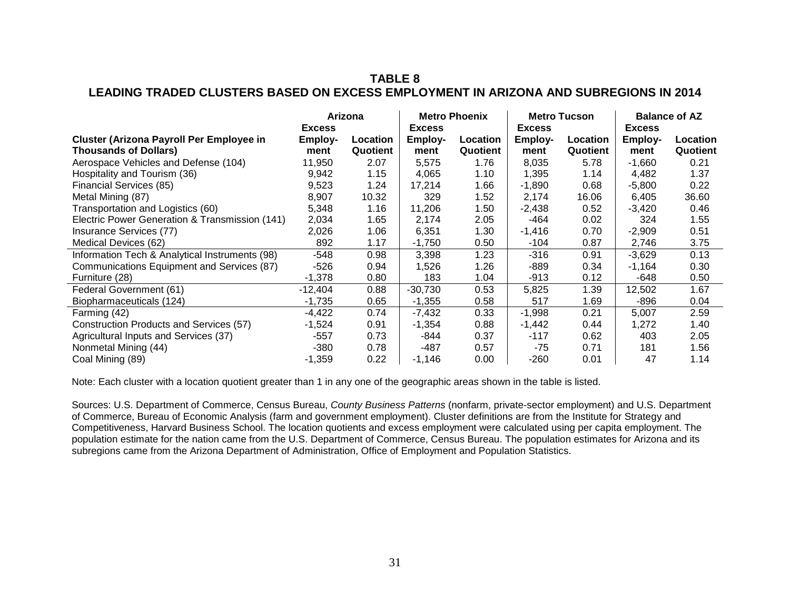# **TABLE 8 LEADING TRADED CLUSTERS BASED ON EXCESS EMPLOYMENT IN ARIZONA AND SUBREGIONS IN 2014**

|                                                 | Arizona       |          |               | <b>Metro Phoenix</b> |               | <b>Metro Tucson</b> | <b>Balance of AZ</b> |          |
|-------------------------------------------------|---------------|----------|---------------|----------------------|---------------|---------------------|----------------------|----------|
|                                                 | <b>Excess</b> |          | <b>Excess</b> |                      | <b>Excess</b> |                     | <b>Excess</b>        |          |
| <b>Cluster (Arizona Payroll Per Employee in</b> | Employ-       | Location | Employ-       | Location             | Employ-       | Location            | Employ-              | Location |
| <b>Thousands of Dollars)</b>                    | ment          | Quotient | ment          | Quotient             | ment          | Quotient            | ment                 | Quotient |
| Aerospace Vehicles and Defense (104)            | 11,950        | 2.07     | 5,575         | 1.76                 | 8,035         | 5.78                | $-1,660$             | 0.21     |
| Hospitality and Tourism (36)                    | 9,942         | 1.15     | 4,065         | 1.10                 | 1,395         | 1.14                | 4,482                | 1.37     |
| Financial Services (85)                         | 9,523         | 1.24     | 17,214        | 1.66                 | $-1,890$      | 0.68                | $-5,800$             | 0.22     |
| Metal Mining (87)                               | 8,907         | 10.32    | 329           | 1.52                 | 2,174         | 16.06               | 6,405                | 36.60    |
| Transportation and Logistics (60)               | 5,348         | 1.16     | 11,206        | 1.50                 | $-2,438$      | 0.52                | $-3,420$             | 0.46     |
| Electric Power Generation & Transmission (141)  | 2,034         | 1.65     | 2,174         | 2.05                 | -464          | 0.02                | 324                  | 1.55     |
| Insurance Services (77)                         | 2,026         | 1.06     | 6,351         | 1.30                 | $-1,416$      | 0.70                | $-2,909$             | 0.51     |
| Medical Devices (62)                            | 892           | 1.17     | $-1,750$      | 0.50                 | -104          | 0.87                | 2,746                | 3.75     |
| Information Tech & Analytical Instruments (98)  | -548          | 0.98     | 3,398         | 1.23                 | -316          | 0.91                | $-3,629$             | 0.13     |
| Communications Equipment and Services (87)      | -526          | 0.94     | 1,526         | 1.26                 | -889          | 0.34                | $-1,164$             | 0.30     |
| Furniture (28)                                  | $-1,378$      | 0.80     | 183           | 1.04                 | $-913$        | 0.12                | -648                 | 0.50     |
| Federal Government (61)                         | $-12,404$     | 0.88     | $-30,730$     | 0.53                 | 5,825         | 1.39                | 12,502               | 1.67     |
| Biopharmaceuticals (124)                        | $-1,735$      | 0.65     | $-1,355$      | 0.58                 | 517           | 1.69                | -896                 | 0.04     |
| Farming (42)                                    | $-4,422$      | 0.74     | $-7,432$      | 0.33                 | $-1,998$      | 0.21                | 5,007                | 2.59     |
| Construction Products and Services (57)         | $-1,524$      | 0.91     | $-1,354$      | 0.88                 | $-1,442$      | 0.44                | 1,272                | 1.40     |
| Agricultural Inputs and Services (37)           | $-557$        | 0.73     | -844          | 0.37                 | $-117$        | 0.62                | 403                  | 2.05     |
| Nonmetal Mining (44)                            | -380          | 0.78     | -487          | 0.57                 | -75           | 0.71                | 181                  | 1.56     |
| Coal Mining (89)                                | $-1,359$      | 0.22     | $-1,146$      | 0.00                 | $-260$        | 0.01                | 47                   | 1.14     |

Note: Each cluster with a location quotient greater than 1 in any one of the geographic areas shown in the table is listed.

Sources: U.S. Department of Commerce, Census Bureau, *County Business Patterns* (nonfarm, private-sector employment) and U.S. Department of Commerce, Bureau of Economic Analysis (farm and government employment). Cluster definitions are from the Institute for Strategy and Competitiveness, Harvard Business School. The location quotients and excess employment were calculated using per capita employment. The population estimate for the nation came from the U.S. Department of Commerce, Census Bureau. The population estimates for Arizona and its subregions came from the Arizona Department of Administration, Office of Employment and Population Statistics.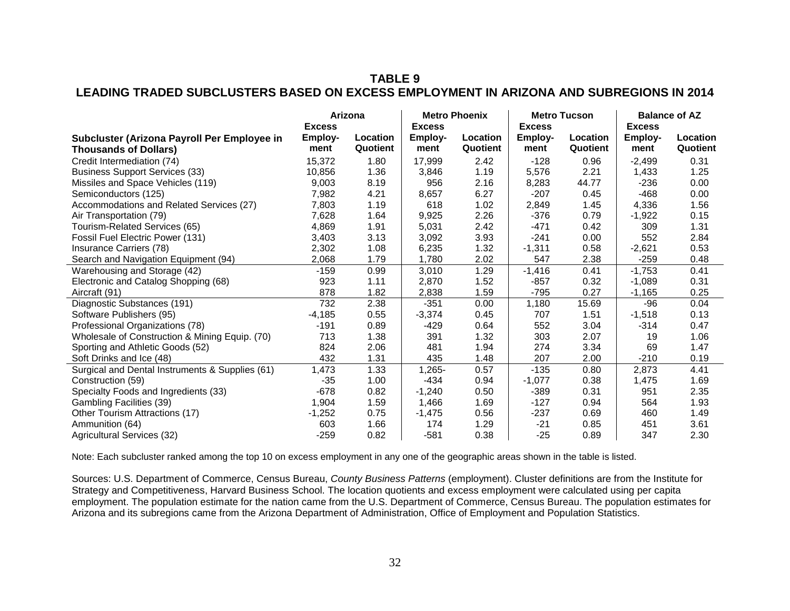# **TABLE 9 LEADING TRADED SUBCLUSTERS BASED ON EXCESS EMPLOYMENT IN ARIZONA AND SUBREGIONS IN 2014**

|                                                                             | Arizona<br><b>Excess</b> |                      |                                  | <b>Metro Phoenix</b> |                                         | <b>Metro Tucson</b>  | <b>Balance of AZ</b><br><b>Excess</b> |                      |
|-----------------------------------------------------------------------------|--------------------------|----------------------|----------------------------------|----------------------|-----------------------------------------|----------------------|---------------------------------------|----------------------|
| Subcluster (Arizona Payroll Per Employee in<br><b>Thousands of Dollars)</b> | Employ-<br>ment          | Location<br>Quotient | <b>Excess</b><br>Employ-<br>ment | Location<br>Quotient | <b>Excess</b><br><b>Employ-</b><br>ment | Location<br>Quotient | Employ-<br>ment                       | Location<br>Quotient |
| Credit Intermediation (74)                                                  | 15,372                   | 1.80                 | 17,999                           | 2.42                 | $-128$                                  | 0.96                 | $-2,499$                              | 0.31                 |
| <b>Business Support Services (33)</b>                                       | 10.856                   | 1.36                 | 3,846                            | 1.19                 | 5,576                                   | 2.21                 | 1,433                                 | 1.25                 |
| Missiles and Space Vehicles (119)                                           | 9,003                    | 8.19                 | 956                              | 2.16                 | 8,283                                   | 44.77                | $-236$                                | 0.00                 |
| Semiconductors (125)                                                        | 7,982                    | 4.21                 | 8,657                            | 6.27                 | $-207$                                  | 0.45                 | $-468$                                | 0.00                 |
| Accommodations and Related Services (27)                                    | 7,803                    | 1.19                 | 618                              | 1.02                 | 2,849                                   | 1.45                 | 4,336                                 | 1.56                 |
| Air Transportation (79)                                                     | 7,628                    | 1.64                 | 9,925                            | 2.26                 | $-376$                                  | 0.79                 | $-1,922$                              | 0.15                 |
| Tourism-Related Services (65)                                               | 4,869                    | 1.91                 | 5,031                            | 2.42                 | $-471$                                  | 0.42                 | 309                                   | 1.31                 |
| Fossil Fuel Electric Power (131)                                            | 3,403                    | 3.13                 | 3,092                            | 3.93                 | $-241$                                  | 0.00                 | 552                                   | 2.84                 |
| Insurance Carriers (78)                                                     | 2,302                    | 1.08                 | 6,235                            | 1.32                 | $-1,311$                                | 0.58                 | $-2,621$                              | 0.53                 |
| Search and Navigation Equipment (94)                                        | 2,068                    | 1.79                 | 1,780                            | 2.02                 | 547                                     | 2.38                 | -259                                  | 0.48                 |
| Warehousing and Storage (42)                                                | $-159$                   | 0.99                 | 3,010                            | 1.29                 | $-1,416$                                | 0.41                 | $-1,753$                              | 0.41                 |
| Electronic and Catalog Shopping (68)                                        | 923                      | 1.11                 | 2,870                            | 1.52                 | $-857$                                  | 0.32                 | $-1,089$                              | 0.31                 |
| Aircraft (91)                                                               | 878                      | 1.82                 | 2,838                            | 1.59                 | $-795$                                  | 0.27                 | $-1,165$                              | 0.25                 |
| Diagnostic Substances (191)                                                 | 732                      | 2.38                 | $-351$                           | 0.00                 | 1,180                                   | 15.69                | $-96$                                 | 0.04                 |
| Software Publishers (95)                                                    | $-4,185$                 | 0.55                 | $-3,374$                         | 0.45                 | 707                                     | 1.51                 | $-1,518$                              | 0.13                 |
| Professional Organizations (78)                                             | $-191$                   | 0.89                 | $-429$                           | 0.64                 | 552                                     | 3.04                 | $-314$                                | 0.47                 |
| Wholesale of Construction & Mining Equip. (70)                              | 713                      | 1.38                 | 391                              | 1.32                 | 303                                     | 2.07                 | 19                                    | 1.06                 |
| Sporting and Athletic Goods (52)                                            | 824                      | 2.06                 | 481                              | 1.94                 | 274                                     | 3.34                 | 69                                    | 1.47                 |
| Soft Drinks and Ice (48)                                                    | 432                      | 1.31                 | 435                              | 1.48                 | 207                                     | 2.00                 | -210                                  | 0.19                 |
| Surgical and Dental Instruments & Supplies (61)                             | 1,473                    | 1.33                 | 1,265-                           | 0.57                 | $-135$                                  | 0.80                 | 2,873                                 | 4.41                 |
| Construction (59)                                                           | $-35$                    | 1.00                 | $-434$                           | 0.94                 | $-1,077$                                | 0.38                 | 1,475                                 | 1.69                 |
| Specialty Foods and Ingredients (33)                                        | $-678$                   | 0.82                 | $-1,240$                         | 0.50                 | $-389$                                  | 0.31                 | 951                                   | 2.35                 |
| <b>Gambling Facilities (39)</b>                                             | 1,904                    | 1.59                 | 1,466                            | 1.69                 | $-127$                                  | 0.94                 | 564                                   | 1.93                 |
| Other Tourism Attractions (17)                                              | $-1,252$                 | 0.75                 | $-1,475$                         | 0.56                 | $-237$                                  | 0.69                 | 460                                   | 1.49                 |
| Ammunition (64)                                                             | 603                      | 1.66                 | 174                              | 1.29                 | $-21$                                   | 0.85                 | 451                                   | 3.61                 |
| Agricultural Services (32)                                                  | $-259$                   | 0.82                 | $-581$                           | 0.38                 | $-25$                                   | 0.89                 | 347                                   | 2.30                 |

Note: Each subcluster ranked among the top 10 on excess employment in any one of the geographic areas shown in the table is listed.

Sources: U.S. Department of Commerce, Census Bureau, *County Business Patterns* (employment). Cluster definitions are from the Institute for Strategy and Competitiveness, Harvard Business School. The location quotients and excess employment were calculated using per capita employment. The population estimate for the nation came from the U.S. Department of Commerce, Census Bureau. The population estimates for Arizona and its subregions came from the Arizona Department of Administration, Office of Employment and Population Statistics.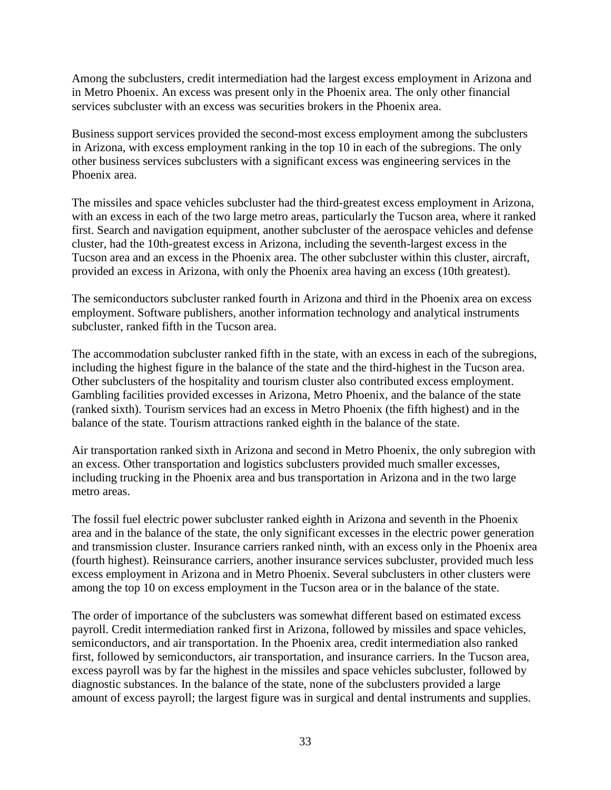Among the subclusters, credit intermediation had the largest excess employment in Arizona and in Metro Phoenix. An excess was present only in the Phoenix area. The only other financial services subcluster with an excess was securities brokers in the Phoenix area.

Business support services provided the second-most excess employment among the subclusters in Arizona, with excess employment ranking in the top 10 in each of the subregions. The only other business services subclusters with a significant excess was engineering services in the Phoenix area.

The missiles and space vehicles subcluster had the third-greatest excess employment in Arizona, with an excess in each of the two large metro areas, particularly the Tucson area, where it ranked first. Search and navigation equipment, another subcluster of the aerospace vehicles and defense cluster, had the 10th-greatest excess in Arizona, including the seventh-largest excess in the Tucson area and an excess in the Phoenix area. The other subcluster within this cluster, aircraft, provided an excess in Arizona, with only the Phoenix area having an excess (10th greatest).

The semiconductors subcluster ranked fourth in Arizona and third in the Phoenix area on excess employment. Software publishers, another information technology and analytical instruments subcluster, ranked fifth in the Tucson area.

The accommodation subcluster ranked fifth in the state, with an excess in each of the subregions, including the highest figure in the balance of the state and the third-highest in the Tucson area. Other subclusters of the hospitality and tourism cluster also contributed excess employment. Gambling facilities provided excesses in Arizona, Metro Phoenix, and the balance of the state (ranked sixth). Tourism services had an excess in Metro Phoenix (the fifth highest) and in the balance of the state. Tourism attractions ranked eighth in the balance of the state.

Air transportation ranked sixth in Arizona and second in Metro Phoenix, the only subregion with an excess. Other transportation and logistics subclusters provided much smaller excesses, including trucking in the Phoenix area and bus transportation in Arizona and in the two large metro areas.

The fossil fuel electric power subcluster ranked eighth in Arizona and seventh in the Phoenix area and in the balance of the state, the only significant excesses in the electric power generation and transmission cluster. Insurance carriers ranked ninth, with an excess only in the Phoenix area (fourth highest). Reinsurance carriers, another insurance services subcluster, provided much less excess employment in Arizona and in Metro Phoenix. Several subclusters in other clusters were among the top 10 on excess employment in the Tucson area or in the balance of the state.

The order of importance of the subclusters was somewhat different based on estimated excess payroll. Credit intermediation ranked first in Arizona, followed by missiles and space vehicles, semiconductors, and air transportation. In the Phoenix area, credit intermediation also ranked first, followed by semiconductors, air transportation, and insurance carriers. In the Tucson area, excess payroll was by far the highest in the missiles and space vehicles subcluster, followed by diagnostic substances. In the balance of the state, none of the subclusters provided a large amount of excess payroll; the largest figure was in surgical and dental instruments and supplies.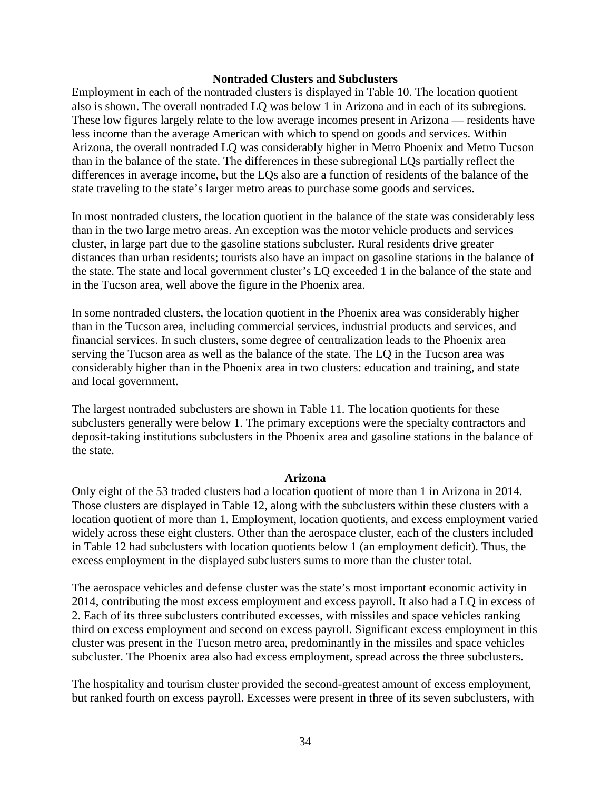#### **Nontraded Clusters and Subclusters**

Employment in each of the nontraded clusters is displayed in Table 10. The location quotient also is shown. The overall nontraded LQ was below 1 in Arizona and in each of its subregions. These low figures largely relate to the low average incomes present in Arizona — residents have less income than the average American with which to spend on goods and services. Within Arizona, the overall nontraded LQ was considerably higher in Metro Phoenix and Metro Tucson than in the balance of the state. The differences in these subregional LQs partially reflect the differences in average income, but the LQs also are a function of residents of the balance of the state traveling to the state's larger metro areas to purchase some goods and services.

In most nontraded clusters, the location quotient in the balance of the state was considerably less than in the two large metro areas. An exception was the motor vehicle products and services cluster, in large part due to the gasoline stations subcluster. Rural residents drive greater distances than urban residents; tourists also have an impact on gasoline stations in the balance of the state. The state and local government cluster's LQ exceeded 1 in the balance of the state and in the Tucson area, well above the figure in the Phoenix area.

In some nontraded clusters, the location quotient in the Phoenix area was considerably higher than in the Tucson area, including commercial services, industrial products and services, and financial services. In such clusters, some degree of centralization leads to the Phoenix area serving the Tucson area as well as the balance of the state. The LQ in the Tucson area was considerably higher than in the Phoenix area in two clusters: education and training, and state and local government.

The largest nontraded subclusters are shown in Table 11. The location quotients for these subclusters generally were below 1. The primary exceptions were the specialty contractors and deposit-taking institutions subclusters in the Phoenix area and gasoline stations in the balance of the state.

#### **Arizona**

Only eight of the 53 traded clusters had a location quotient of more than 1 in Arizona in 2014. Those clusters are displayed in Table 12, along with the subclusters within these clusters with a location quotient of more than 1. Employment, location quotients, and excess employment varied widely across these eight clusters. Other than the aerospace cluster, each of the clusters included in Table 12 had subclusters with location quotients below 1 (an employment deficit). Thus, the excess employment in the displayed subclusters sums to more than the cluster total.

The aerospace vehicles and defense cluster was the state's most important economic activity in 2014, contributing the most excess employment and excess payroll. It also had a LQ in excess of 2. Each of its three subclusters contributed excesses, with missiles and space vehicles ranking third on excess employment and second on excess payroll. Significant excess employment in this cluster was present in the Tucson metro area, predominantly in the missiles and space vehicles subcluster. The Phoenix area also had excess employment, spread across the three subclusters.

The hospitality and tourism cluster provided the second-greatest amount of excess employment, but ranked fourth on excess payroll. Excesses were present in three of its seven subclusters, with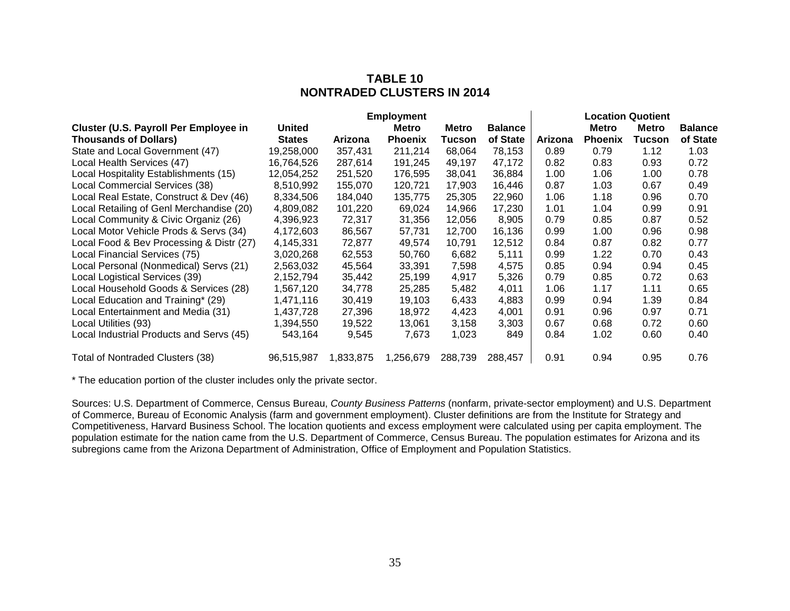# **TABLE 10 NONTRADED CLUSTERS IN 2014**

|                                          |               |           | <b>Employment</b> |         |                |         |                | <b>Location Quotient</b> |                |
|------------------------------------------|---------------|-----------|-------------------|---------|----------------|---------|----------------|--------------------------|----------------|
| Cluster (U.S. Payroll Per Employee in    | <b>United</b> |           | Metro             | Metro   | <b>Balance</b> |         | <b>Metro</b>   | Metro                    | <b>Balance</b> |
| <b>Thousands of Dollars)</b>             | <b>States</b> | Arizona   | <b>Phoenix</b>    | Tucson  | of State       | Arizona | <b>Phoenix</b> | Tucson                   | of State       |
| State and Local Government (47)          | 19,258,000    | 357,431   | 211,214           | 68,064  | 78,153         | 0.89    | 0.79           | 1.12                     | 1.03           |
| Local Health Services (47)               | 16,764,526    | 287,614   | 191,245           | 49,197  | 47,172         | 0.82    | 0.83           | 0.93                     | 0.72           |
| Local Hospitality Establishments (15)    | 12,054,252    | 251,520   | 176,595           | 38,041  | 36,884         | 1.00    | 1.06           | 1.00                     | 0.78           |
| Local Commercial Services (38)           | 8,510,992     | 155,070   | 120,721           | 17,903  | 16,446         | 0.87    | 1.03           | 0.67                     | 0.49           |
| Local Real Estate, Construct & Dev (46)  | 8,334,506     | 184,040   | 135,775           | 25,305  | 22,960         | 1.06    | 1.18           | 0.96                     | 0.70           |
| Local Retailing of Genl Merchandise (20) | 4,809,082     | 101,220   | 69,024            | 14,966  | 17,230         | 1.01    | 1.04           | 0.99                     | 0.91           |
| Local Community & Civic Organiz (26)     | 4,396,923     | 72,317    | 31,356            | 12,056  | 8,905          | 0.79    | 0.85           | 0.87                     | 0.52           |
| Local Motor Vehicle Prods & Servs (34)   | 4,172,603     | 86,567    | 57,731            | 12,700  | 16,136         | 0.99    | 1.00           | 0.96                     | 0.98           |
| Local Food & Bev Processing & Distr (27) | 4,145,331     | 72,877    | 49,574            | 10,791  | 12,512         | 0.84    | 0.87           | 0.82                     | 0.77           |
| Local Financial Services (75)            | 3,020,268     | 62,553    | 50,760            | 6,682   | 5,111          | 0.99    | 1.22           | 0.70                     | 0.43           |
| Local Personal (Nonmedical) Servs (21)   | 2,563,032     | 45,564    | 33,391            | 7,598   | 4,575          | 0.85    | 0.94           | 0.94                     | 0.45           |
| Local Logistical Services (39)           | 2,152,794     | 35,442    | 25,199            | 4,917   | 5,326          | 0.79    | 0.85           | 0.72                     | 0.63           |
| Local Household Goods & Services (28)    | 1,567,120     | 34,778    | 25,285            | 5,482   | 4,011          | 1.06    | 1.17           | 1.11                     | 0.65           |
| Local Education and Training* (29)       | 1,471,116     | 30,419    | 19,103            | 6,433   | 4,883          | 0.99    | 0.94           | 1.39                     | 0.84           |
| Local Entertainment and Media (31)       | 1,437,728     | 27,396    | 18,972            | 4,423   | 4,001          | 0.91    | 0.96           | 0.97                     | 0.71           |
| Local Utilities (93)                     | 1,394,550     | 19,522    | 13,061            | 3,158   | 3,303          | 0.67    | 0.68           | 0.72                     | 0.60           |
| Local Industrial Products and Servs (45) | 543,164       | 9,545     | 7,673             | 1,023   | 849            | 0.84    | 1.02           | 0.60                     | 0.40           |
| Total of Nontraded Clusters (38)         | 96,515,987    | 1,833,875 | 1,256,679         | 288,739 | 288,457        | 0.91    | 0.94           | 0.95                     | 0.76           |

\* The education portion of the cluster includes only the private sector.

Sources: U.S. Department of Commerce, Census Bureau, *County Business Patterns* (nonfarm, private-sector employment) and U.S. Department of Commerce, Bureau of Economic Analysis (farm and government employment). Cluster definitions are from the Institute for Strategy and Competitiveness, Harvard Business School. The location quotients and excess employment were calculated using per capita employment. The population estimate for the nation came from the U.S. Department of Commerce, Census Bureau. The population estimates for Arizona and its subregions came from the Arizona Department of Administration, Office of Employment and Population Statistics.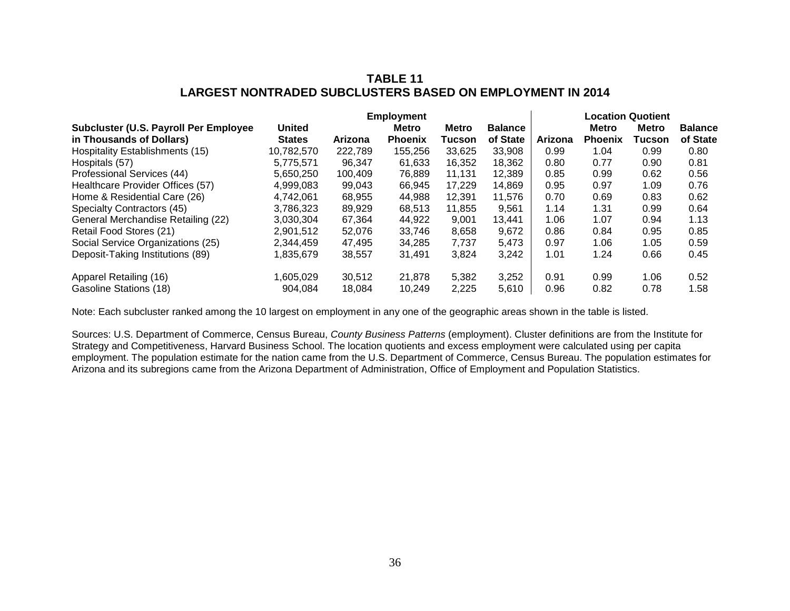# **TABLE 11 LARGEST NONTRADED SUBCLUSTERS BASED ON EMPLOYMENT IN 2014**

|                                        |               |         | <b>Employment</b> |              |                |         |                | Location Quotient |                |
|----------------------------------------|---------------|---------|-------------------|--------------|----------------|---------|----------------|-------------------|----------------|
| Subcluster (U.S. Payroll Per Employee  | <b>United</b> |         | Metro             | <b>Metro</b> | <b>Balance</b> |         | <b>Metro</b>   | <b>Metro</b>      | <b>Balance</b> |
| in Thousands of Dollars)               | <b>States</b> | Arizona | <b>Phoenix</b>    | Tucson       | of State       | Arizona | <b>Phoenix</b> | Tucson            | of State       |
| <b>Hospitality Establishments (15)</b> | 10,782,570    | 222,789 | 155.256           | 33,625       | 33.908         | 0.99    | 1.04           | 0.99              | 0.80           |
| Hospitals (57)                         | 5.775.571     | 96,347  | 61.633            | 16,352       | 18,362         | 0.80    | 0.77           | 0.90              | 0.81           |
| Professional Services (44)             | 5,650,250     | 100,409 | 76,889            | 11,131       | 12,389         | 0.85    | 0.99           | 0.62              | 0.56           |
| Healthcare Provider Offices (57)       | 4.999.083     | 99,043  | 66,945            | 17.229       | 14,869         | 0.95    | 0.97           | 1.09              | 0.76           |
| Home & Residential Care (26)           | 4,742,061     | 68,955  | 44,988            | 12,391       | 11,576         | 0.70    | 0.69           | 0.83              | 0.62           |
| Specialty Contractors (45)             | 3.786.323     | 89,929  | 68.513            | 11.855       | 9.561          | 1.14    | 1.31           | 0.99              | 0.64           |
| General Merchandise Retailing (22)     | 3.030.304     | 67,364  | 44.922            | 9.001        | 13.441         | 1.06    | 1.07           | 0.94              | 1.13           |
| Retail Food Stores (21)                | 2,901,512     | 52,076  | 33.746            | 8,658        | 9,672          | 0.86    | 0.84           | 0.95              | 0.85           |
| Social Service Organizations (25)      | 2,344,459     | 47.495  | 34,285            | 7,737        | 5,473          | 0.97    | 1.06           | 1.05              | 0.59           |
| Deposit-Taking Institutions (89)       | 1,835,679     | 38,557  | 31,491            | 3,824        | 3,242          | 1.01    | 1.24           | 0.66              | 0.45           |
| Apparel Retailing (16)                 | 1.605.029     | 30,512  | 21,878            | 5,382        | 3,252          | 0.91    | 0.99           | 1.06              | 0.52           |
| Gasoline Stations (18)                 | 904.084       | 18.084  | 10.249            | 2,225        | 5,610          | 0.96    | 0.82           | 0.78              | 1.58           |

Note: Each subcluster ranked among the 10 largest on employment in any one of the geographic areas shown in the table is listed.

Sources: U.S. Department of Commerce, Census Bureau, *County Business Patterns* (employment). Cluster definitions are from the Institute for Strategy and Competitiveness, Harvard Business School. The location quotients and excess employment were calculated using per capita employment. The population estimate for the nation came from the U.S. Department of Commerce, Census Bureau. The population estimates for Arizona and its subregions came from the Arizona Department of Administration, Office of Employment and Population Statistics.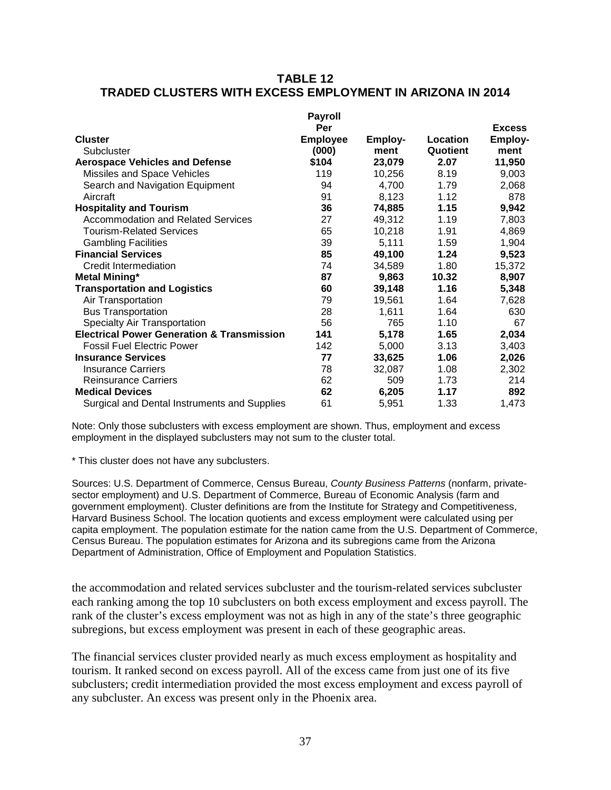# **TABLE 12 TRADED CLUSTERS WITH EXCESS EMPLOYMENT IN ARIZONA IN 2014**

|                                                       | <b>Payroll</b>         |         |          |                          |
|-------------------------------------------------------|------------------------|---------|----------|--------------------------|
| <b>Cluster</b>                                        | Per<br><b>Employee</b> | Employ- | Location | <b>Excess</b><br>Employ- |
| Subcluster                                            | (000)                  | ment    | Quotient | ment                     |
| <b>Aerospace Vehicles and Defense</b>                 | \$104                  | 23,079  | 2.07     | 11,950                   |
| Missiles and Space Vehicles                           | 119                    | 10,256  | 8.19     | 9,003                    |
| Search and Navigation Equipment                       | 94                     | 4,700   | 1.79     | 2,068                    |
| Aircraft                                              | 91                     | 8,123   | 1.12     | 878                      |
| <b>Hospitality and Tourism</b>                        | 36                     | 74,885  | 1.15     | 9,942                    |
| <b>Accommodation and Related Services</b>             | 27                     | 49,312  | 1.19     | 7,803                    |
| <b>Tourism-Related Services</b>                       | 65                     | 10,218  | 1.91     | 4,869                    |
| <b>Gambling Facilities</b>                            | 39                     | 5,111   | 1.59     | 1,904                    |
| <b>Financial Services</b>                             | 85                     | 49,100  | 1.24     | 9,523                    |
| Credit Intermediation                                 | 74                     | 34,589  | 1.80     | 15,372                   |
| <b>Metal Mining*</b>                                  | 87                     | 9,863   | 10.32    | 8,907                    |
| <b>Transportation and Logistics</b>                   | 60                     | 39,148  | 1.16     | 5,348                    |
| Air Transportation                                    | 79                     | 19,561  | 1.64     | 7,628                    |
| <b>Bus Transportation</b>                             | 28                     | 1,611   | 1.64     | 630                      |
| Specialty Air Transportation                          | 56                     | 765     | 1.10     | 67                       |
| <b>Electrical Power Generation &amp; Transmission</b> | 141                    | 5,178   | 1.65     | 2,034                    |
| <b>Fossil Fuel Electric Power</b>                     | 142                    | 5,000   | 3.13     | 3,403                    |
| <b>Insurance Services</b>                             | 77                     | 33,625  | 1.06     | 2,026                    |
| <b>Insurance Carriers</b>                             | 78                     | 32,087  | 1.08     | 2,302                    |
| <b>Reinsurance Carriers</b>                           | 62                     | 509     | 1.73     | 214                      |
| <b>Medical Devices</b>                                | 62                     | 6,205   | 1.17     | 892                      |
| Surgical and Dental Instruments and Supplies          | 61                     | 5,951   | 1.33     | 1,473                    |

Note: Only those subclusters with excess employment are shown. Thus, employment and excess employment in the displayed subclusters may not sum to the cluster total.

\* This cluster does not have any subclusters.

Sources: U.S. Department of Commerce, Census Bureau, *County Business Patterns* (nonfarm, privatesector employment) and U.S. Department of Commerce, Bureau of Economic Analysis (farm and government employment). Cluster definitions are from the Institute for Strategy and Competitiveness, Harvard Business School. The location quotients and excess employment were calculated using per capita employment. The population estimate for the nation came from the U.S. Department of Commerce, Census Bureau. The population estimates for Arizona and its subregions came from the Arizona Department of Administration, Office of Employment and Population Statistics.

the accommodation and related services subcluster and the tourism-related services subcluster each ranking among the top 10 subclusters on both excess employment and excess payroll. The rank of the cluster's excess employment was not as high in any of the state's three geographic subregions, but excess employment was present in each of these geographic areas.

The financial services cluster provided nearly as much excess employment as hospitality and tourism. It ranked second on excess payroll. All of the excess came from just one of its five subclusters; credit intermediation provided the most excess employment and excess payroll of any subcluster. An excess was present only in the Phoenix area.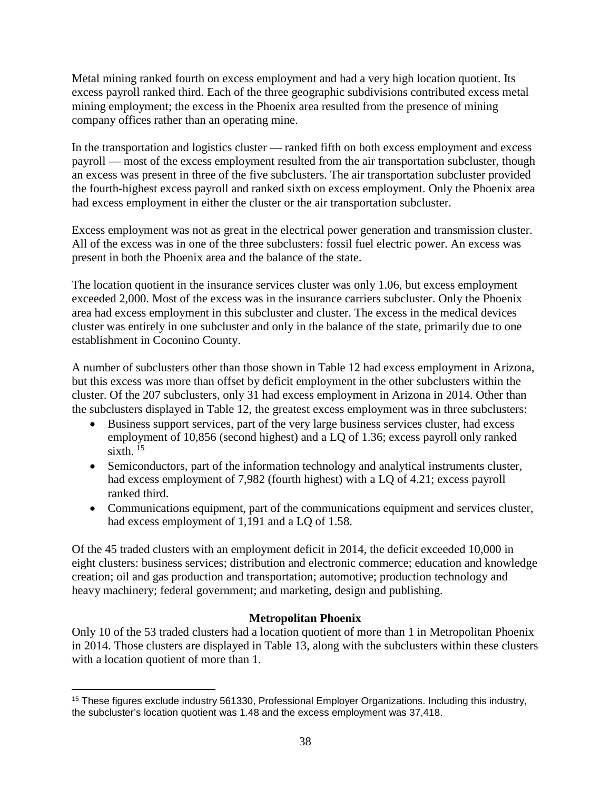Metal mining ranked fourth on excess employment and had a very high location quotient. Its excess payroll ranked third. Each of the three geographic subdivisions contributed excess metal mining employment; the excess in the Phoenix area resulted from the presence of mining company offices rather than an operating mine.

In the transportation and logistics cluster — ranked fifth on both excess employment and excess payroll — most of the excess employment resulted from the air transportation subcluster, though an excess was present in three of the five subclusters. The air transportation subcluster provided the fourth-highest excess payroll and ranked sixth on excess employment. Only the Phoenix area had excess employment in either the cluster or the air transportation subcluster.

Excess employment was not as great in the electrical power generation and transmission cluster. All of the excess was in one of the three subclusters: fossil fuel electric power. An excess was present in both the Phoenix area and the balance of the state.

The location quotient in the insurance services cluster was only 1.06, but excess employment exceeded 2,000. Most of the excess was in the insurance carriers subcluster. Only the Phoenix area had excess employment in this subcluster and cluster. The excess in the medical devices cluster was entirely in one subcluster and only in the balance of the state, primarily due to one establishment in Coconino County.

A number of subclusters other than those shown in Table 12 had excess employment in Arizona, but this excess was more than offset by deficit employment in the other subclusters within the cluster. Of the 207 subclusters, only 31 had excess employment in Arizona in 2014. Other than the subclusters displayed in Table 12, the greatest excess employment was in three subclusters:

- Business support services, part of the very large business services cluster, had excess employment of 10,856 (second highest) and a LQ of 1.36; excess payroll only ranked  $sixth$ <sup>[15](#page-39-0)</sup>
- Semiconductors, part of the information technology and analytical instruments cluster, had excess employment of 7,982 (fourth highest) with a LQ of 4.21; excess payroll ranked third.
- Communications equipment, part of the communications equipment and services cluster, had excess employment of 1,191 and a LQ of 1.58.

Of the 45 traded clusters with an employment deficit in 2014, the deficit exceeded 10,000 in eight clusters: business services; distribution and electronic commerce; education and knowledge creation; oil and gas production and transportation; automotive; production technology and heavy machinery; federal government; and marketing, design and publishing.

# **Metropolitan Phoenix**

Only 10 of the 53 traded clusters had a location quotient of more than 1 in Metropolitan Phoenix in 2014. Those clusters are displayed in Table 13, along with the subclusters within these clusters with a location quotient of more than 1.

<span id="page-39-0"></span> $\overline{a}$ <sup>15</sup> These figures exclude industry 561330, Professional Employer Organizations. Including this industry, the subcluster's location quotient was 1.48 and the excess employment was 37,418.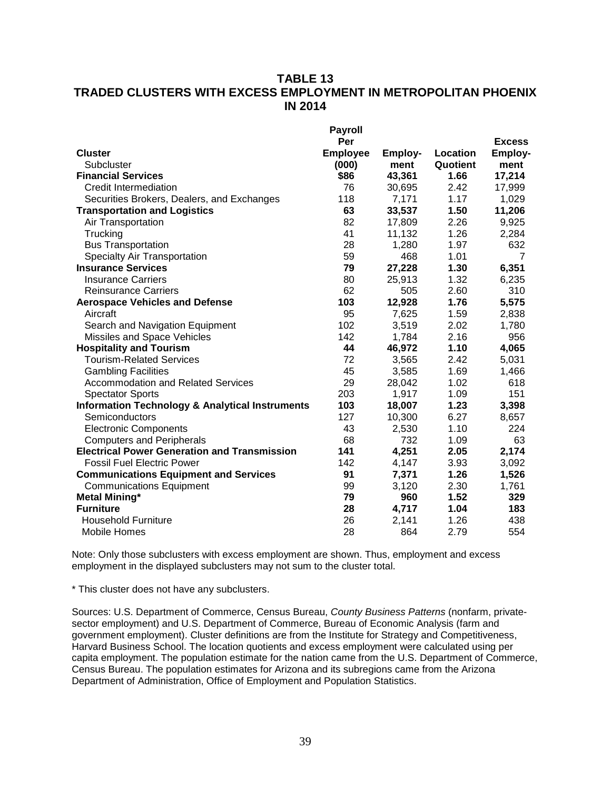# **TABLE 13 TRADED CLUSTERS WITH EXCESS EMPLOYMENT IN METROPOLITAN PHOENIX IN 2014**

|                                                            | <b>Payroll</b>  |         |          |                |
|------------------------------------------------------------|-----------------|---------|----------|----------------|
|                                                            | Per             |         |          | <b>Excess</b>  |
| <b>Cluster</b>                                             | <b>Employee</b> | Employ- | Location | <b>Employ-</b> |
| Subcluster                                                 | (000)           | ment    | Quotient | ment           |
| <b>Financial Services</b>                                  | \$86            | 43,361  | 1.66     | 17,214         |
| <b>Credit Intermediation</b>                               | 76              | 30,695  | 2.42     | 17,999         |
| Securities Brokers, Dealers, and Exchanges                 | 118             | 7,171   | 1.17     | 1,029          |
| <b>Transportation and Logistics</b>                        | 63              | 33,537  | 1.50     | 11,206         |
| Air Transportation                                         | 82              | 17,809  | 2.26     | 9,925          |
| Trucking                                                   | 41              | 11,132  | 1.26     | 2,284          |
| <b>Bus Transportation</b>                                  | 28              | 1,280   | 1.97     | 632            |
| <b>Specialty Air Transportation</b>                        | 59              | 468     | 1.01     | $\overline{7}$ |
| <b>Insurance Services</b>                                  | 79              | 27,228  | 1.30     | 6,351          |
| <b>Insurance Carriers</b>                                  | 80              | 25,913  | 1.32     | 6,235          |
| <b>Reinsurance Carriers</b>                                | 62              | 505     | 2.60     | 310            |
| <b>Aerospace Vehicles and Defense</b>                      | 103             | 12,928  | 1.76     | 5,575          |
| Aircraft                                                   | 95              | 7,625   | 1.59     | 2,838          |
| Search and Navigation Equipment                            | 102             | 3,519   | 2.02     | 1,780          |
| Missiles and Space Vehicles                                | 142             | 1,784   | 2.16     | 956            |
| <b>Hospitality and Tourism</b>                             | 44              | 46,972  | 1.10     | 4,065          |
| <b>Tourism-Related Services</b>                            | 72              | 3,565   | 2.42     | 5,031          |
| <b>Gambling Facilities</b>                                 | 45              | 3,585   | 1.69     | 1,466          |
| <b>Accommodation and Related Services</b>                  | 29              | 28,042  | 1.02     | 618            |
| <b>Spectator Sports</b>                                    | 203             | 1,917   | 1.09     | 151            |
| <b>Information Technology &amp; Analytical Instruments</b> | 103             | 18,007  | 1.23     | 3,398          |
| Semiconductors                                             | 127             | 10,300  | 6.27     | 8,657          |
| <b>Electronic Components</b>                               | 43              | 2,530   | 1.10     | 224            |
| <b>Computers and Peripherals</b>                           | 68              | 732     | 1.09     | 63             |
| <b>Electrical Power Generation and Transmission</b>        | 141             | 4,251   | 2.05     | 2,174          |
| <b>Fossil Fuel Electric Power</b>                          | 142             | 4,147   | 3.93     | 3,092          |
| <b>Communications Equipment and Services</b>               | 91              | 7,371   | 1.26     | 1,526          |
| <b>Communications Equipment</b>                            | 99              | 3,120   | 2.30     | 1,761          |
| <b>Metal Mining*</b>                                       | 79              | 960     | 1.52     | 329            |
| <b>Furniture</b>                                           | 28              | 4,717   | 1.04     | 183            |
| <b>Household Furniture</b>                                 | 26              | 2,141   | 1.26     | 438            |
| Mobile Homes                                               | 28              | 864     | 2.79     | 554            |

Note: Only those subclusters with excess employment are shown. Thus, employment and excess employment in the displayed subclusters may not sum to the cluster total.

\* This cluster does not have any subclusters.

Sources: U.S. Department of Commerce, Census Bureau, *County Business Patterns* (nonfarm, privatesector employment) and U.S. Department of Commerce, Bureau of Economic Analysis (farm and government employment). Cluster definitions are from the Institute for Strategy and Competitiveness, Harvard Business School. The location quotients and excess employment were calculated using per capita employment. The population estimate for the nation came from the U.S. Department of Commerce, Census Bureau. The population estimates for Arizona and its subregions came from the Arizona Department of Administration, Office of Employment and Population Statistics.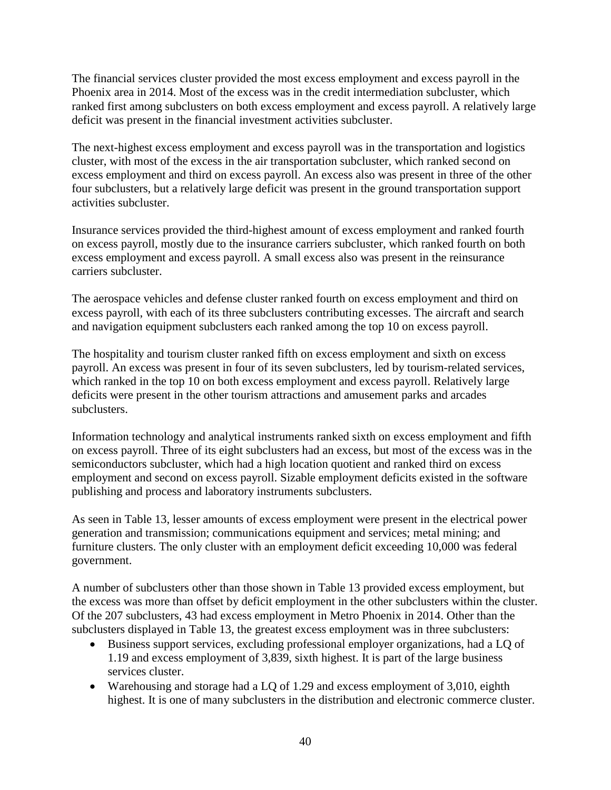The financial services cluster provided the most excess employment and excess payroll in the Phoenix area in 2014. Most of the excess was in the credit intermediation subcluster, which ranked first among subclusters on both excess employment and excess payroll. A relatively large deficit was present in the financial investment activities subcluster.

The next-highest excess employment and excess payroll was in the transportation and logistics cluster, with most of the excess in the air transportation subcluster, which ranked second on excess employment and third on excess payroll. An excess also was present in three of the other four subclusters, but a relatively large deficit was present in the ground transportation support activities subcluster.

Insurance services provided the third-highest amount of excess employment and ranked fourth on excess payroll, mostly due to the insurance carriers subcluster, which ranked fourth on both excess employment and excess payroll. A small excess also was present in the reinsurance carriers subcluster.

The aerospace vehicles and defense cluster ranked fourth on excess employment and third on excess payroll, with each of its three subclusters contributing excesses. The aircraft and search and navigation equipment subclusters each ranked among the top 10 on excess payroll.

The hospitality and tourism cluster ranked fifth on excess employment and sixth on excess payroll. An excess was present in four of its seven subclusters, led by tourism-related services, which ranked in the top 10 on both excess employment and excess payroll. Relatively large deficits were present in the other tourism attractions and amusement parks and arcades subclusters.

Information technology and analytical instruments ranked sixth on excess employment and fifth on excess payroll. Three of its eight subclusters had an excess, but most of the excess was in the semiconductors subcluster, which had a high location quotient and ranked third on excess employment and second on excess payroll. Sizable employment deficits existed in the software publishing and process and laboratory instruments subclusters.

As seen in Table 13, lesser amounts of excess employment were present in the electrical power generation and transmission; communications equipment and services; metal mining; and furniture clusters. The only cluster with an employment deficit exceeding 10,000 was federal government.

A number of subclusters other than those shown in Table 13 provided excess employment, but the excess was more than offset by deficit employment in the other subclusters within the cluster. Of the 207 subclusters, 43 had excess employment in Metro Phoenix in 2014. Other than the subclusters displayed in Table 13, the greatest excess employment was in three subclusters:

- Business support services, excluding professional employer organizations, had a LQ of 1.19 and excess employment of 3,839, sixth highest. It is part of the large business services cluster.
- Warehousing and storage had a LQ of 1.29 and excess employment of 3,010, eighth highest. It is one of many subclusters in the distribution and electronic commerce cluster.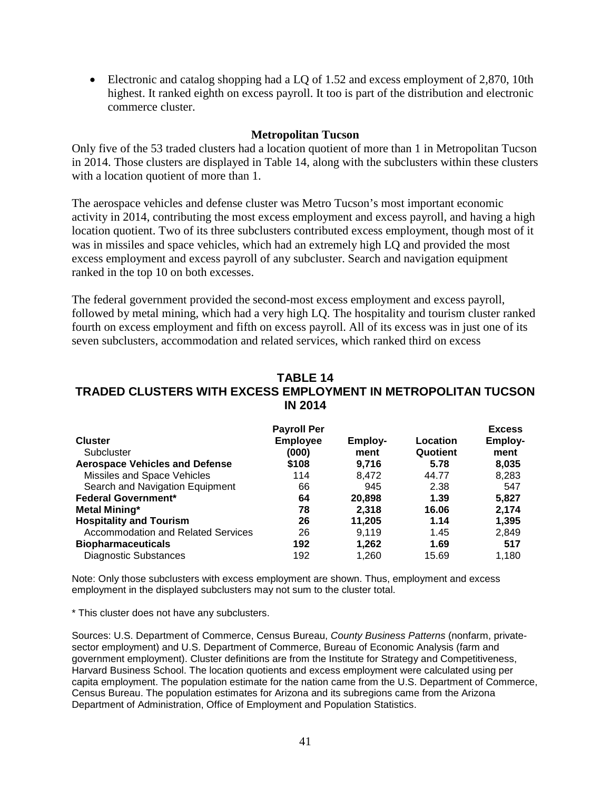• Electronic and catalog shopping had a LQ of 1.52 and excess employment of 2,870, 10th highest. It ranked eighth on excess payroll. It too is part of the distribution and electronic commerce cluster.

#### **Metropolitan Tucson**

Only five of the 53 traded clusters had a location quotient of more than 1 in Metropolitan Tucson in 2014. Those clusters are displayed in Table 14, along with the subclusters within these clusters with a location quotient of more than 1.

The aerospace vehicles and defense cluster was Metro Tucson's most important economic activity in 2014, contributing the most excess employment and excess payroll, and having a high location quotient. Two of its three subclusters contributed excess employment, though most of it was in missiles and space vehicles, which had an extremely high LQ and provided the most excess employment and excess payroll of any subcluster. Search and navigation equipment ranked in the top 10 on both excesses.

The federal government provided the second-most excess employment and excess payroll, followed by metal mining, which had a very high LQ. The hospitality and tourism cluster ranked fourth on excess employment and fifth on excess payroll. All of its excess was in just one of its seven subclusters, accommodation and related services, which ranked third on excess

#### **TABLE 14 TRADED CLUSTERS WITH EXCESS EMPLOYMENT IN METROPOLITAN TUCSON IN 2014**

|                                           | <b>Payroll Per</b> |         |          | <b>Excess</b>  |
|-------------------------------------------|--------------------|---------|----------|----------------|
| <b>Cluster</b>                            | <b>Employee</b>    | Employ- | Location | <b>Employ-</b> |
| Subcluster                                | (000)              | ment    | Quotient | ment           |
| <b>Aerospace Vehicles and Defense</b>     | \$108              | 9,716   | 5.78     | 8,035          |
| Missiles and Space Vehicles               | 114                | 8.472   | 44.77    | 8,283          |
| Search and Navigation Equipment           | 66                 | 945     | 2.38     | 547            |
| <b>Federal Government*</b>                | 64                 | 20,898  | 1.39     | 5,827          |
| <b>Metal Mining*</b>                      | 78                 | 2,318   | 16.06    | 2,174          |
| <b>Hospitality and Tourism</b>            | 26                 | 11,205  | 1.14     | 1,395          |
| <b>Accommodation and Related Services</b> | 26                 | 9,119   | 1.45     | 2,849          |
| <b>Biopharmaceuticals</b>                 | 192                | 1,262   | 1.69     | 517            |
| <b>Diagnostic Substances</b>              | 192                | 1.260   | 15.69    | 1,180          |

Note: Only those subclusters with excess employment are shown. Thus, employment and excess employment in the displayed subclusters may not sum to the cluster total.

\* This cluster does not have any subclusters.

Sources: U.S. Department of Commerce, Census Bureau, *County Business Patterns* (nonfarm, privatesector employment) and U.S. Department of Commerce, Bureau of Economic Analysis (farm and government employment). Cluster definitions are from the Institute for Strategy and Competitiveness, Harvard Business School. The location quotients and excess employment were calculated using per capita employment. The population estimate for the nation came from the U.S. Department of Commerce, Census Bureau. The population estimates for Arizona and its subregions came from the Arizona Department of Administration, Office of Employment and Population Statistics.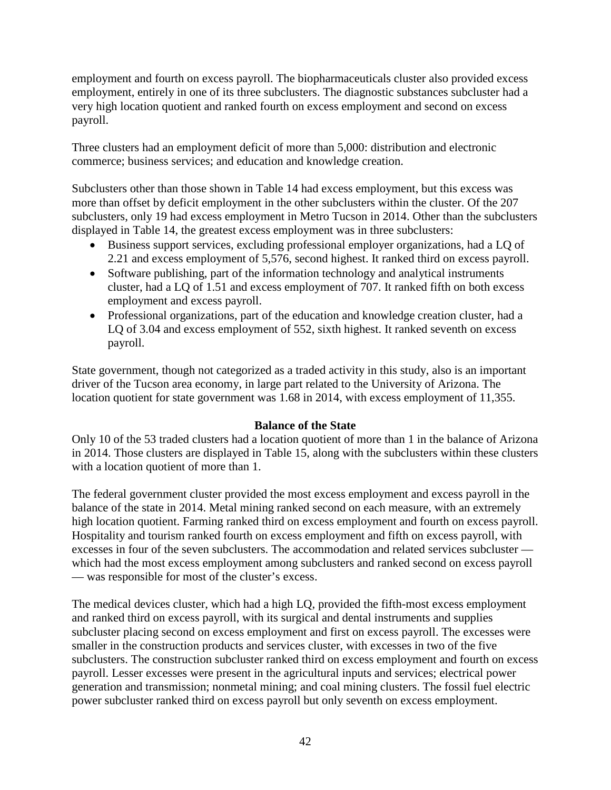employment and fourth on excess payroll. The biopharmaceuticals cluster also provided excess employment, entirely in one of its three subclusters. The diagnostic substances subcluster had a very high location quotient and ranked fourth on excess employment and second on excess payroll.

Three clusters had an employment deficit of more than 5,000: distribution and electronic commerce; business services; and education and knowledge creation.

Subclusters other than those shown in Table 14 had excess employment, but this excess was more than offset by deficit employment in the other subclusters within the cluster. Of the 207 subclusters, only 19 had excess employment in Metro Tucson in 2014. Other than the subclusters displayed in Table 14, the greatest excess employment was in three subclusters:

- Business support services, excluding professional employer organizations, had a LQ of 2.21 and excess employment of 5,576, second highest. It ranked third on excess payroll.
- Software publishing, part of the information technology and analytical instruments cluster, had a LQ of 1.51 and excess employment of 707. It ranked fifth on both excess employment and excess payroll.
- Professional organizations, part of the education and knowledge creation cluster, had a LQ of 3.04 and excess employment of 552, sixth highest. It ranked seventh on excess payroll.

State government, though not categorized as a traded activity in this study, also is an important driver of the Tucson area economy, in large part related to the University of Arizona. The location quotient for state government was 1.68 in 2014, with excess employment of 11,355.

# **Balance of the State**

Only 10 of the 53 traded clusters had a location quotient of more than 1 in the balance of Arizona in 2014. Those clusters are displayed in Table 15, along with the subclusters within these clusters with a location quotient of more than 1.

The federal government cluster provided the most excess employment and excess payroll in the balance of the state in 2014. Metal mining ranked second on each measure, with an extremely high location quotient. Farming ranked third on excess employment and fourth on excess payroll. Hospitality and tourism ranked fourth on excess employment and fifth on excess payroll, with excesses in four of the seven subclusters. The accommodation and related services subcluster which had the most excess employment among subclusters and ranked second on excess payroll — was responsible for most of the cluster's excess.

The medical devices cluster, which had a high LQ, provided the fifth-most excess employment and ranked third on excess payroll, with its surgical and dental instruments and supplies subcluster placing second on excess employment and first on excess payroll. The excesses were smaller in the construction products and services cluster, with excesses in two of the five subclusters. The construction subcluster ranked third on excess employment and fourth on excess payroll. Lesser excesses were present in the agricultural inputs and services; electrical power generation and transmission; nonmetal mining; and coal mining clusters. The fossil fuel electric power subcluster ranked third on excess payroll but only seventh on excess employment.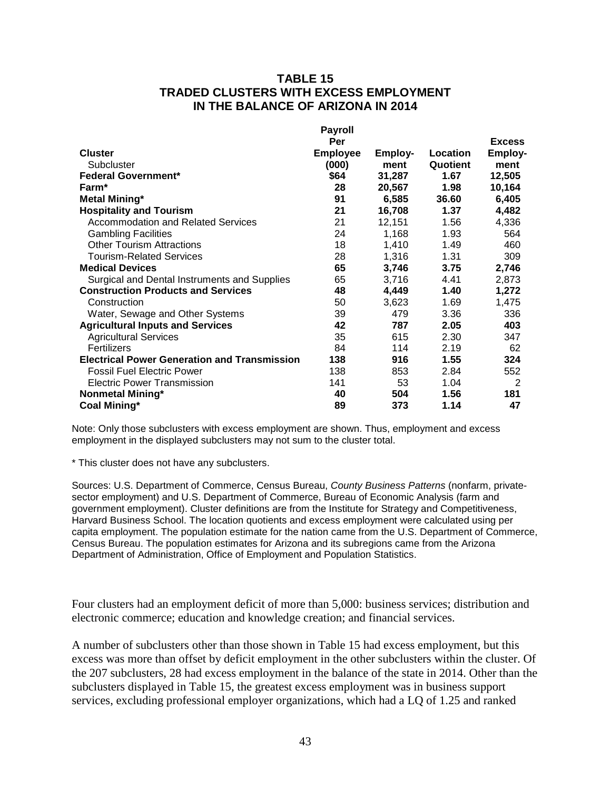### **TABLE 15 TRADED CLUSTERS WITH EXCESS EMPLOYMENT IN THE BALANCE OF ARIZONA IN 2014**

|                                                     | <b>Payroll</b>  |         |          |                |
|-----------------------------------------------------|-----------------|---------|----------|----------------|
|                                                     | Per             |         |          | <b>Excess</b>  |
| <b>Cluster</b>                                      | <b>Employee</b> | Employ- | Location | <b>Employ-</b> |
| Subcluster                                          | (000)           | ment    | Quotient | ment           |
| <b>Federal Government*</b>                          | \$64            | 31,287  | 1.67     | 12,505         |
| Farm <sup>*</sup>                                   | 28              | 20,567  | 1.98     | 10,164         |
| <b>Metal Mining*</b>                                | 91              | 6,585   | 36.60    | 6,405          |
| <b>Hospitality and Tourism</b>                      | 21              | 16,708  | 1.37     | 4,482          |
| <b>Accommodation and Related Services</b>           | 21              | 12,151  | 1.56     | 4,336          |
| <b>Gambling Facilities</b>                          | 24              | 1,168   | 1.93     | 564            |
| <b>Other Tourism Attractions</b>                    | 18              | 1,410   | 1.49     | 460            |
| <b>Tourism-Related Services</b>                     | 28              | 1,316   | 1.31     | 309            |
| <b>Medical Devices</b>                              | 65              | 3,746   | 3.75     | 2,746          |
| Surgical and Dental Instruments and Supplies        | 65              | 3,716   | 4.41     | 2,873          |
| <b>Construction Products and Services</b>           | 48              | 4,449   | 1.40     | 1,272          |
| Construction                                        | 50              | 3,623   | 1.69     | 1,475          |
| Water, Sewage and Other Systems                     | 39              | 479     | 3.36     | 336            |
| <b>Agricultural Inputs and Services</b>             | 42              | 787     | 2.05     | 403            |
| <b>Agricultural Services</b>                        | 35              | 615     | 2.30     | 347            |
| Fertilizers                                         | 84              | 114     | 2.19     | 62             |
| <b>Electrical Power Generation and Transmission</b> | 138             | 916     | 1.55     | 324            |
| <b>Fossil Fuel Electric Power</b>                   | 138             | 853     | 2.84     | 552            |
| <b>Electric Power Transmission</b>                  | 141             | 53      | 1.04     | 2              |
| <b>Nonmetal Mining*</b>                             | 40              | 504     | 1.56     | 181            |
| Coal Mining*                                        | 89              | 373     | 1.14     | 47             |

Note: Only those subclusters with excess employment are shown. Thus, employment and excess employment in the displayed subclusters may not sum to the cluster total.

\* This cluster does not have any subclusters.

Sources: U.S. Department of Commerce, Census Bureau, *County Business Patterns* (nonfarm, privatesector employment) and U.S. Department of Commerce, Bureau of Economic Analysis (farm and government employment). Cluster definitions are from the Institute for Strategy and Competitiveness, Harvard Business School. The location quotients and excess employment were calculated using per capita employment. The population estimate for the nation came from the U.S. Department of Commerce, Census Bureau. The population estimates for Arizona and its subregions came from the Arizona Department of Administration, Office of Employment and Population Statistics.

Four clusters had an employment deficit of more than 5,000: business services; distribution and electronic commerce; education and knowledge creation; and financial services.

A number of subclusters other than those shown in Table 15 had excess employment, but this excess was more than offset by deficit employment in the other subclusters within the cluster. Of the 207 subclusters, 28 had excess employment in the balance of the state in 2014. Other than the subclusters displayed in Table 15, the greatest excess employment was in business support services, excluding professional employer organizations, which had a LQ of 1.25 and ranked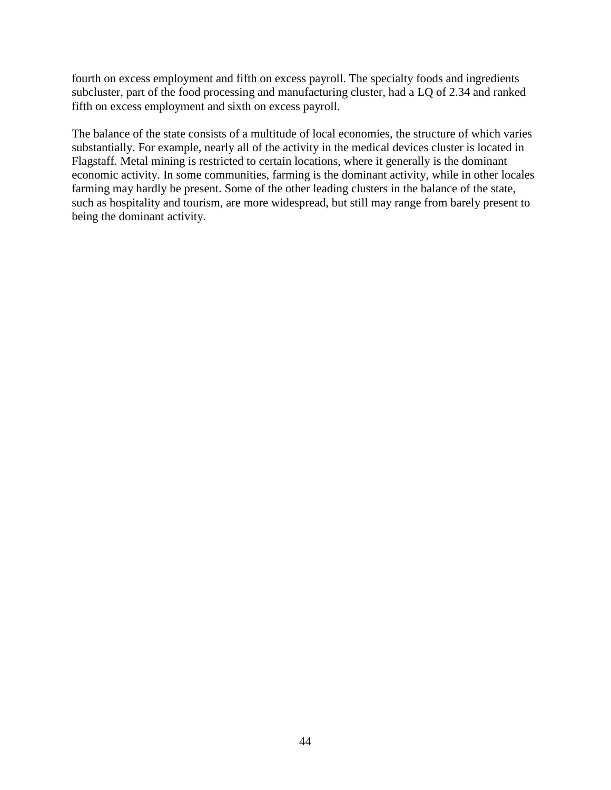fourth on excess employment and fifth on excess payroll. The specialty foods and ingredients subcluster, part of the food processing and manufacturing cluster, had a LQ of 2.34 and ranked fifth on excess employment and sixth on excess payroll.

The balance of the state consists of a multitude of local economies, the structure of which varies substantially. For example, nearly all of the activity in the medical devices cluster is located in Flagstaff. Metal mining is restricted to certain locations, where it generally is the dominant economic activity. In some communities, farming is the dominant activity, while in other locales farming may hardly be present. Some of the other leading clusters in the balance of the state, such as hospitality and tourism, are more widespread, but still may range from barely present to being the dominant activity.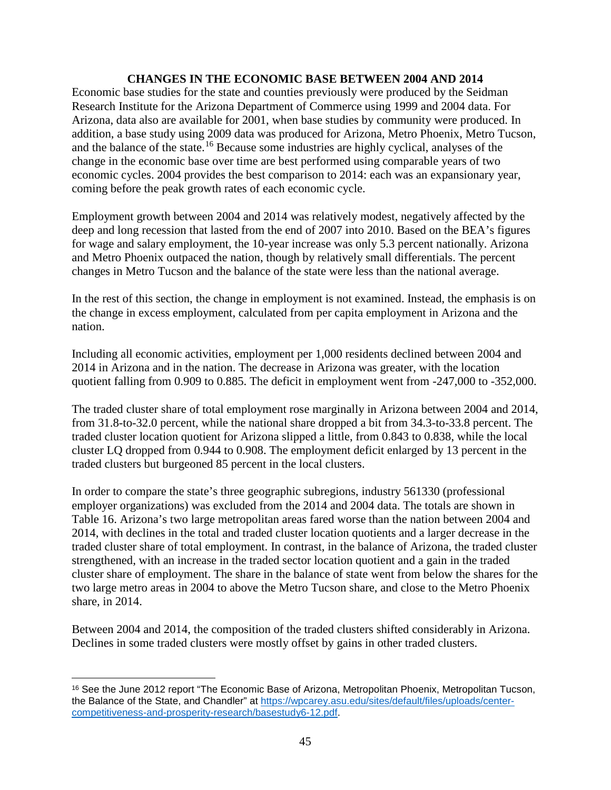### **CHANGES IN THE ECONOMIC BASE BETWEEN 2004 AND 2014**

Economic base studies for the state and counties previously were produced by the Seidman Research Institute for the Arizona Department of Commerce using 1999 and 2004 data. For Arizona, data also are available for 2001, when base studies by community were produced. In addition, a base study using 2009 data was produced for Arizona, Metro Phoenix, Metro Tucson, and the balance of the state.[16](#page-46-0) Because some industries are highly cyclical, analyses of the change in the economic base over time are best performed using comparable years of two economic cycles. 2004 provides the best comparison to 2014: each was an expansionary year, coming before the peak growth rates of each economic cycle.

Employment growth between 2004 and 2014 was relatively modest, negatively affected by the deep and long recession that lasted from the end of 2007 into 2010. Based on the BEA's figures for wage and salary employment, the 10-year increase was only 5.3 percent nationally. Arizona and Metro Phoenix outpaced the nation, though by relatively small differentials. The percent changes in Metro Tucson and the balance of the state were less than the national average.

In the rest of this section, the change in employment is not examined. Instead, the emphasis is on the change in excess employment, calculated from per capita employment in Arizona and the nation.

Including all economic activities, employment per 1,000 residents declined between 2004 and 2014 in Arizona and in the nation. The decrease in Arizona was greater, with the location quotient falling from 0.909 to 0.885. The deficit in employment went from -247,000 to -352,000.

The traded cluster share of total employment rose marginally in Arizona between 2004 and 2014, from 31.8-to-32.0 percent, while the national share dropped a bit from 34.3-to-33.8 percent. The traded cluster location quotient for Arizona slipped a little, from 0.843 to 0.838, while the local cluster LQ dropped from 0.944 to 0.908. The employment deficit enlarged by 13 percent in the traded clusters but burgeoned 85 percent in the local clusters.

In order to compare the state's three geographic subregions, industry 561330 (professional employer organizations) was excluded from the 2014 and 2004 data. The totals are shown in Table 16. Arizona's two large metropolitan areas fared worse than the nation between 2004 and 2014, with declines in the total and traded cluster location quotients and a larger decrease in the traded cluster share of total employment. In contrast, in the balance of Arizona, the traded cluster strengthened, with an increase in the traded sector location quotient and a gain in the traded cluster share of employment. The share in the balance of state went from below the shares for the two large metro areas in 2004 to above the Metro Tucson share, and close to the Metro Phoenix share, in 2014.

Between 2004 and 2014, the composition of the traded clusters shifted considerably in Arizona. Declines in some traded clusters were mostly offset by gains in other traded clusters.

<span id="page-46-0"></span> $\overline{a}$ <sup>16</sup> See the June 2012 report "The Economic Base of Arizona, Metropolitan Phoenix, Metropolitan Tucson, the Balance of the State, and Chandler" at [https://wpcarey.asu.edu/sites/default/files/uploads/center](https://wpcarey.asu.edu/sites/default/files/uploads/center-competitiveness-and-prosperity-research/basestudy6-12.pdf)[competitiveness-and-prosperity-research/basestudy6-12.pdf.](https://wpcarey.asu.edu/sites/default/files/uploads/center-competitiveness-and-prosperity-research/basestudy6-12.pdf)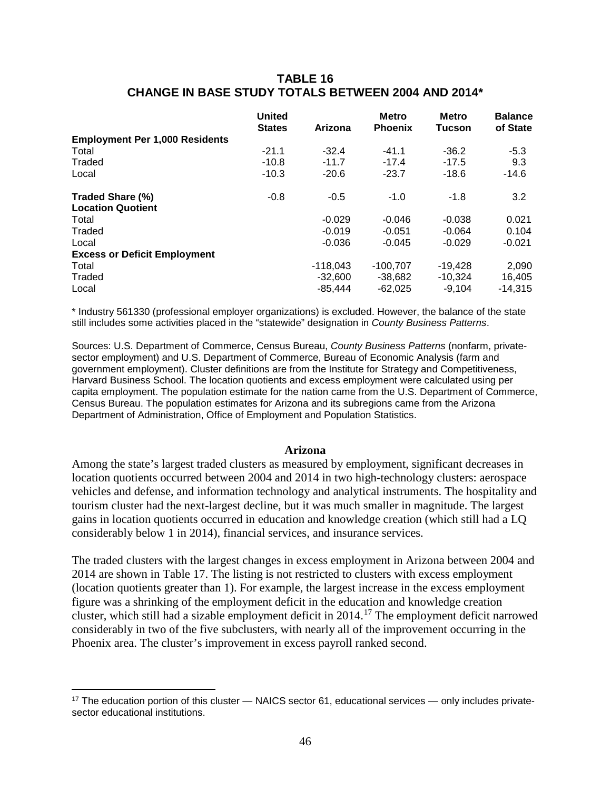### **TABLE 16 CHANGE IN BASE STUDY TOTALS BETWEEN 2004 AND 2014\***

|                                       | <b>United</b><br><b>States</b> | Arizona    | <b>Metro</b><br><b>Phoenix</b> | <b>Metro</b><br><b>Tucson</b> | <b>Balance</b><br>of State |
|---------------------------------------|--------------------------------|------------|--------------------------------|-------------------------------|----------------------------|
| <b>Employment Per 1,000 Residents</b> |                                |            |                                |                               |                            |
| Total                                 | $-21.1$                        | $-32.4$    | $-41.1$                        | $-36.2$                       | $-5.3$                     |
| Traded                                | $-10.8$                        | $-11.7$    | $-17.4$                        | $-17.5$                       | 9.3                        |
| Local                                 | $-10.3$                        | $-20.6$    | $-23.7$                        | $-18.6$                       | $-14.6$                    |
| Traded Share (%)                      | $-0.8$                         | $-0.5$     | $-1.0$                         | $-1.8$                        | 3.2                        |
| <b>Location Quotient</b>              |                                |            |                                |                               |                            |
| Total                                 |                                | $-0.029$   | $-0.046$                       | $-0.038$                      | 0.021                      |
| Traded                                |                                | $-0.019$   | $-0.051$                       | $-0.064$                      | 0.104                      |
| Local                                 |                                | $-0.036$   | $-0.045$                       | $-0.029$                      | $-0.021$                   |
| <b>Excess or Deficit Employment</b>   |                                |            |                                |                               |                            |
| Total                                 |                                | $-118,043$ | $-100.707$                     | $-19,428$                     | 2,090                      |
| Traded                                |                                | $-32,600$  | $-38,682$                      | $-10,324$                     | 16,405                     |
| Local                                 |                                | $-85.444$  | $-62.025$                      | $-9.104$                      | $-14,315$                  |

\* Industry 561330 (professional employer organizations) is excluded. However, the balance of the state still includes some activities placed in the "statewide" designation in *County Business Patterns*.

Sources: U.S. Department of Commerce, Census Bureau, *County Business Patterns* (nonfarm, privatesector employment) and U.S. Department of Commerce, Bureau of Economic Analysis (farm and government employment). Cluster definitions are from the Institute for Strategy and Competitiveness, Harvard Business School. The location quotients and excess employment were calculated using per capita employment. The population estimate for the nation came from the U.S. Department of Commerce, Census Bureau. The population estimates for Arizona and its subregions came from the Arizona Department of Administration, Office of Employment and Population Statistics.

#### **Arizona**

Among the state's largest traded clusters as measured by employment, significant decreases in location quotients occurred between 2004 and 2014 in two high-technology clusters: aerospace vehicles and defense, and information technology and analytical instruments. The hospitality and tourism cluster had the next-largest decline, but it was much smaller in magnitude. The largest gains in location quotients occurred in education and knowledge creation (which still had a LQ considerably below 1 in 2014), financial services, and insurance services.

The traded clusters with the largest changes in excess employment in Arizona between 2004 and 2014 are shown in Table 17. The listing is not restricted to clusters with excess employment (location quotients greater than 1). For example, the largest increase in the excess employment figure was a shrinking of the employment deficit in the education and knowledge creation cluster, which still had a sizable employment deficit in 2014.[17](#page-47-0) The employment deficit narrowed considerably in two of the five subclusters, with nearly all of the improvement occurring in the Phoenix area. The cluster's improvement in excess payroll ranked second.

 $\overline{a}$ 

<span id="page-47-0"></span><sup>&</sup>lt;sup>17</sup> The education portion of this cluster — NAICS sector 61, educational services — only includes privatesector educational institutions.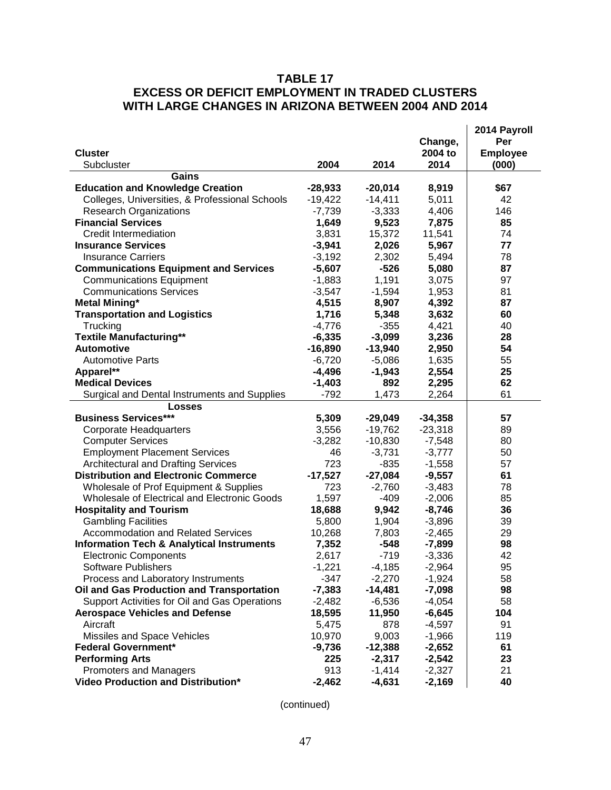# **TABLE 17 EXCESS OR DEFICIT EMPLOYMENT IN TRADED CLUSTERS WITH LARGE CHANGES IN ARIZONA BETWEEN 2004 AND 2014**

|                                                      |           |           |           | 2014 Payroll    |
|------------------------------------------------------|-----------|-----------|-----------|-----------------|
|                                                      |           |           | Change,   | Per             |
| <b>Cluster</b>                                       |           |           | 2004 to   | <b>Employee</b> |
| Subcluster                                           | 2004      | 2014      | 2014      | (000)           |
| Gains                                                |           |           |           |                 |
| <b>Education and Knowledge Creation</b>              | $-28,933$ | $-20,014$ | 8,919     | \$67            |
| Colleges, Universities, & Professional Schools       | $-19,422$ | $-14,411$ | 5,011     | 42              |
| <b>Research Organizations</b>                        | $-7,739$  | $-3,333$  | 4,406     | 146             |
| <b>Financial Services</b>                            | 1,649     | 9,523     | 7,875     | 85              |
| <b>Credit Intermediation</b>                         | 3,831     | 15,372    | 11,541    | 74              |
| <b>Insurance Services</b>                            | $-3,941$  | 2,026     | 5,967     | 77              |
| <b>Insurance Carriers</b>                            | $-3,192$  | 2,302     | 5,494     | 78              |
| <b>Communications Equipment and Services</b>         | $-5,607$  | $-526$    | 5,080     | 87              |
| <b>Communications Equipment</b>                      | $-1,883$  | 1,191     | 3,075     | 97              |
| <b>Communications Services</b>                       | $-3,547$  | $-1,594$  | 1,953     | 81              |
| <b>Metal Mining*</b>                                 | 4,515     | 8,907     | 4,392     | 87              |
| <b>Transportation and Logistics</b>                  | 1,716     | 5,348     | 3,632     | 60              |
| Trucking                                             | $-4,776$  | $-355$    | 4,421     | 40              |
| <b>Textile Manufacturing**</b>                       | $-6,335$  | $-3,099$  | 3,236     | 28              |
| <b>Automotive</b>                                    | $-16,890$ | $-13,940$ | 2,950     | 54              |
| <b>Automotive Parts</b>                              | $-6,720$  | $-5,086$  | 1,635     | 55              |
| Apparel**                                            | $-4,496$  | $-1,943$  | 2,554     | 25              |
| <b>Medical Devices</b>                               | $-1,403$  | 892       | 2,295     | 62              |
| Surgical and Dental Instruments and Supplies         | $-792$    | 1,473     | 2,264     | 61              |
| <b>Losses</b>                                        |           |           |           |                 |
| <b>Business Services***</b>                          | 5,309     | $-29,049$ | $-34,358$ | 57              |
| <b>Corporate Headquarters</b>                        | 3,556     | $-19,762$ | $-23,318$ | 89              |
| <b>Computer Services</b>                             | $-3,282$  | $-10,830$ | $-7,548$  | 80              |
| <b>Employment Placement Services</b>                 | 46        | $-3,731$  | $-3,777$  | 50              |
| <b>Architectural and Drafting Services</b>           | 723       | $-835$    | $-1,558$  | 57              |
| <b>Distribution and Electronic Commerce</b>          | $-17,527$ | $-27,084$ | $-9,557$  | 61              |
| Wholesale of Prof Equipment & Supplies               | 723       | $-2,760$  | $-3,483$  | 78              |
| Wholesale of Electrical and Electronic Goods         | 1,597     | $-409$    | $-2,006$  | 85              |
| <b>Hospitality and Tourism</b>                       | 18,688    | 9,942     | $-8,746$  | 36              |
| <b>Gambling Facilities</b>                           | 5,800     | 1,904     | $-3,896$  | 39              |
| <b>Accommodation and Related Services</b>            | 10,268    | 7,803     | $-2,465$  | 29              |
| <b>Information Tech &amp; Analytical Instruments</b> | 7,352     | $-548$    | $-7,899$  | 98              |
| <b>Electronic Components</b>                         | 2,617     | $-719$    | $-3,336$  | 42              |
| <b>Software Publishers</b>                           | $-1,221$  | $-4,185$  | $-2,964$  | 95              |
| Process and Laboratory Instruments                   | $-347$    | $-2,270$  | $-1,924$  | 58              |
| Oil and Gas Production and Transportation            | $-7,383$  | $-14,481$ | $-7,098$  | 98              |
| Support Activities for Oil and Gas Operations        | $-2,482$  | $-6,536$  | $-4,054$  | 58              |
| <b>Aerospace Vehicles and Defense</b>                | 18,595    | 11,950    | $-6,645$  | 104             |
| Aircraft                                             | 5,475     | 878       | $-4,597$  | 91              |
| Missiles and Space Vehicles                          | 10,970    | 9,003     | $-1,966$  | 119             |
| <b>Federal Government*</b>                           | $-9,736$  | $-12,388$ | $-2,652$  | 61              |
| <b>Performing Arts</b>                               | 225       | $-2,317$  | $-2,542$  | 23              |
| <b>Promoters and Managers</b>                        | 913       | $-1,414$  | $-2,327$  | 21              |
| Video Production and Distribution*                   | $-2,462$  | $-4,631$  | $-2,169$  | 40              |
|                                                      |           |           |           |                 |

(continued)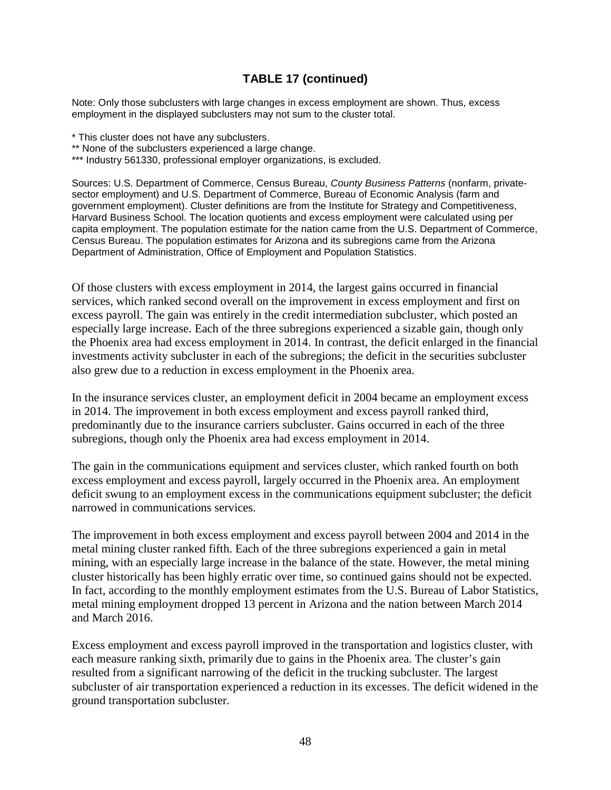# **TABLE 17 (continued)**

Note: Only those subclusters with large changes in excess employment are shown. Thus, excess employment in the displayed subclusters may not sum to the cluster total.

- \* This cluster does not have any subclusters.
- \*\* None of the subclusters experienced a large change.
- \*\*\* Industry 561330, professional employer organizations, is excluded.

Sources: U.S. Department of Commerce, Census Bureau, *County Business Patterns* (nonfarm, privatesector employment) and U.S. Department of Commerce, Bureau of Economic Analysis (farm and government employment). Cluster definitions are from the Institute for Strategy and Competitiveness, Harvard Business School. The location quotients and excess employment were calculated using per capita employment. The population estimate for the nation came from the U.S. Department of Commerce, Census Bureau. The population estimates for Arizona and its subregions came from the Arizona Department of Administration, Office of Employment and Population Statistics.

Of those clusters with excess employment in 2014, the largest gains occurred in financial services, which ranked second overall on the improvement in excess employment and first on excess payroll. The gain was entirely in the credit intermediation subcluster, which posted an especially large increase. Each of the three subregions experienced a sizable gain, though only the Phoenix area had excess employment in 2014. In contrast, the deficit enlarged in the financial investments activity subcluster in each of the subregions; the deficit in the securities subcluster also grew due to a reduction in excess employment in the Phoenix area.

In the insurance services cluster, an employment deficit in 2004 became an employment excess in 2014. The improvement in both excess employment and excess payroll ranked third, predominantly due to the insurance carriers subcluster. Gains occurred in each of the three subregions, though only the Phoenix area had excess employment in 2014.

The gain in the communications equipment and services cluster, which ranked fourth on both excess employment and excess payroll, largely occurred in the Phoenix area. An employment deficit swung to an employment excess in the communications equipment subcluster; the deficit narrowed in communications services.

The improvement in both excess employment and excess payroll between 2004 and 2014 in the metal mining cluster ranked fifth. Each of the three subregions experienced a gain in metal mining, with an especially large increase in the balance of the state. However, the metal mining cluster historically has been highly erratic over time, so continued gains should not be expected. In fact, according to the monthly employment estimates from the U.S. Bureau of Labor Statistics, metal mining employment dropped 13 percent in Arizona and the nation between March 2014 and March 2016.

Excess employment and excess payroll improved in the transportation and logistics cluster, with each measure ranking sixth, primarily due to gains in the Phoenix area. The cluster's gain resulted from a significant narrowing of the deficit in the trucking subcluster. The largest subcluster of air transportation experienced a reduction in its excesses. The deficit widened in the ground transportation subcluster.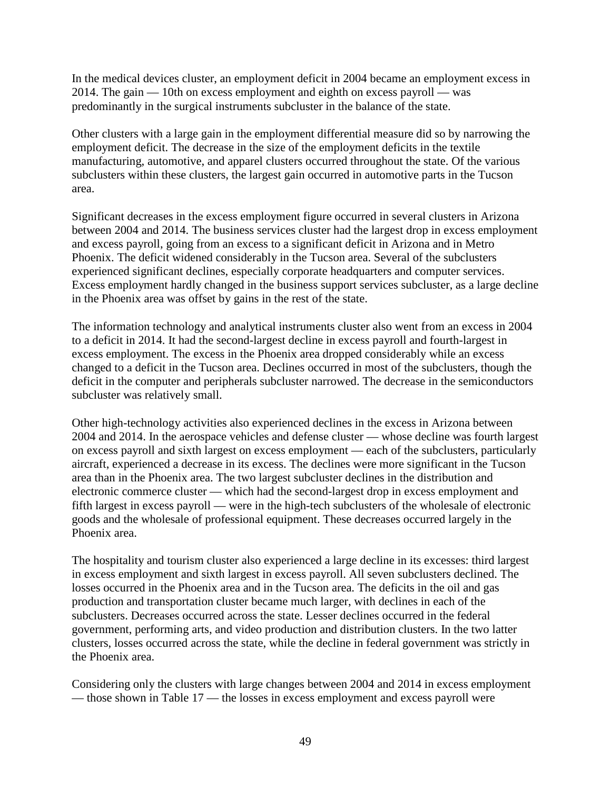In the medical devices cluster, an employment deficit in 2004 became an employment excess in 2014. The gain — 10th on excess employment and eighth on excess payroll — was predominantly in the surgical instruments subcluster in the balance of the state.

Other clusters with a large gain in the employment differential measure did so by narrowing the employment deficit. The decrease in the size of the employment deficits in the textile manufacturing, automotive, and apparel clusters occurred throughout the state. Of the various subclusters within these clusters, the largest gain occurred in automotive parts in the Tucson area.

Significant decreases in the excess employment figure occurred in several clusters in Arizona between 2004 and 2014. The business services cluster had the largest drop in excess employment and excess payroll, going from an excess to a significant deficit in Arizona and in Metro Phoenix. The deficit widened considerably in the Tucson area. Several of the subclusters experienced significant declines, especially corporate headquarters and computer services. Excess employment hardly changed in the business support services subcluster, as a large decline in the Phoenix area was offset by gains in the rest of the state.

The information technology and analytical instruments cluster also went from an excess in 2004 to a deficit in 2014. It had the second-largest decline in excess payroll and fourth-largest in excess employment. The excess in the Phoenix area dropped considerably while an excess changed to a deficit in the Tucson area. Declines occurred in most of the subclusters, though the deficit in the computer and peripherals subcluster narrowed. The decrease in the semiconductors subcluster was relatively small.

Other high-technology activities also experienced declines in the excess in Arizona between 2004 and 2014. In the aerospace vehicles and defense cluster — whose decline was fourth largest on excess payroll and sixth largest on excess employment — each of the subclusters, particularly aircraft, experienced a decrease in its excess. The declines were more significant in the Tucson area than in the Phoenix area. The two largest subcluster declines in the distribution and electronic commerce cluster — which had the second-largest drop in excess employment and fifth largest in excess payroll — were in the high-tech subclusters of the wholesale of electronic goods and the wholesale of professional equipment. These decreases occurred largely in the Phoenix area.

The hospitality and tourism cluster also experienced a large decline in its excesses: third largest in excess employment and sixth largest in excess payroll. All seven subclusters declined. The losses occurred in the Phoenix area and in the Tucson area. The deficits in the oil and gas production and transportation cluster became much larger, with declines in each of the subclusters. Decreases occurred across the state. Lesser declines occurred in the federal government, performing arts, and video production and distribution clusters. In the two latter clusters, losses occurred across the state, while the decline in federal government was strictly in the Phoenix area.

Considering only the clusters with large changes between 2004 and 2014 in excess employment — those shown in Table 17 — the losses in excess employment and excess payroll were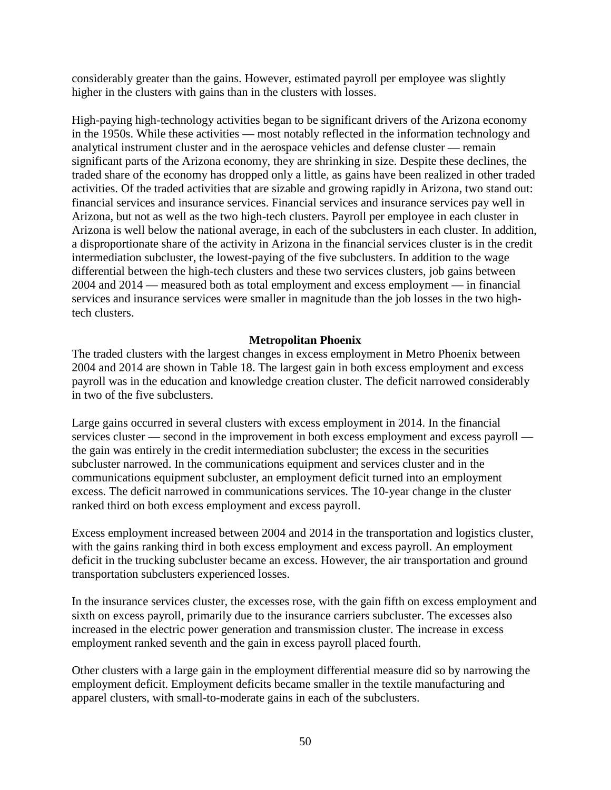considerably greater than the gains. However, estimated payroll per employee was slightly higher in the clusters with gains than in the clusters with losses.

High-paying high-technology activities began to be significant drivers of the Arizona economy in the 1950s. While these activities — most notably reflected in the information technology and analytical instrument cluster and in the aerospace vehicles and defense cluster — remain significant parts of the Arizona economy, they are shrinking in size. Despite these declines, the traded share of the economy has dropped only a little, as gains have been realized in other traded activities. Of the traded activities that are sizable and growing rapidly in Arizona, two stand out: financial services and insurance services. Financial services and insurance services pay well in Arizona, but not as well as the two high-tech clusters. Payroll per employee in each cluster in Arizona is well below the national average, in each of the subclusters in each cluster. In addition, a disproportionate share of the activity in Arizona in the financial services cluster is in the credit intermediation subcluster, the lowest-paying of the five subclusters. In addition to the wage differential between the high-tech clusters and these two services clusters, job gains between 2004 and 2014 — measured both as total employment and excess employment — in financial services and insurance services were smaller in magnitude than the job losses in the two hightech clusters.

### **Metropolitan Phoenix**

The traded clusters with the largest changes in excess employment in Metro Phoenix between 2004 and 2014 are shown in Table 18. The largest gain in both excess employment and excess payroll was in the education and knowledge creation cluster. The deficit narrowed considerably in two of the five subclusters.

Large gains occurred in several clusters with excess employment in 2014. In the financial services cluster — second in the improvement in both excess employment and excess payroll the gain was entirely in the credit intermediation subcluster; the excess in the securities subcluster narrowed. In the communications equipment and services cluster and in the communications equipment subcluster, an employment deficit turned into an employment excess. The deficit narrowed in communications services. The 10-year change in the cluster ranked third on both excess employment and excess payroll.

Excess employment increased between 2004 and 2014 in the transportation and logistics cluster, with the gains ranking third in both excess employment and excess payroll. An employment deficit in the trucking subcluster became an excess. However, the air transportation and ground transportation subclusters experienced losses.

In the insurance services cluster, the excesses rose, with the gain fifth on excess employment and sixth on excess payroll, primarily due to the insurance carriers subcluster. The excesses also increased in the electric power generation and transmission cluster. The increase in excess employment ranked seventh and the gain in excess payroll placed fourth.

Other clusters with a large gain in the employment differential measure did so by narrowing the employment deficit. Employment deficits became smaller in the textile manufacturing and apparel clusters, with small-to-moderate gains in each of the subclusters.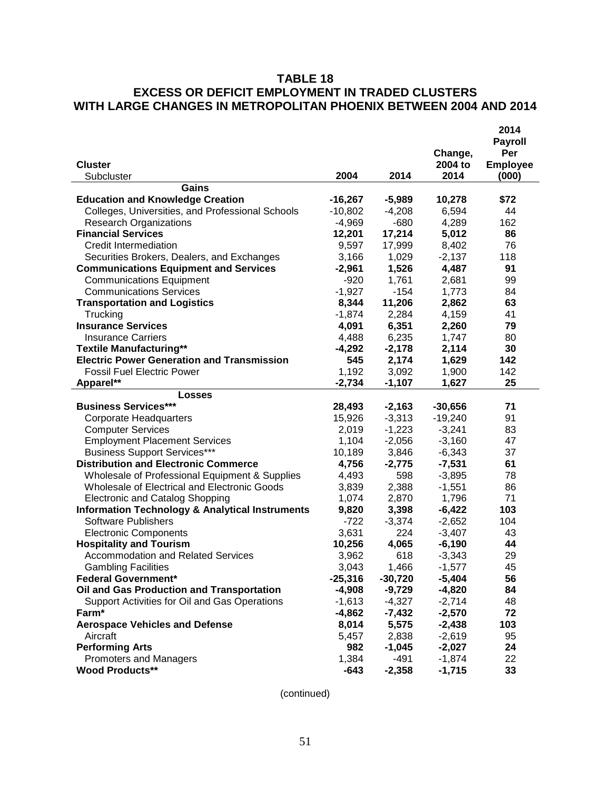# **TABLE 18 EXCESS OR DEFICIT EMPLOYMENT IN TRADED CLUSTERS WITH LARGE CHANGES IN METROPOLITAN PHOENIX BETWEEN 2004 AND 2014**

|                                                            |                      |                      |                      | 2014                     |
|------------------------------------------------------------|----------------------|----------------------|----------------------|--------------------------|
|                                                            |                      |                      |                      | <b>Payroll</b>           |
| <b>Cluster</b>                                             |                      |                      | Change,<br>2004 to   | Per                      |
| Subcluster                                                 | 2004                 | 2014                 | 2014                 | <b>Employee</b><br>(000) |
| Gains                                                      |                      |                      |                      |                          |
| <b>Education and Knowledge Creation</b>                    | $-16,267$            | $-5,989$             | 10,278               | \$72                     |
| Colleges, Universities, and Professional Schools           | $-10,802$            | $-4,208$             | 6,594                | 44                       |
| <b>Research Organizations</b>                              | $-4,969$             | $-680$               | 4,289                | 162                      |
| <b>Financial Services</b>                                  | 12,201               | 17,214               | 5,012                | 86                       |
| Credit Intermediation                                      | 9,597                | 17,999               | 8,402                | 76                       |
| Securities Brokers, Dealers, and Exchanges                 | 3,166                | 1,029                | $-2,137$             | 118                      |
| <b>Communications Equipment and Services</b>               | $-2,961$             | 1,526                | 4,487                | 91                       |
| <b>Communications Equipment</b>                            | $-920$               | 1,761                | 2,681                | 99                       |
| <b>Communications Services</b>                             | $-1,927$             | $-154$               | 1,773                | 84                       |
| <b>Transportation and Logistics</b>                        | 8,344                | 11,206               | 2,862                | 63                       |
| Trucking                                                   | $-1,874$             | 2,284                | 4,159                | 41                       |
| <b>Insurance Services</b>                                  | 4,091                | 6,351                | 2,260                | 79                       |
| <b>Insurance Carriers</b>                                  | 4,488                | 6,235                | 1,747                | 80                       |
| <b>Textile Manufacturing**</b>                             | $-4,292$             | $-2,178$             | 2,114                | 30                       |
| <b>Electric Power Generation and Transmission</b>          | 545                  | 2,174                | 1,629                | 142                      |
| <b>Fossil Fuel Electric Power</b>                          | 1,192                | 3,092                | 1,900                | 142                      |
| Apparel**                                                  | $-2,734$             | $-1,107$             | 1,627                | 25                       |
| Losses                                                     |                      |                      |                      |                          |
| <b>Business Services***</b>                                | 28,493               | $-2,163$             | $-30,656$            | 71                       |
| <b>Corporate Headquarters</b>                              | 15,926               | $-3,313$             | $-19,240$            | 91                       |
| <b>Computer Services</b>                                   | 2,019                | $-1,223$             | $-3,241$             | 83                       |
| <b>Employment Placement Services</b>                       | 1,104                | $-2,056$             | $-3,160$             | 47                       |
| <b>Business Support Services***</b>                        | 10,189               | 3,846                | $-6,343$             | 37                       |
| <b>Distribution and Electronic Commerce</b>                | 4,756                | $-2,775$             | $-7,531$             | 61                       |
| Wholesale of Professional Equipment & Supplies             | 4,493                | 598                  | $-3,895$             | 78                       |
| Wholesale of Electrical and Electronic Goods               | 3,839                | 2,388                | $-1,551$             | 86                       |
| <b>Electronic and Catalog Shopping</b>                     | 1,074                | 2,870                | 1,796                | 71                       |
| <b>Information Technology &amp; Analytical Instruments</b> | 9,820                | 3,398                | $-6,422$             | 103                      |
| <b>Software Publishers</b>                                 | $-722$               | $-3,374$             | $-2,652$             | 104                      |
| <b>Electronic Components</b>                               | 3,631                | 224                  | $-3,407$             | 43                       |
| <b>Hospitality and Tourism</b>                             | 10,256               | 4,065                | $-6,190$             | 44                       |
| <b>Accommodation and Related Services</b>                  | 3,962                | 618                  | $-3,343$             | 29                       |
| <b>Gambling Facilities</b>                                 | 3,043                | 1,466                | $-1,577$             | 45                       |
| <b>Federal Government*</b>                                 | $-25,316$            | $-30,720$            | $-5,404$             | 56                       |
| Oil and Gas Production and Transportation                  | $-4,908$             | $-9,729$             | $-4,820$             | 84                       |
| Support Activities for Oil and Gas Operations<br>Farm*     | $-1,613$<br>$-4,862$ | $-4,327$<br>$-7,432$ | $-2,714$<br>$-2,570$ | 48<br>72                 |
| <b>Aerospace Vehicles and Defense</b>                      | 8,014                | 5,575                | $-2,438$             | 103                      |
| Aircraft                                                   |                      |                      | $-2,619$             | 95                       |
| <b>Performing Arts</b>                                     | 5,457<br>982         | 2,838<br>$-1,045$    | $-2,027$             | 24                       |
| Promoters and Managers                                     | 1,384                | $-491$               | $-1,874$             | 22                       |
| <b>Wood Products**</b>                                     | $-643$               | $-2,358$             | $-1,715$             | 33                       |
|                                                            |                      |                      |                      |                          |

(continued)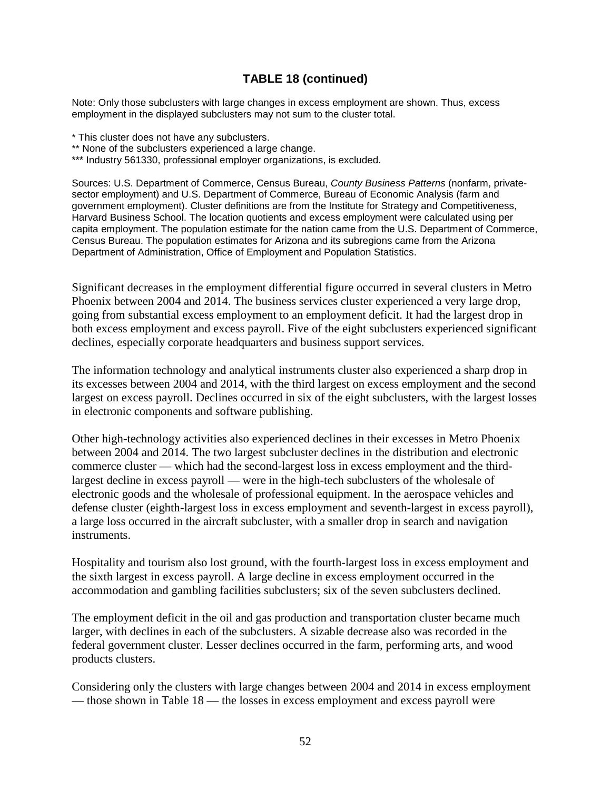# **TABLE 18 (continued)**

Note: Only those subclusters with large changes in excess employment are shown. Thus, excess employment in the displayed subclusters may not sum to the cluster total.

- \* This cluster does not have any subclusters.
- \*\* None of the subclusters experienced a large change.
- \*\*\* Industry 561330, professional employer organizations, is excluded.

Sources: U.S. Department of Commerce, Census Bureau, *County Business Patterns* (nonfarm, privatesector employment) and U.S. Department of Commerce, Bureau of Economic Analysis (farm and government employment). Cluster definitions are from the Institute for Strategy and Competitiveness, Harvard Business School. The location quotients and excess employment were calculated using per capita employment. The population estimate for the nation came from the U.S. Department of Commerce, Census Bureau. The population estimates for Arizona and its subregions came from the Arizona Department of Administration, Office of Employment and Population Statistics.

Significant decreases in the employment differential figure occurred in several clusters in Metro Phoenix between 2004 and 2014. The business services cluster experienced a very large drop, going from substantial excess employment to an employment deficit. It had the largest drop in both excess employment and excess payroll. Five of the eight subclusters experienced significant declines, especially corporate headquarters and business support services.

The information technology and analytical instruments cluster also experienced a sharp drop in its excesses between 2004 and 2014, with the third largest on excess employment and the second largest on excess payroll. Declines occurred in six of the eight subclusters, with the largest losses in electronic components and software publishing.

Other high-technology activities also experienced declines in their excesses in Metro Phoenix between 2004 and 2014. The two largest subcluster declines in the distribution and electronic commerce cluster — which had the second-largest loss in excess employment and the thirdlargest decline in excess payroll — were in the high-tech subclusters of the wholesale of electronic goods and the wholesale of professional equipment. In the aerospace vehicles and defense cluster (eighth-largest loss in excess employment and seventh-largest in excess payroll), a large loss occurred in the aircraft subcluster, with a smaller drop in search and navigation instruments.

Hospitality and tourism also lost ground, with the fourth-largest loss in excess employment and the sixth largest in excess payroll. A large decline in excess employment occurred in the accommodation and gambling facilities subclusters; six of the seven subclusters declined.

The employment deficit in the oil and gas production and transportation cluster became much larger, with declines in each of the subclusters. A sizable decrease also was recorded in the federal government cluster. Lesser declines occurred in the farm, performing arts, and wood products clusters.

Considering only the clusters with large changes between 2004 and 2014 in excess employment — those shown in Table 18 — the losses in excess employment and excess payroll were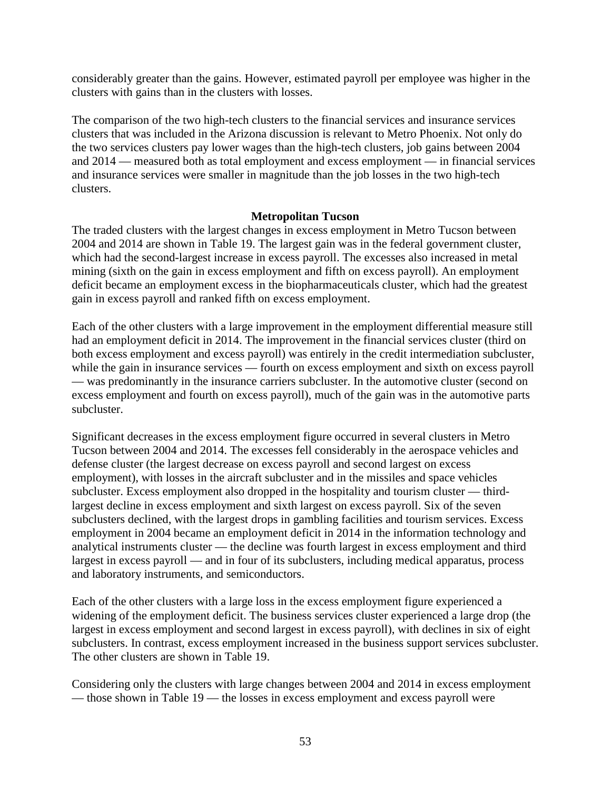considerably greater than the gains. However, estimated payroll per employee was higher in the clusters with gains than in the clusters with losses.

The comparison of the two high-tech clusters to the financial services and insurance services clusters that was included in the Arizona discussion is relevant to Metro Phoenix. Not only do the two services clusters pay lower wages than the high-tech clusters, job gains between 2004 and 2014 — measured both as total employment and excess employment — in financial services and insurance services were smaller in magnitude than the job losses in the two high-tech clusters.

### **Metropolitan Tucson**

The traded clusters with the largest changes in excess employment in Metro Tucson between 2004 and 2014 are shown in Table 19. The largest gain was in the federal government cluster, which had the second-largest increase in excess payroll. The excesses also increased in metal mining (sixth on the gain in excess employment and fifth on excess payroll). An employment deficit became an employment excess in the biopharmaceuticals cluster, which had the greatest gain in excess payroll and ranked fifth on excess employment.

Each of the other clusters with a large improvement in the employment differential measure still had an employment deficit in 2014. The improvement in the financial services cluster (third on both excess employment and excess payroll) was entirely in the credit intermediation subcluster, while the gain in insurance services — fourth on excess employment and sixth on excess payroll — was predominantly in the insurance carriers subcluster. In the automotive cluster (second on excess employment and fourth on excess payroll), much of the gain was in the automotive parts subcluster.

Significant decreases in the excess employment figure occurred in several clusters in Metro Tucson between 2004 and 2014. The excesses fell considerably in the aerospace vehicles and defense cluster (the largest decrease on excess payroll and second largest on excess employment), with losses in the aircraft subcluster and in the missiles and space vehicles subcluster. Excess employment also dropped in the hospitality and tourism cluster — thirdlargest decline in excess employment and sixth largest on excess payroll. Six of the seven subclusters declined, with the largest drops in gambling facilities and tourism services. Excess employment in 2004 became an employment deficit in 2014 in the information technology and analytical instruments cluster — the decline was fourth largest in excess employment and third largest in excess payroll — and in four of its subclusters, including medical apparatus, process and laboratory instruments, and semiconductors.

Each of the other clusters with a large loss in the excess employment figure experienced a widening of the employment deficit. The business services cluster experienced a large drop (the largest in excess employment and second largest in excess payroll), with declines in six of eight subclusters. In contrast, excess employment increased in the business support services subcluster. The other clusters are shown in Table 19.

Considering only the clusters with large changes between 2004 and 2014 in excess employment — those shown in Table 19 — the losses in excess employment and excess payroll were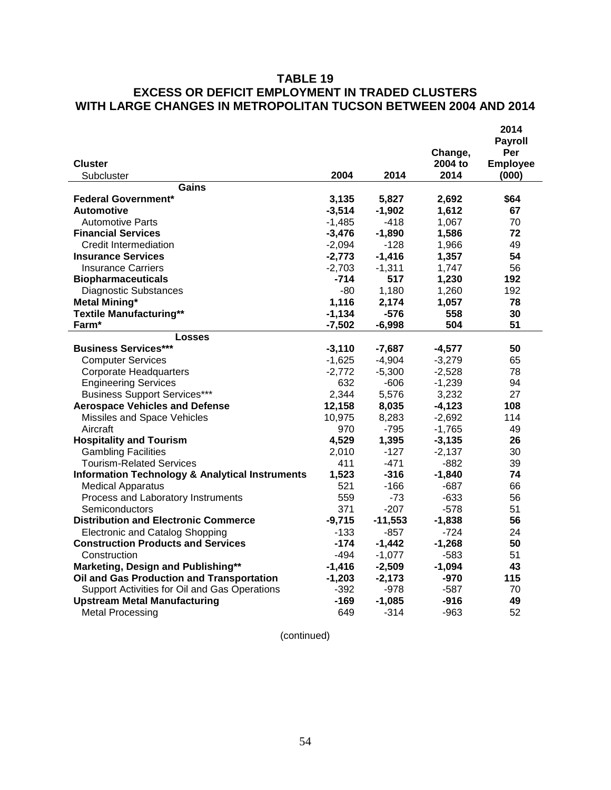# **TABLE 19 EXCESS OR DEFICIT EMPLOYMENT IN TRADED CLUSTERS WITH LARGE CHANGES IN METROPOLITAN TUCSON BETWEEN 2004 AND 2014**

| <b>Cluster</b>                                             |          |           | Change,<br>2004 to | 2014<br><b>Payroll</b><br>Per<br><b>Employee</b> |
|------------------------------------------------------------|----------|-----------|--------------------|--------------------------------------------------|
| Subcluster                                                 | 2004     | 2014      | 2014               | (000)                                            |
| Gains                                                      |          |           |                    |                                                  |
| <b>Federal Government*</b>                                 | 3,135    | 5,827     | 2,692              | \$64                                             |
| <b>Automotive</b>                                          | $-3,514$ | $-1,902$  | 1,612              | 67                                               |
| <b>Automotive Parts</b>                                    | $-1,485$ | -418      | 1,067              | 70                                               |
| <b>Financial Services</b>                                  | $-3,476$ | $-1,890$  | 1,586              | 72                                               |
| <b>Credit Intermediation</b>                               | $-2,094$ | $-128$    | 1,966              | 49                                               |
| <b>Insurance Services</b>                                  | $-2,773$ | $-1,416$  | 1,357              | 54                                               |
| <b>Insurance Carriers</b>                                  | $-2,703$ | $-1,311$  | 1,747              | 56                                               |
| <b>Biopharmaceuticals</b>                                  | -714     | 517       | 1,230              | 192                                              |
| <b>Diagnostic Substances</b>                               | $-80$    | 1,180     | 1,260              | 192                                              |
| <b>Metal Mining*</b>                                       | 1,116    | 2,174     | 1,057              | 78                                               |
| <b>Textile Manufacturing**</b>                             | $-1,134$ | $-576$    | 558                | 30                                               |
| Farm*                                                      | $-7,502$ | $-6,998$  | 504                | 51                                               |
| Losses                                                     |          |           |                    |                                                  |
| <b>Business Services***</b>                                | $-3,110$ | $-7,687$  | $-4,577$           | 50                                               |
| <b>Computer Services</b>                                   | $-1,625$ | $-4,904$  | $-3,279$           | 65                                               |
| <b>Corporate Headquarters</b>                              | $-2,772$ | $-5,300$  | $-2,528$           | 78                                               |
| <b>Engineering Services</b>                                | 632      | $-606$    | $-1,239$           | 94                                               |
| <b>Business Support Services***</b>                        | 2,344    | 5,576     | 3,232              | 27                                               |
| <b>Aerospace Vehicles and Defense</b>                      | 12,158   | 8,035     | $-4,123$           | 108                                              |
| Missiles and Space Vehicles                                | 10,975   | 8,283     | $-2,692$           | 114                                              |
| Aircraft                                                   | 970      | $-795$    | $-1,765$           | 49                                               |
| <b>Hospitality and Tourism</b>                             | 4,529    | 1,395     | $-3,135$           | 26                                               |
| <b>Gambling Facilities</b>                                 | 2,010    | $-127$    | $-2,137$           | 30                                               |
| <b>Tourism-Related Services</b>                            | 411      | $-471$    | $-882$             | 39                                               |
| <b>Information Technology &amp; Analytical Instruments</b> | 1,523    | $-316$    | $-1,840$           | 74                                               |
| <b>Medical Apparatus</b>                                   | 521      | $-166$    | $-687$             | 66                                               |
| Process and Laboratory Instruments                         | 559      | $-73$     | $-633$             | 56                                               |
| Semiconductors                                             | 371      | $-207$    | $-578$             | 51                                               |
| <b>Distribution and Electronic Commerce</b>                | $-9,715$ | $-11,553$ | $-1,838$           | 56                                               |
| <b>Electronic and Catalog Shopping</b>                     | $-133$   | -857      | -724               | 24                                               |
| <b>Construction Products and Services</b>                  | -174     | $-1,442$  | $-1,268$           | 50                                               |
| Construction                                               | $-494$   | $-1,077$  | -583               | 51                                               |
| Marketing, Design and Publishing**                         | $-1,416$ | $-2,509$  | $-1,094$           | 43                                               |
| Oil and Gas Production and Transportation                  | $-1,203$ | $-2,173$  | $-970$             | 115                                              |
| Support Activities for Oil and Gas Operations              | $-392$   | -978      | -587               | 70                                               |
| <b>Upstream Metal Manufacturing</b>                        | -169     | $-1,085$  | -916               | 49                                               |
| <b>Metal Processing</b>                                    | 649      | $-314$    | -963               | 52                                               |

(continued)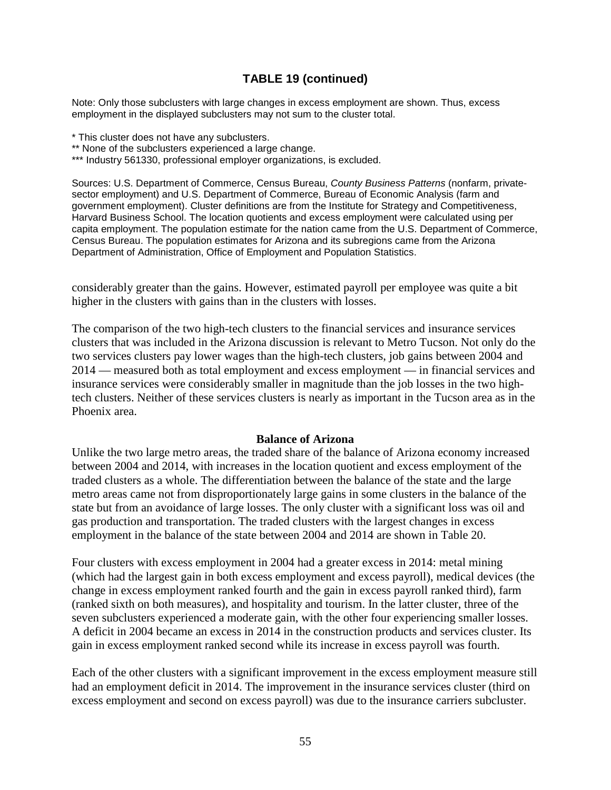# **TABLE 19 (continued)**

Note: Only those subclusters with large changes in excess employment are shown. Thus, excess employment in the displayed subclusters may not sum to the cluster total.

- \* This cluster does not have any subclusters.
- \*\* None of the subclusters experienced a large change.
- \*\*\* Industry 561330, professional employer organizations, is excluded.

Sources: U.S. Department of Commerce, Census Bureau, *County Business Patterns* (nonfarm, privatesector employment) and U.S. Department of Commerce, Bureau of Economic Analysis (farm and government employment). Cluster definitions are from the Institute for Strategy and Competitiveness, Harvard Business School. The location quotients and excess employment were calculated using per capita employment. The population estimate for the nation came from the U.S. Department of Commerce, Census Bureau. The population estimates for Arizona and its subregions came from the Arizona Department of Administration, Office of Employment and Population Statistics.

considerably greater than the gains. However, estimated payroll per employee was quite a bit higher in the clusters with gains than in the clusters with losses.

The comparison of the two high-tech clusters to the financial services and insurance services clusters that was included in the Arizona discussion is relevant to Metro Tucson. Not only do the two services clusters pay lower wages than the high-tech clusters, job gains between 2004 and 2014 — measured both as total employment and excess employment — in financial services and insurance services were considerably smaller in magnitude than the job losses in the two hightech clusters. Neither of these services clusters is nearly as important in the Tucson area as in the Phoenix area.

#### **Balance of Arizona**

Unlike the two large metro areas, the traded share of the balance of Arizona economy increased between 2004 and 2014, with increases in the location quotient and excess employment of the traded clusters as a whole. The differentiation between the balance of the state and the large metro areas came not from disproportionately large gains in some clusters in the balance of the state but from an avoidance of large losses. The only cluster with a significant loss was oil and gas production and transportation. The traded clusters with the largest changes in excess employment in the balance of the state between 2004 and 2014 are shown in Table 20.

Four clusters with excess employment in 2004 had a greater excess in 2014: metal mining (which had the largest gain in both excess employment and excess payroll), medical devices (the change in excess employment ranked fourth and the gain in excess payroll ranked third), farm (ranked sixth on both measures), and hospitality and tourism. In the latter cluster, three of the seven subclusters experienced a moderate gain, with the other four experiencing smaller losses. A deficit in 2004 became an excess in 2014 in the construction products and services cluster. Its gain in excess employment ranked second while its increase in excess payroll was fourth.

Each of the other clusters with a significant improvement in the excess employment measure still had an employment deficit in 2014. The improvement in the insurance services cluster (third on excess employment and second on excess payroll) was due to the insurance carriers subcluster.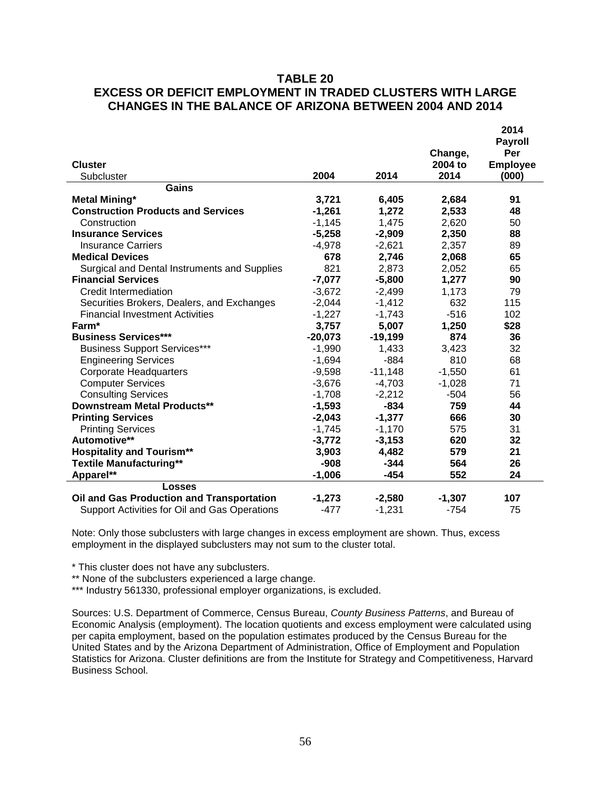# **TABLE 20 EXCESS OR DEFICIT EMPLOYMENT IN TRADED CLUSTERS WITH LARGE CHANGES IN THE BALANCE OF ARIZONA BETWEEN 2004 AND 2014**

| <b>Cluster</b><br>Subcluster                  | 2004      | 2014      | Change,<br>2004 to<br>2014 | 2014<br><b>Payroll</b><br>Per<br><b>Employee</b><br>(000) |
|-----------------------------------------------|-----------|-----------|----------------------------|-----------------------------------------------------------|
| Gains                                         |           |           |                            |                                                           |
| <b>Metal Mining*</b>                          | 3,721     | 6,405     | 2,684                      | 91                                                        |
| <b>Construction Products and Services</b>     | $-1,261$  | 1,272     | 2,533                      | 48                                                        |
| Construction                                  | $-1,145$  | 1,475     | 2,620                      | 50                                                        |
| <b>Insurance Services</b>                     | $-5,258$  | $-2,909$  | 2,350                      | 88                                                        |
| <b>Insurance Carriers</b>                     | $-4,978$  | $-2,621$  | 2,357                      | 89                                                        |
| <b>Medical Devices</b>                        | 678       | 2,746     | 2,068                      | 65                                                        |
| Surgical and Dental Instruments and Supplies  | 821       | 2,873     | 2,052                      | 65                                                        |
| <b>Financial Services</b>                     | $-7,077$  | $-5,800$  | 1,277                      | 90                                                        |
| Credit Intermediation                         | $-3,672$  | $-2,499$  | 1,173                      | 79                                                        |
| Securities Brokers, Dealers, and Exchanges    | $-2,044$  | $-1,412$  | 632                        | 115                                                       |
| <b>Financial Investment Activities</b>        | $-1,227$  | $-1,743$  | $-516$                     | 102                                                       |
| Farm*                                         | 3,757     | 5,007     | 1,250                      | \$28                                                      |
| <b>Business Services***</b>                   | $-20,073$ | $-19,199$ | 874                        | 36                                                        |
| <b>Business Support Services***</b>           | $-1,990$  | 1,433     | 3,423                      | 32                                                        |
| <b>Engineering Services</b>                   | $-1,694$  | $-884$    | 810                        | 68                                                        |
| <b>Corporate Headquarters</b>                 | $-9,598$  | $-11,148$ | $-1,550$                   | 61                                                        |
| <b>Computer Services</b>                      | $-3,676$  | $-4,703$  | $-1,028$                   | 71                                                        |
| <b>Consulting Services</b>                    | $-1,708$  | $-2,212$  | $-504$                     | 56                                                        |
| <b>Downstream Metal Products**</b>            | $-1,593$  | $-834$    | 759                        | 44                                                        |
| <b>Printing Services</b>                      | $-2,043$  | $-1,377$  | 666                        | 30                                                        |
| <b>Printing Services</b>                      | $-1,745$  | $-1,170$  | 575                        | 31                                                        |
| Automotive**                                  | $-3,772$  | $-3,153$  | 620                        | 32                                                        |
| <b>Hospitality and Tourism**</b>              | 3,903     | 4,482     | 579                        | 21                                                        |
| <b>Textile Manufacturing**</b>                | $-908$    | $-344$    | 564                        | 26                                                        |
| Apparel**                                     | $-1,006$  | -454      | 552                        | 24                                                        |
| <b>Losses</b>                                 |           |           |                            |                                                           |
| Oil and Gas Production and Transportation     | $-1,273$  | $-2,580$  | $-1,307$                   | 107                                                       |
| Support Activities for Oil and Gas Operations | $-477$    | $-1,231$  | $-754$                     | 75                                                        |

Note: Only those subclusters with large changes in excess employment are shown. Thus, excess employment in the displayed subclusters may not sum to the cluster total.

\* This cluster does not have any subclusters.

\*\* None of the subclusters experienced a large change.

\*\*\* Industry 561330, professional employer organizations, is excluded.

Sources: U.S. Department of Commerce, Census Bureau, *County Business Patterns*, and Bureau of Economic Analysis (employment). The location quotients and excess employment were calculated using per capita employment, based on the population estimates produced by the Census Bureau for the United States and by the Arizona Department of Administration, Office of Employment and Population Statistics for Arizona. Cluster definitions are from the Institute for Strategy and Competitiveness, Harvard Business School.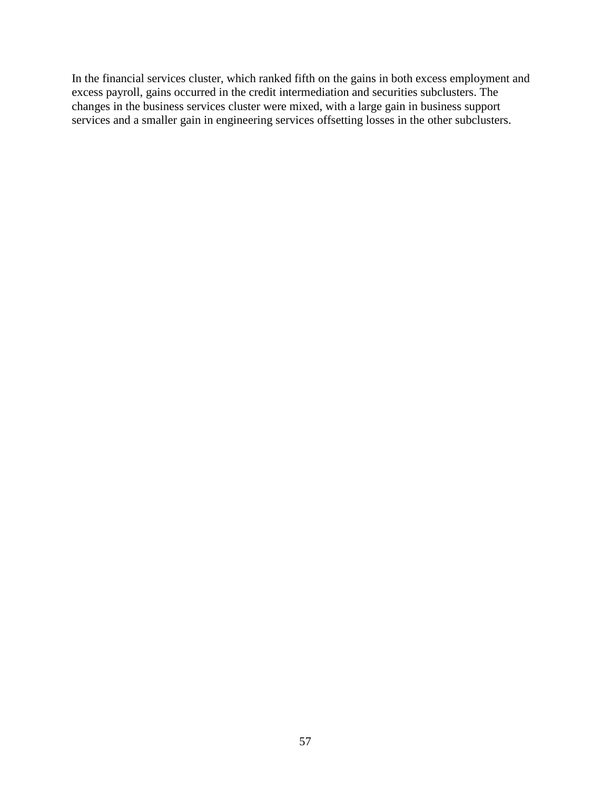In the financial services cluster, which ranked fifth on the gains in both excess employment and excess payroll, gains occurred in the credit intermediation and securities subclusters. The changes in the business services cluster were mixed, with a large gain in business support services and a smaller gain in engineering services offsetting losses in the other subclusters.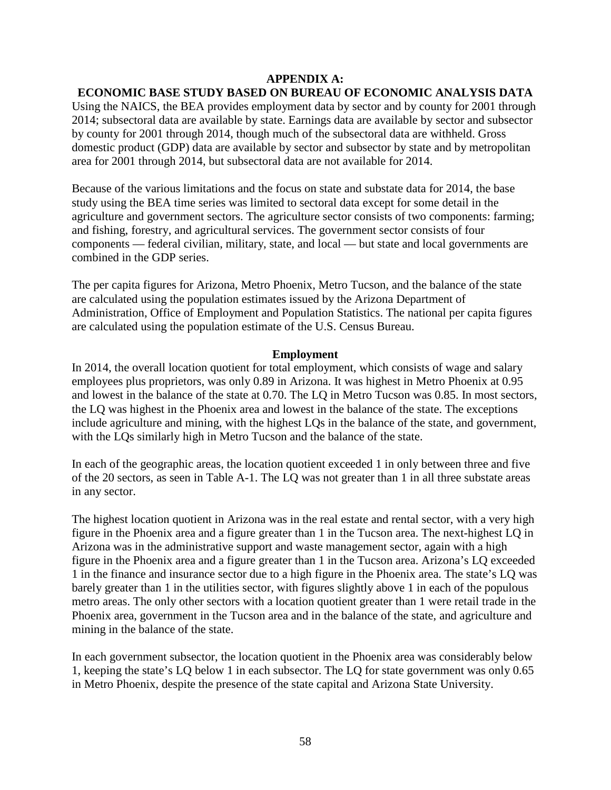### **APPENDIX A:**

# **ECONOMIC BASE STUDY BASED ON BUREAU OF ECONOMIC ANALYSIS DATA**

Using the NAICS, the BEA provides employment data by sector and by county for 2001 through 2014; subsectoral data are available by state. Earnings data are available by sector and subsector by county for 2001 through 2014, though much of the subsectoral data are withheld. Gross domestic product (GDP) data are available by sector and subsector by state and by metropolitan area for 2001 through 2014, but subsectoral data are not available for 2014.

Because of the various limitations and the focus on state and substate data for 2014, the base study using the BEA time series was limited to sectoral data except for some detail in the agriculture and government sectors. The agriculture sector consists of two components: farming; and fishing, forestry, and agricultural services. The government sector consists of four components — federal civilian, military, state, and local — but state and local governments are combined in the GDP series.

The per capita figures for Arizona, Metro Phoenix, Metro Tucson, and the balance of the state are calculated using the population estimates issued by the Arizona Department of Administration, Office of Employment and Population Statistics. The national per capita figures are calculated using the population estimate of the U.S. Census Bureau.

#### **Employment**

In 2014, the overall location quotient for total employment, which consists of wage and salary employees plus proprietors, was only 0.89 in Arizona. It was highest in Metro Phoenix at 0.95 and lowest in the balance of the state at 0.70. The LQ in Metro Tucson was 0.85. In most sectors, the LQ was highest in the Phoenix area and lowest in the balance of the state. The exceptions include agriculture and mining, with the highest LQs in the balance of the state, and government, with the LQs similarly high in Metro Tucson and the balance of the state.

In each of the geographic areas, the location quotient exceeded 1 in only between three and five of the 20 sectors, as seen in Table A-1. The LQ was not greater than 1 in all three substate areas in any sector.

The highest location quotient in Arizona was in the real estate and rental sector, with a very high figure in the Phoenix area and a figure greater than 1 in the Tucson area. The next-highest LQ in Arizona was in the administrative support and waste management sector, again with a high figure in the Phoenix area and a figure greater than 1 in the Tucson area. Arizona's LQ exceeded 1 in the finance and insurance sector due to a high figure in the Phoenix area. The state's LQ was barely greater than 1 in the utilities sector, with figures slightly above 1 in each of the populous metro areas. The only other sectors with a location quotient greater than 1 were retail trade in the Phoenix area, government in the Tucson area and in the balance of the state, and agriculture and mining in the balance of the state.

In each government subsector, the location quotient in the Phoenix area was considerably below 1, keeping the state's LQ below 1 in each subsector. The LQ for state government was only 0.65 in Metro Phoenix, despite the presence of the state capital and Arizona State University.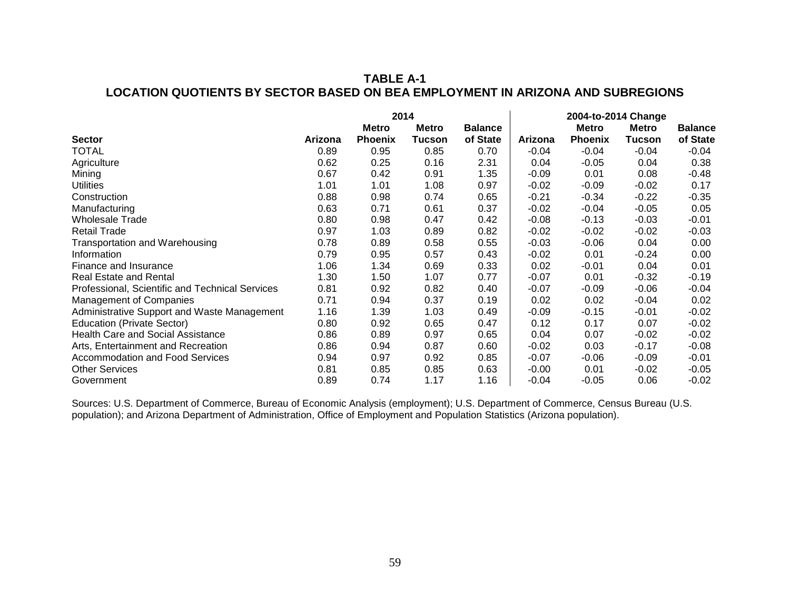# **TABLE A-1 LOCATION QUOTIENTS BY SECTOR BASED ON BEA EMPLOYMENT IN ARIZONA AND SUBREGIONS**

|                                                 |         |                | 2014          |                |         | 2004-to-2014 Change |              |                |
|-------------------------------------------------|---------|----------------|---------------|----------------|---------|---------------------|--------------|----------------|
|                                                 |         | <b>Metro</b>   | <b>Metro</b>  | <b>Balance</b> |         | <b>Metro</b>        | <b>Metro</b> | <b>Balance</b> |
| <b>Sector</b>                                   | Arizona | <b>Phoenix</b> | <b>Tucson</b> | of State       | Arizona | <b>Phoenix</b>      | Tucson       | of State       |
| <b>TOTAL</b>                                    | 0.89    | 0.95           | 0.85          | 0.70           | $-0.04$ | $-0.04$             | $-0.04$      | $-0.04$        |
| Agriculture                                     | 0.62    | 0.25           | 0.16          | 2.31           | 0.04    | $-0.05$             | 0.04         | 0.38           |
| Mining                                          | 0.67    | 0.42           | 0.91          | 1.35           | $-0.09$ | 0.01                | 0.08         | $-0.48$        |
| <b>Utilities</b>                                | 1.01    | 1.01           | 1.08          | 0.97           | $-0.02$ | $-0.09$             | $-0.02$      | 0.17           |
| Construction                                    | 0.88    | 0.98           | 0.74          | 0.65           | $-0.21$ | $-0.34$             | $-0.22$      | $-0.35$        |
| Manufacturing                                   | 0.63    | 0.71           | 0.61          | 0.37           | $-0.02$ | $-0.04$             | $-0.05$      | 0.05           |
| <b>Wholesale Trade</b>                          | 0.80    | 0.98           | 0.47          | 0.42           | $-0.08$ | $-0.13$             | $-0.03$      | $-0.01$        |
| <b>Retail Trade</b>                             | 0.97    | 1.03           | 0.89          | 0.82           | $-0.02$ | $-0.02$             | $-0.02$      | $-0.03$        |
| Transportation and Warehousing                  | 0.78    | 0.89           | 0.58          | 0.55           | $-0.03$ | $-0.06$             | 0.04         | 0.00           |
| Information                                     | 0.79    | 0.95           | 0.57          | 0.43           | $-0.02$ | 0.01                | $-0.24$      | 0.00           |
| Finance and Insurance                           | 1.06    | 1.34           | 0.69          | 0.33           | 0.02    | $-0.01$             | 0.04         | 0.01           |
| <b>Real Estate and Rental</b>                   | 1.30    | 1.50           | 1.07          | 0.77           | $-0.07$ | 0.01                | $-0.32$      | $-0.19$        |
| Professional, Scientific and Technical Services | 0.81    | 0.92           | 0.82          | 0.40           | $-0.07$ | $-0.09$             | $-0.06$      | $-0.04$        |
| <b>Management of Companies</b>                  | 0.71    | 0.94           | 0.37          | 0.19           | 0.02    | 0.02                | $-0.04$      | 0.02           |
| Administrative Support and Waste Management     | 1.16    | 1.39           | 1.03          | 0.49           | $-0.09$ | $-0.15$             | $-0.01$      | $-0.02$        |
| <b>Education (Private Sector)</b>               | 0.80    | 0.92           | 0.65          | 0.47           | 0.12    | 0.17                | 0.07         | $-0.02$        |
| <b>Health Care and Social Assistance</b>        | 0.86    | 0.89           | 0.97          | 0.65           | 0.04    | 0.07                | $-0.02$      | $-0.02$        |
| Arts, Entertainment and Recreation              | 0.86    | 0.94           | 0.87          | 0.60           | $-0.02$ | 0.03                | $-0.17$      | $-0.08$        |
| <b>Accommodation and Food Services</b>          | 0.94    | 0.97           | 0.92          | 0.85           | $-0.07$ | $-0.06$             | $-0.09$      | $-0.01$        |
| <b>Other Services</b>                           | 0.81    | 0.85           | 0.85          | 0.63           | $-0.00$ | 0.01                | $-0.02$      | $-0.05$        |
| Government                                      | 0.89    | 0.74           | 1.17          | 1.16           | $-0.04$ | -0.05               | 0.06         | $-0.02$        |

Sources: U.S. Department of Commerce, Bureau of Economic Analysis (employment); U.S. Department of Commerce, Census Bureau (U.S. population); and Arizona Department of Administration, Office of Employment and Population Statistics (Arizona population).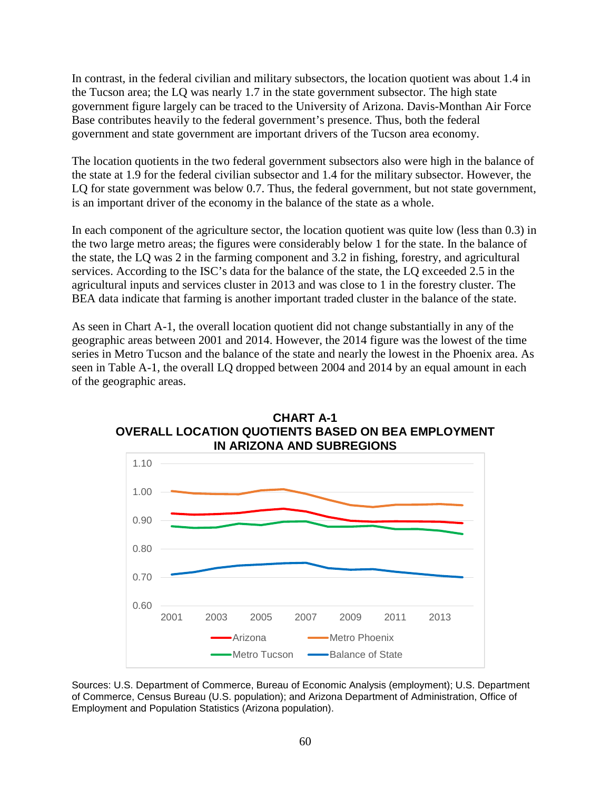In contrast, in the federal civilian and military subsectors, the location quotient was about 1.4 in the Tucson area; the LQ was nearly 1.7 in the state government subsector. The high state government figure largely can be traced to the University of Arizona. Davis-Monthan Air Force Base contributes heavily to the federal government's presence. Thus, both the federal government and state government are important drivers of the Tucson area economy.

The location quotients in the two federal government subsectors also were high in the balance of the state at 1.9 for the federal civilian subsector and 1.4 for the military subsector. However, the LQ for state government was below 0.7. Thus, the federal government, but not state government, is an important driver of the economy in the balance of the state as a whole.

In each component of the agriculture sector, the location quotient was quite low (less than 0.3) in the two large metro areas; the figures were considerably below 1 for the state. In the balance of the state, the LQ was 2 in the farming component and 3.2 in fishing, forestry, and agricultural services. According to the ISC's data for the balance of the state, the LQ exceeded 2.5 in the agricultural inputs and services cluster in 2013 and was close to 1 in the forestry cluster. The BEA data indicate that farming is another important traded cluster in the balance of the state.

As seen in Chart A-1, the overall location quotient did not change substantially in any of the geographic areas between 2001 and 2014. However, the 2014 figure was the lowest of the time series in Metro Tucson and the balance of the state and nearly the lowest in the Phoenix area. As seen in Table A-1, the overall LQ dropped between 2004 and 2014 by an equal amount in each of the geographic areas.





Sources: U.S. Department of Commerce, Bureau of Economic Analysis (employment); U.S. Department of Commerce, Census Bureau (U.S. population); and Arizona Department of Administration, Office of Employment and Population Statistics (Arizona population).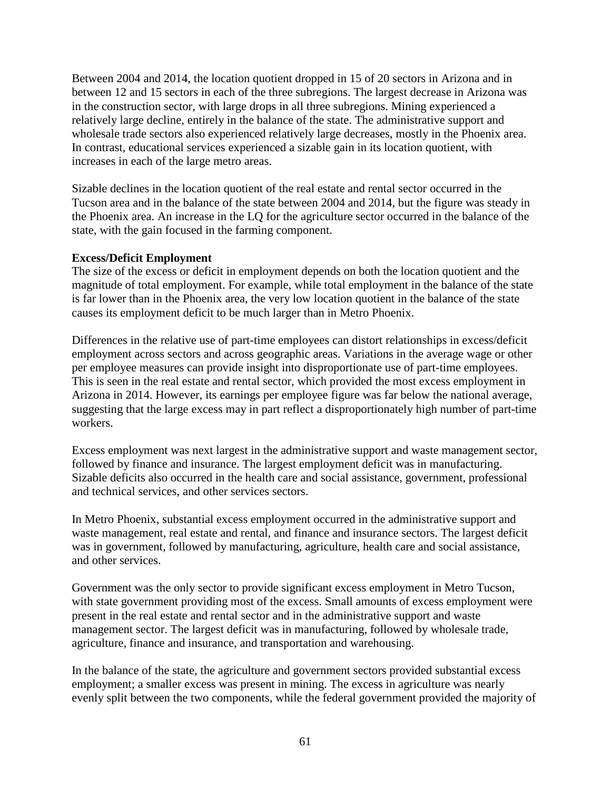Between 2004 and 2014, the location quotient dropped in 15 of 20 sectors in Arizona and in between 12 and 15 sectors in each of the three subregions. The largest decrease in Arizona was in the construction sector, with large drops in all three subregions. Mining experienced a relatively large decline, entirely in the balance of the state. The administrative support and wholesale trade sectors also experienced relatively large decreases, mostly in the Phoenix area. In contrast, educational services experienced a sizable gain in its location quotient, with increases in each of the large metro areas.

Sizable declines in the location quotient of the real estate and rental sector occurred in the Tucson area and in the balance of the state between 2004 and 2014, but the figure was steady in the Phoenix area. An increase in the LQ for the agriculture sector occurred in the balance of the state, with the gain focused in the farming component.

### **Excess/Deficit Employment**

The size of the excess or deficit in employment depends on both the location quotient and the magnitude of total employment. For example, while total employment in the balance of the state is far lower than in the Phoenix area, the very low location quotient in the balance of the state causes its employment deficit to be much larger than in Metro Phoenix.

Differences in the relative use of part-time employees can distort relationships in excess/deficit employment across sectors and across geographic areas. Variations in the average wage or other per employee measures can provide insight into disproportionate use of part-time employees. This is seen in the real estate and rental sector, which provided the most excess employment in Arizona in 2014. However, its earnings per employee figure was far below the national average, suggesting that the large excess may in part reflect a disproportionately high number of part-time workers.

Excess employment was next largest in the administrative support and waste management sector, followed by finance and insurance. The largest employment deficit was in manufacturing. Sizable deficits also occurred in the health care and social assistance, government, professional and technical services, and other services sectors.

In Metro Phoenix, substantial excess employment occurred in the administrative support and waste management, real estate and rental, and finance and insurance sectors. The largest deficit was in government, followed by manufacturing, agriculture, health care and social assistance, and other services.

Government was the only sector to provide significant excess employment in Metro Tucson, with state government providing most of the excess. Small amounts of excess employment were present in the real estate and rental sector and in the administrative support and waste management sector. The largest deficit was in manufacturing, followed by wholesale trade, agriculture, finance and insurance, and transportation and warehousing.

In the balance of the state, the agriculture and government sectors provided substantial excess employment; a smaller excess was present in mining. The excess in agriculture was nearly evenly split between the two components, while the federal government provided the majority of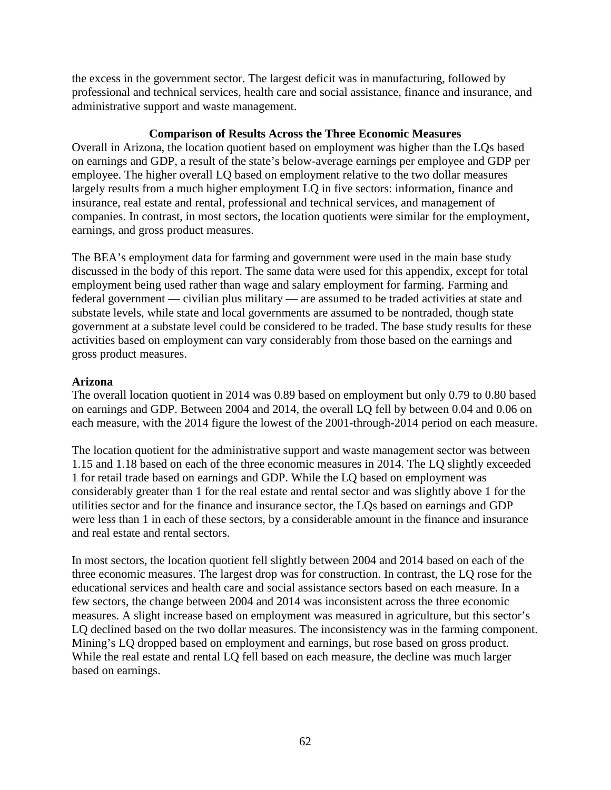the excess in the government sector. The largest deficit was in manufacturing, followed by professional and technical services, health care and social assistance, finance and insurance, and administrative support and waste management.

### **Comparison of Results Across the Three Economic Measures**

Overall in Arizona, the location quotient based on employment was higher than the LQs based on earnings and GDP, a result of the state's below-average earnings per employee and GDP per employee. The higher overall LQ based on employment relative to the two dollar measures largely results from a much higher employment LQ in five sectors: information, finance and insurance, real estate and rental, professional and technical services, and management of companies. In contrast, in most sectors, the location quotients were similar for the employment, earnings, and gross product measures.

The BEA's employment data for farming and government were used in the main base study discussed in the body of this report. The same data were used for this appendix, except for total employment being used rather than wage and salary employment for farming. Farming and federal government — civilian plus military — are assumed to be traded activities at state and substate levels, while state and local governments are assumed to be nontraded, though state government at a substate level could be considered to be traded. The base study results for these activities based on employment can vary considerably from those based on the earnings and gross product measures.

### **Arizona**

The overall location quotient in 2014 was 0.89 based on employment but only 0.79 to 0.80 based on earnings and GDP. Between 2004 and 2014, the overall LQ fell by between 0.04 and 0.06 on each measure, with the 2014 figure the lowest of the 2001-through-2014 period on each measure.

The location quotient for the administrative support and waste management sector was between 1.15 and 1.18 based on each of the three economic measures in 2014. The LQ slightly exceeded 1 for retail trade based on earnings and GDP. While the LQ based on employment was considerably greater than 1 for the real estate and rental sector and was slightly above 1 for the utilities sector and for the finance and insurance sector, the LQs based on earnings and GDP were less than 1 in each of these sectors, by a considerable amount in the finance and insurance and real estate and rental sectors.

In most sectors, the location quotient fell slightly between 2004 and 2014 based on each of the three economic measures. The largest drop was for construction. In contrast, the LQ rose for the educational services and health care and social assistance sectors based on each measure. In a few sectors, the change between 2004 and 2014 was inconsistent across the three economic measures. A slight increase based on employment was measured in agriculture, but this sector's LQ declined based on the two dollar measures. The inconsistency was in the farming component. Mining's LQ dropped based on employment and earnings, but rose based on gross product. While the real estate and rental LQ fell based on each measure, the decline was much larger based on earnings.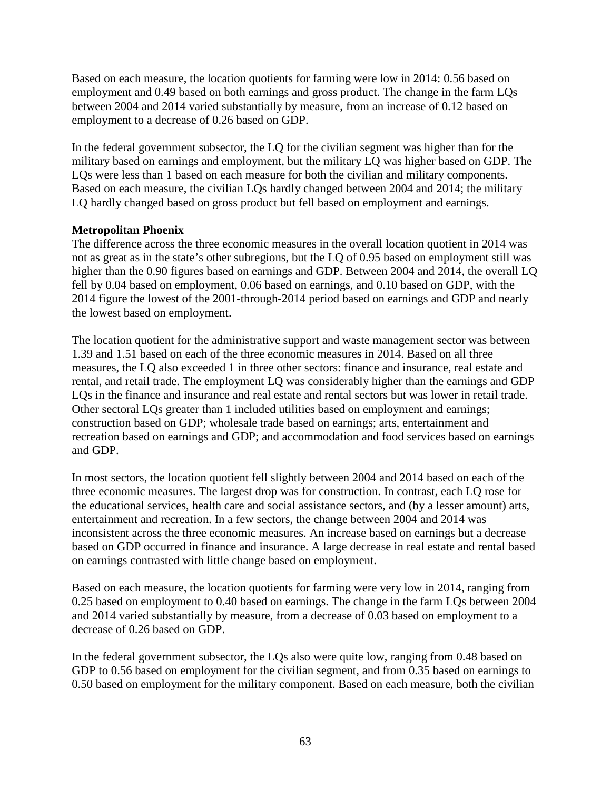Based on each measure, the location quotients for farming were low in 2014: 0.56 based on employment and 0.49 based on both earnings and gross product. The change in the farm LQs between 2004 and 2014 varied substantially by measure, from an increase of 0.12 based on employment to a decrease of 0.26 based on GDP.

In the federal government subsector, the LQ for the civilian segment was higher than for the military based on earnings and employment, but the military LQ was higher based on GDP. The LQs were less than 1 based on each measure for both the civilian and military components. Based on each measure, the civilian LQs hardly changed between 2004 and 2014; the military LQ hardly changed based on gross product but fell based on employment and earnings.

### **Metropolitan Phoenix**

The difference across the three economic measures in the overall location quotient in 2014 was not as great as in the state's other subregions, but the LQ of 0.95 based on employment still was higher than the 0.90 figures based on earnings and GDP. Between 2004 and 2014, the overall LQ fell by 0.04 based on employment, 0.06 based on earnings, and 0.10 based on GDP, with the 2014 figure the lowest of the 2001-through-2014 period based on earnings and GDP and nearly the lowest based on employment.

The location quotient for the administrative support and waste management sector was between 1.39 and 1.51 based on each of the three economic measures in 2014. Based on all three measures, the LQ also exceeded 1 in three other sectors: finance and insurance, real estate and rental, and retail trade. The employment LQ was considerably higher than the earnings and GDP LQs in the finance and insurance and real estate and rental sectors but was lower in retail trade. Other sectoral LQs greater than 1 included utilities based on employment and earnings; construction based on GDP; wholesale trade based on earnings; arts, entertainment and recreation based on earnings and GDP; and accommodation and food services based on earnings and GDP.

In most sectors, the location quotient fell slightly between 2004 and 2014 based on each of the three economic measures. The largest drop was for construction. In contrast, each LQ rose for the educational services, health care and social assistance sectors, and (by a lesser amount) arts, entertainment and recreation. In a few sectors, the change between 2004 and 2014 was inconsistent across the three economic measures. An increase based on earnings but a decrease based on GDP occurred in finance and insurance. A large decrease in real estate and rental based on earnings contrasted with little change based on employment.

Based on each measure, the location quotients for farming were very low in 2014, ranging from 0.25 based on employment to 0.40 based on earnings. The change in the farm LQs between 2004 and 2014 varied substantially by measure, from a decrease of 0.03 based on employment to a decrease of 0.26 based on GDP.

In the federal government subsector, the LQs also were quite low, ranging from 0.48 based on GDP to 0.56 based on employment for the civilian segment, and from 0.35 based on earnings to 0.50 based on employment for the military component. Based on each measure, both the civilian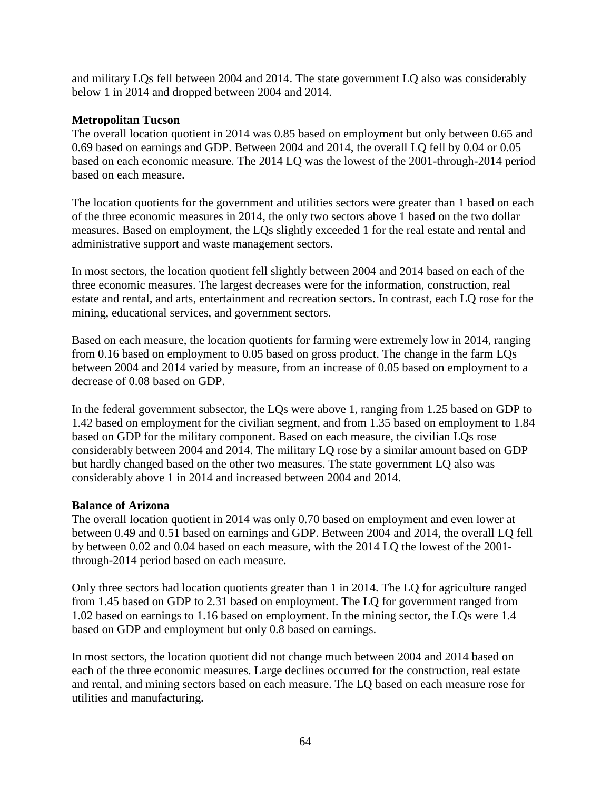and military LQs fell between 2004 and 2014. The state government LQ also was considerably below 1 in 2014 and dropped between 2004 and 2014.

### **Metropolitan Tucson**

The overall location quotient in 2014 was 0.85 based on employment but only between 0.65 and 0.69 based on earnings and GDP. Between 2004 and 2014, the overall LQ fell by 0.04 or 0.05 based on each economic measure. The 2014 LQ was the lowest of the 2001-through-2014 period based on each measure.

The location quotients for the government and utilities sectors were greater than 1 based on each of the three economic measures in 2014, the only two sectors above 1 based on the two dollar measures. Based on employment, the LQs slightly exceeded 1 for the real estate and rental and administrative support and waste management sectors.

In most sectors, the location quotient fell slightly between 2004 and 2014 based on each of the three economic measures. The largest decreases were for the information, construction, real estate and rental, and arts, entertainment and recreation sectors. In contrast, each LQ rose for the mining, educational services, and government sectors.

Based on each measure, the location quotients for farming were extremely low in 2014, ranging from 0.16 based on employment to 0.05 based on gross product. The change in the farm LQs between 2004 and 2014 varied by measure, from an increase of 0.05 based on employment to a decrease of 0.08 based on GDP.

In the federal government subsector, the LQs were above 1, ranging from 1.25 based on GDP to 1.42 based on employment for the civilian segment, and from 1.35 based on employment to 1.84 based on GDP for the military component. Based on each measure, the civilian LQs rose considerably between 2004 and 2014. The military LQ rose by a similar amount based on GDP but hardly changed based on the other two measures. The state government LQ also was considerably above 1 in 2014 and increased between 2004 and 2014.

### **Balance of Arizona**

The overall location quotient in 2014 was only 0.70 based on employment and even lower at between 0.49 and 0.51 based on earnings and GDP. Between 2004 and 2014, the overall LQ fell by between 0.02 and 0.04 based on each measure, with the 2014 LQ the lowest of the 2001 through-2014 period based on each measure.

Only three sectors had location quotients greater than 1 in 2014. The LQ for agriculture ranged from 1.45 based on GDP to 2.31 based on employment. The LQ for government ranged from 1.02 based on earnings to 1.16 based on employment. In the mining sector, the LQs were 1.4 based on GDP and employment but only 0.8 based on earnings.

In most sectors, the location quotient did not change much between 2004 and 2014 based on each of the three economic measures. Large declines occurred for the construction, real estate and rental, and mining sectors based on each measure. The LQ based on each measure rose for utilities and manufacturing.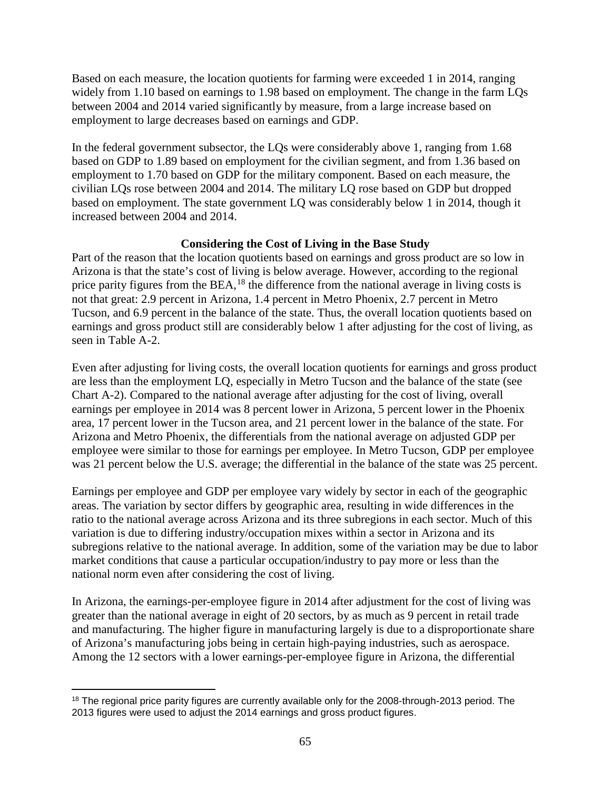Based on each measure, the location quotients for farming were exceeded 1 in 2014, ranging widely from 1.10 based on earnings to 1.98 based on employment. The change in the farm LQs between 2004 and 2014 varied significantly by measure, from a large increase based on employment to large decreases based on earnings and GDP.

In the federal government subsector, the LQs were considerably above 1, ranging from 1.68 based on GDP to 1.89 based on employment for the civilian segment, and from 1.36 based on employment to 1.70 based on GDP for the military component. Based on each measure, the civilian LQs rose between 2004 and 2014. The military LQ rose based on GDP but dropped based on employment. The state government LQ was considerably below 1 in 2014, though it increased between 2004 and 2014.

# **Considering the Cost of Living in the Base Study**

Part of the reason that the location quotients based on earnings and gross product are so low in Arizona is that the state's cost of living is below average. However, according to the regional price parity figures from the BEA,<sup>[18](#page-66-0)</sup> the difference from the national average in living costs is not that great: 2.9 percent in Arizona, 1.4 percent in Metro Phoenix, 2.7 percent in Metro Tucson, and 6.9 percent in the balance of the state. Thus, the overall location quotients based on earnings and gross product still are considerably below 1 after adjusting for the cost of living, as seen in Table A-2.

Even after adjusting for living costs, the overall location quotients for earnings and gross product are less than the employment LQ, especially in Metro Tucson and the balance of the state (see Chart A-2). Compared to the national average after adjusting for the cost of living, overall earnings per employee in 2014 was 8 percent lower in Arizona, 5 percent lower in the Phoenix area, 17 percent lower in the Tucson area, and 21 percent lower in the balance of the state. For Arizona and Metro Phoenix, the differentials from the national average on adjusted GDP per employee were similar to those for earnings per employee. In Metro Tucson, GDP per employee was 21 percent below the U.S. average; the differential in the balance of the state was 25 percent.

Earnings per employee and GDP per employee vary widely by sector in each of the geographic areas. The variation by sector differs by geographic area, resulting in wide differences in the ratio to the national average across Arizona and its three subregions in each sector. Much of this variation is due to differing industry/occupation mixes within a sector in Arizona and its subregions relative to the national average. In addition, some of the variation may be due to labor market conditions that cause a particular occupation/industry to pay more or less than the national norm even after considering the cost of living.

In Arizona, the earnings-per-employee figure in 2014 after adjustment for the cost of living was greater than the national average in eight of 20 sectors, by as much as 9 percent in retail trade and manufacturing. The higher figure in manufacturing largely is due to a disproportionate share of Arizona's manufacturing jobs being in certain high-paying industries, such as aerospace. Among the 12 sectors with a lower earnings-per-employee figure in Arizona, the differential

<span id="page-66-0"></span> $\overline{a}$ <sup>18</sup> The regional price parity figures are currently available only for the 2008-through-2013 period. The 2013 figures were used to adjust the 2014 earnings and gross product figures.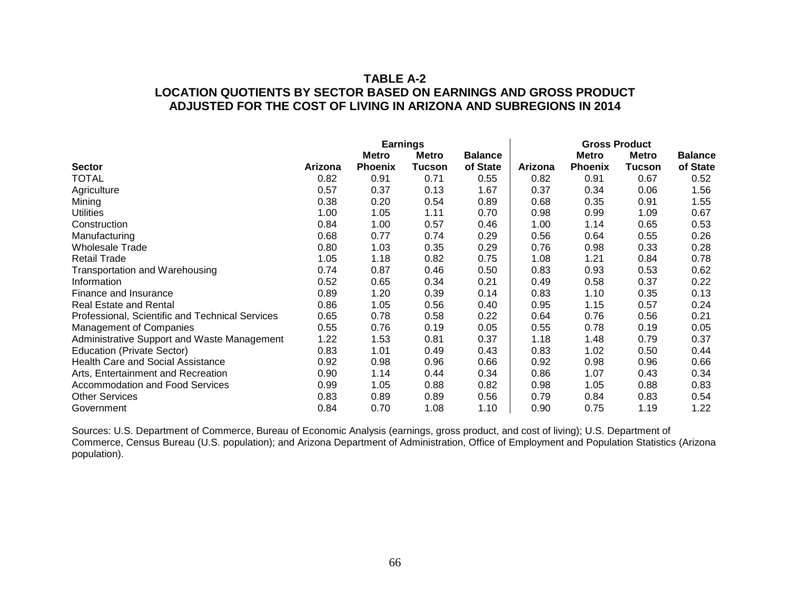# **TABLE A-2 LOCATION QUOTIENTS BY SECTOR BASED ON EARNINGS AND GROSS PRODUCT ADJUSTED FOR THE COST OF LIVING IN ARIZONA AND SUBREGIONS IN 2014**

|                                                 | <b>Earnings</b> |                |               |                | <b>Gross Product</b> |                |               |                |
|-------------------------------------------------|-----------------|----------------|---------------|----------------|----------------------|----------------|---------------|----------------|
|                                                 |                 | Metro          | <b>Metro</b>  | <b>Balance</b> |                      | <b>Metro</b>   | <b>Metro</b>  | <b>Balance</b> |
| <b>Sector</b>                                   | Arizona         | <b>Phoenix</b> | <b>Tucson</b> | of State       | Arizona              | <b>Phoenix</b> | <b>Tucson</b> | of State       |
| <b>TOTAL</b>                                    | 0.82            | 0.91           | 0.71          | 0.55           | 0.82                 | 0.91           | 0.67          | 0.52           |
| Agriculture                                     | 0.57            | 0.37           | 0.13          | 1.67           | 0.37                 | 0.34           | 0.06          | 1.56           |
| Mining                                          | 0.38            | 0.20           | 0.54          | 0.89           | 0.68                 | 0.35           | 0.91          | 1.55           |
| <b>Utilities</b>                                | 1.00            | 1.05           | 1.11          | 0.70           | 0.98                 | 0.99           | 1.09          | 0.67           |
| Construction                                    | 0.84            | 1.00           | 0.57          | 0.46           | 1.00                 | 1.14           | 0.65          | 0.53           |
| Manufacturing                                   | 0.68            | 0.77           | 0.74          | 0.29           | 0.56                 | 0.64           | 0.55          | 0.26           |
| <b>Wholesale Trade</b>                          | 0.80            | 1.03           | 0.35          | 0.29           | 0.76                 | 0.98           | 0.33          | 0.28           |
| <b>Retail Trade</b>                             | 1.05            | 1.18           | 0.82          | 0.75           | 1.08                 | 1.21           | 0.84          | 0.78           |
| <b>Transportation and Warehousing</b>           | 0.74            | 0.87           | 0.46          | 0.50           | 0.83                 | 0.93           | 0.53          | 0.62           |
| Information                                     | 0.52            | 0.65           | 0.34          | 0.21           | 0.49                 | 0.58           | 0.37          | 0.22           |
| Finance and Insurance                           | 0.89            | 1.20           | 0.39          | 0.14           | 0.83                 | 1.10           | 0.35          | 0.13           |
| <b>Real Estate and Rental</b>                   | 0.86            | 1.05           | 0.56          | 0.40           | 0.95                 | 1.15           | 0.57          | 0.24           |
| Professional, Scientific and Technical Services | 0.65            | 0.78           | 0.58          | 0.22           | 0.64                 | 0.76           | 0.56          | 0.21           |
| <b>Management of Companies</b>                  | 0.55            | 0.76           | 0.19          | 0.05           | 0.55                 | 0.78           | 0.19          | 0.05           |
| Administrative Support and Waste Management     | 1.22            | 1.53           | 0.81          | 0.37           | 1.18                 | 1.48           | 0.79          | 0.37           |
| <b>Education (Private Sector)</b>               | 0.83            | 1.01           | 0.49          | 0.43           | 0.83                 | 1.02           | 0.50          | 0.44           |
| <b>Health Care and Social Assistance</b>        | 0.92            | 0.98           | 0.96          | 0.66           | 0.92                 | 0.98           | 0.96          | 0.66           |
| Arts, Entertainment and Recreation              | 0.90            | 1.14           | 0.44          | 0.34           | 0.86                 | 1.07           | 0.43          | 0.34           |
| Accommodation and Food Services                 | 0.99            | 1.05           | 0.88          | 0.82           | 0.98                 | 1.05           | 0.88          | 0.83           |
| <b>Other Services</b>                           | 0.83            | 0.89           | 0.89          | 0.56           | 0.79                 | 0.84           | 0.83          | 0.54           |
| Government                                      | 0.84            | 0.70           | 1.08          | 1.10           | 0.90                 | 0.75           | 1.19          | 1.22           |

Sources: U.S. Department of Commerce, Bureau of Economic Analysis (earnings, gross product, and cost of living); U.S. Department of Commerce, Census Bureau (U.S. population); and Arizona Department of Administration, Office of Employment and Population Statistics (Arizona population).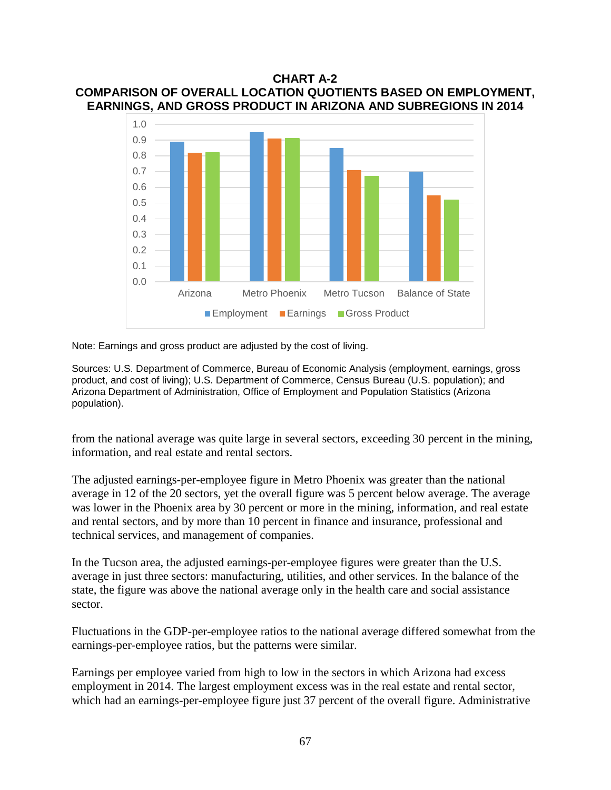### **CHART A-2 COMPARISON OF OVERALL LOCATION QUOTIENTS BASED ON EMPLOYMENT, EARNINGS, AND GROSS PRODUCT IN ARIZONA AND SUBREGIONS IN 2014**



Note: Earnings and gross product are adjusted by the cost of living.

Sources: U.S. Department of Commerce, Bureau of Economic Analysis (employment, earnings, gross product, and cost of living); U.S. Department of Commerce, Census Bureau (U.S. population); and Arizona Department of Administration, Office of Employment and Population Statistics (Arizona population).

from the national average was quite large in several sectors, exceeding 30 percent in the mining, information, and real estate and rental sectors.

The adjusted earnings-per-employee figure in Metro Phoenix was greater than the national average in 12 of the 20 sectors, yet the overall figure was 5 percent below average. The average was lower in the Phoenix area by 30 percent or more in the mining, information, and real estate and rental sectors, and by more than 10 percent in finance and insurance, professional and technical services, and management of companies.

In the Tucson area, the adjusted earnings-per-employee figures were greater than the U.S. average in just three sectors: manufacturing, utilities, and other services. In the balance of the state, the figure was above the national average only in the health care and social assistance sector.

Fluctuations in the GDP-per-employee ratios to the national average differed somewhat from the earnings-per-employee ratios, but the patterns were similar.

Earnings per employee varied from high to low in the sectors in which Arizona had excess employment in 2014. The largest employment excess was in the real estate and rental sector, which had an earnings-per-employee figure just 37 percent of the overall figure. Administrative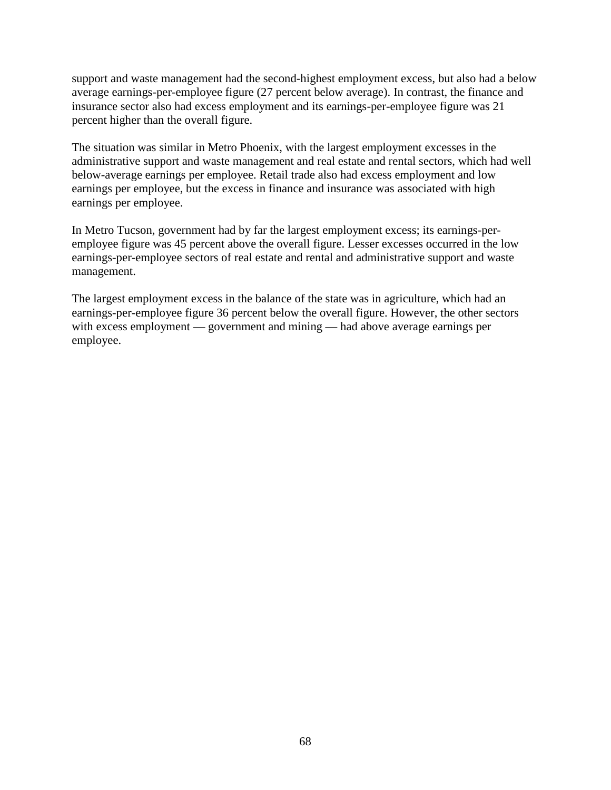support and waste management had the second-highest employment excess, but also had a below average earnings-per-employee figure (27 percent below average). In contrast, the finance and insurance sector also had excess employment and its earnings-per-employee figure was 21 percent higher than the overall figure.

The situation was similar in Metro Phoenix, with the largest employment excesses in the administrative support and waste management and real estate and rental sectors, which had well below-average earnings per employee. Retail trade also had excess employment and low earnings per employee, but the excess in finance and insurance was associated with high earnings per employee.

In Metro Tucson, government had by far the largest employment excess; its earnings-peremployee figure was 45 percent above the overall figure. Lesser excesses occurred in the low earnings-per-employee sectors of real estate and rental and administrative support and waste management.

The largest employment excess in the balance of the state was in agriculture, which had an earnings-per-employee figure 36 percent below the overall figure. However, the other sectors with excess employment — government and mining — had above average earnings per employee.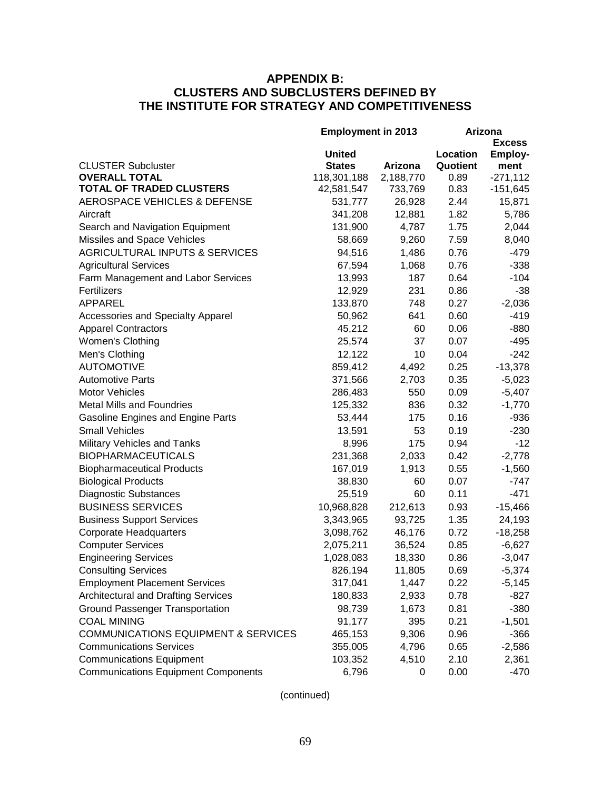# **APPENDIX B: CLUSTERS AND SUBCLUSTERS DEFINED BY THE INSTITUTE FOR STRATEGY AND COMPETITIVENESS**

|                                                | <b>Employment in 2013</b> |           | Arizona       |            |  |
|------------------------------------------------|---------------------------|-----------|---------------|------------|--|
|                                                |                           |           | <b>Excess</b> |            |  |
|                                                | <b>United</b>             |           | Location      | Employ-    |  |
| <b>CLUSTER Subcluster</b>                      | <b>States</b>             | Arizona   | Quotient      | ment       |  |
| <b>OVERALL TOTAL</b>                           | 118,301,188               | 2,188,770 | 0.89          | $-271,112$ |  |
| <b>TOTAL OF TRADED CLUSTERS</b>                | 42,581,547                | 733,769   | 0.83          | $-151,645$ |  |
| <b>AEROSPACE VEHICLES &amp; DEFENSE</b>        | 531,777                   | 26,928    | 2.44          | 15,871     |  |
| Aircraft                                       | 341,208                   | 12,881    | 1.82          | 5,786      |  |
| Search and Navigation Equipment                | 131,900                   | 4,787     | 1.75          | 2,044      |  |
| Missiles and Space Vehicles                    | 58,669                    | 9,260     | 7.59          | 8,040      |  |
| <b>AGRICULTURAL INPUTS &amp; SERVICES</b>      | 94,516                    | 1,486     | 0.76          | $-479$     |  |
| <b>Agricultural Services</b>                   | 67,594                    | 1,068     | 0.76          | $-338$     |  |
| Farm Management and Labor Services             | 13,993                    | 187       | 0.64          | $-104$     |  |
| Fertilizers                                    | 12,929                    | 231       | 0.86          | $-38$      |  |
| <b>APPAREL</b>                                 | 133,870                   | 748       | 0.27          | $-2,036$   |  |
| <b>Accessories and Specialty Apparel</b>       | 50,962                    | 641       | 0.60          | $-419$     |  |
| <b>Apparel Contractors</b>                     | 45,212                    | 60        | 0.06          | $-880$     |  |
| Women's Clothing                               | 25,574                    | 37        | 0.07          | $-495$     |  |
| Men's Clothing                                 | 12,122                    | 10        | 0.04          | $-242$     |  |
| <b>AUTOMOTIVE</b>                              | 859,412                   | 4,492     | 0.25          | $-13,378$  |  |
| <b>Automotive Parts</b>                        | 371,566                   | 2,703     | 0.35          | $-5,023$   |  |
| <b>Motor Vehicles</b>                          | 286,483                   | 550       | 0.09          | $-5,407$   |  |
| <b>Metal Mills and Foundries</b>               | 125,332                   | 836       | 0.32          | $-1,770$   |  |
| <b>Gasoline Engines and Engine Parts</b>       | 53,444                    | 175       | 0.16          | $-936$     |  |
| <b>Small Vehicles</b>                          | 13,591                    | 53        | 0.19          | $-230$     |  |
| Military Vehicles and Tanks                    | 8,996                     | 175       | 0.94          | $-12$      |  |
| <b>BIOPHARMACEUTICALS</b>                      | 231,368                   | 2,033     | 0.42          | $-2,778$   |  |
| <b>Biopharmaceutical Products</b>              | 167,019                   | 1,913     | 0.55          | $-1,560$   |  |
| <b>Biological Products</b>                     | 38,830                    | 60        | 0.07          | $-747$     |  |
| <b>Diagnostic Substances</b>                   | 25,519                    | 60        | 0.11          | $-471$     |  |
| <b>BUSINESS SERVICES</b>                       | 10,968,828                | 212,613   | 0.93          | $-15,466$  |  |
| <b>Business Support Services</b>               | 3,343,965                 | 93,725    | 1.35          | 24,193     |  |
| <b>Corporate Headquarters</b>                  | 3,098,762                 | 46,176    | 0.72          | $-18,258$  |  |
| <b>Computer Services</b>                       | 2,075,211                 | 36,524    | 0.85          | $-6,627$   |  |
| <b>Engineering Services</b>                    | 1,028,083                 | 18,330    | 0.86          | $-3,047$   |  |
| <b>Consulting Services</b>                     | 826,194                   | 11,805    | 0.69          | $-5,374$   |  |
| <b>Employment Placement Services</b>           | 317,041                   | 1,447     | 0.22          | $-5,145$   |  |
| <b>Architectural and Drafting Services</b>     | 180,833                   | 2,933     | 0.78          | $-827$     |  |
| <b>Ground Passenger Transportation</b>         | 98,739                    | 1,673     | 0.81          | $-380$     |  |
| <b>COAL MINING</b>                             | 91,177                    | 395       | 0.21          | $-1,501$   |  |
| <b>COMMUNICATIONS EQUIPMENT &amp; SERVICES</b> | 465,153                   | 9,306     | 0.96          | $-366$     |  |
| <b>Communications Services</b>                 | 355,005                   | 4,796     | 0.65          | $-2,586$   |  |
| <b>Communications Equipment</b>                | 103,352                   | 4,510     | 2.10          | 2,361      |  |
| <b>Communications Equipment Components</b>     | 6,796                     | 0         | 0.00          | $-470$     |  |
|                                                |                           |           |               |            |  |

(continued)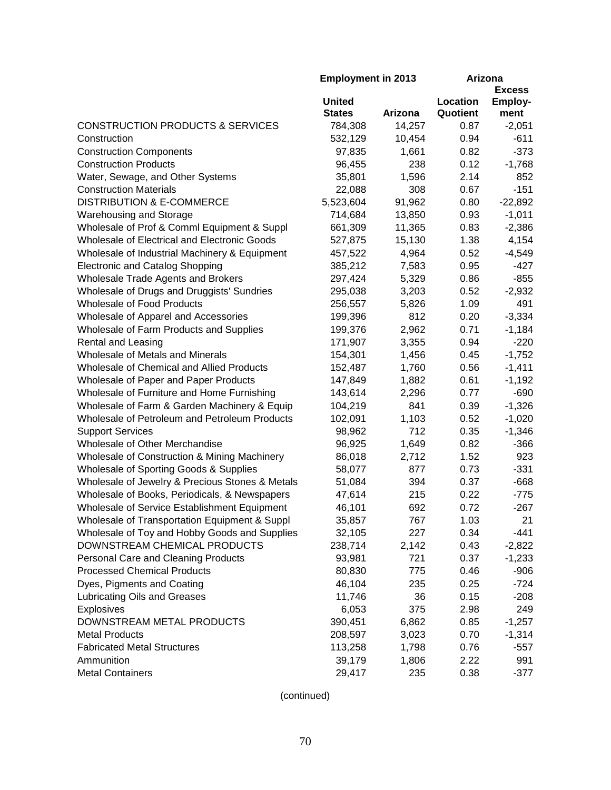|                                                 | <b>Employment in 2013</b> |         | Arizona       |                |  |
|-------------------------------------------------|---------------------------|---------|---------------|----------------|--|
|                                                 |                           |         | <b>Excess</b> |                |  |
|                                                 | <b>United</b>             |         | Location      | <b>Employ-</b> |  |
|                                                 | <b>States</b>             | Arizona | Quotient      | ment           |  |
| <b>CONSTRUCTION PRODUCTS &amp; SERVICES</b>     | 784,308                   | 14,257  | 0.87          | $-2,051$       |  |
| Construction                                    | 532,129                   | 10,454  | 0.94          | $-611$         |  |
| <b>Construction Components</b>                  | 97,835                    | 1,661   | 0.82          | $-373$         |  |
| <b>Construction Products</b>                    | 96,455                    | 238     | 0.12          | $-1,768$       |  |
| Water, Sewage, and Other Systems                | 35,801                    | 1,596   | 2.14          | 852            |  |
| <b>Construction Materials</b>                   | 22,088                    | 308     | 0.67          | $-151$         |  |
| <b>DISTRIBUTION &amp; E-COMMERCE</b>            | 5,523,604                 | 91,962  | 0.80          | $-22,892$      |  |
| <b>Warehousing and Storage</b>                  | 714,684                   | 13,850  | 0.93          | $-1,011$       |  |
| Wholesale of Prof & Comml Equipment & Suppl     | 661,309                   | 11,365  | 0.83          | $-2,386$       |  |
| Wholesale of Electrical and Electronic Goods    | 527,875                   | 15,130  | 1.38          | 4,154          |  |
| Wholesale of Industrial Machinery & Equipment   | 457,522                   | 4,964   | 0.52          | $-4,549$       |  |
| <b>Electronic and Catalog Shopping</b>          | 385,212                   | 7,583   | 0.95          | $-427$         |  |
| Wholesale Trade Agents and Brokers              | 297,424                   | 5,329   | 0.86          | $-855$         |  |
| Wholesale of Drugs and Druggists' Sundries      | 295,038                   | 3,203   | 0.52          | $-2,932$       |  |
| <b>Wholesale of Food Products</b>               | 256,557                   | 5,826   | 1.09          | 491            |  |
| Wholesale of Apparel and Accessories            | 199,396                   | 812     | 0.20          | $-3,334$       |  |
| Wholesale of Farm Products and Supplies         | 199,376                   | 2,962   | 0.71          | $-1,184$       |  |
| Rental and Leasing                              | 171,907                   | 3,355   | 0.94          | $-220$         |  |
| Wholesale of Metals and Minerals                | 154,301                   | 1,456   | 0.45          | $-1,752$       |  |
| Wholesale of Chemical and Allied Products       |                           |         | 0.56          |                |  |
|                                                 | 152,487                   | 1,760   |               | $-1,411$       |  |
| Wholesale of Paper and Paper Products           | 147,849                   | 1,882   | 0.61          | $-1,192$       |  |
| Wholesale of Furniture and Home Furnishing      | 143,614                   | 2,296   | 0.77          | $-690$         |  |
| Wholesale of Farm & Garden Machinery & Equip    | 104,219                   | 841     | 0.39          | $-1,326$       |  |
| Wholesale of Petroleum and Petroleum Products   | 102,091                   | 1,103   | 0.52          | $-1,020$       |  |
| <b>Support Services</b>                         | 98,962                    | 712     | 0.35          | $-1,346$       |  |
| Wholesale of Other Merchandise                  | 96,925                    | 1,649   | 0.82          | $-366$         |  |
| Wholesale of Construction & Mining Machinery    | 86,018                    | 2,712   | 1.52          | 923            |  |
| Wholesale of Sporting Goods & Supplies          | 58,077                    | 877     | 0.73          | $-331$         |  |
| Wholesale of Jewelry & Precious Stones & Metals | 51,084                    | 394     | 0.37          | $-668$         |  |
| Wholesale of Books, Periodicals, & Newspapers   | 47,614                    | 215     | 0.22          | $-775$         |  |
| Wholesale of Service Establishment Equipment    | 46,101                    | 692     | 0.72          | $-267$         |  |
| Wholesale of Transportation Equipment & Suppl   | 35,857                    | 767     | 1.03          | 21             |  |
| Wholesale of Toy and Hobby Goods and Supplies   | 32,105                    | 227     | 0.34          | $-441$         |  |
| DOWNSTREAM CHEMICAL PRODUCTS                    | 238,714                   | 2,142   | 0.43          | $-2,822$       |  |
| Personal Care and Cleaning Products             | 93,981                    | 721     | 0.37          | $-1,233$       |  |
| <b>Processed Chemical Products</b>              | 80,830                    | 775     | 0.46          | $-906$         |  |
| Dyes, Pigments and Coating                      | 46,104                    | 235     | 0.25          | $-724$         |  |
| Lubricating Oils and Greases                    | 11,746                    | 36      | 0.15          | $-208$         |  |
| <b>Explosives</b>                               | 6,053                     | 375     | 2.98          | 249            |  |
| DOWNSTREAM METAL PRODUCTS                       | 390,451                   | 6,862   | 0.85          | $-1,257$       |  |
| <b>Metal Products</b>                           | 208,597                   | 3,023   | 0.70          | $-1,314$       |  |
| <b>Fabricated Metal Structures</b>              | 113,258                   | 1,798   | 0.76          | $-557$         |  |
| Ammunition                                      | 39,179                    | 1,806   | 2.22          | 991            |  |
| <b>Metal Containers</b>                         | 29,417                    | 235     | 0.38          | $-377$         |  |
|                                                 |                           |         |               |                |  |

(continued)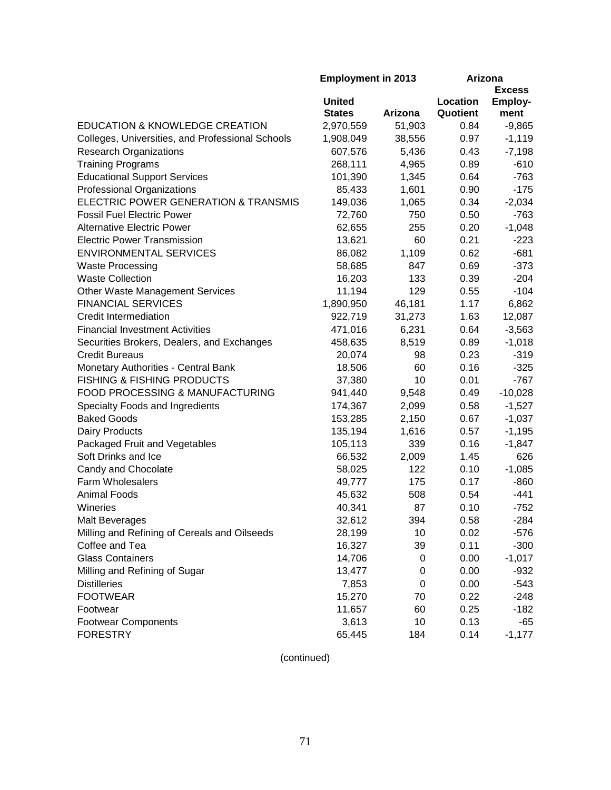|                                                  | <b>Employment in 2013</b> |         | Arizona  |                |
|--------------------------------------------------|---------------------------|---------|----------|----------------|
|                                                  |                           |         |          | <b>Excess</b>  |
|                                                  | <b>United</b>             |         | Location | <b>Employ-</b> |
|                                                  | <b>States</b>             | Arizona | Quotient | ment           |
| EDUCATION & KNOWLEDGE CREATION                   | 2,970,559                 | 51,903  | 0.84     | $-9,865$       |
| Colleges, Universities, and Professional Schools | 1,908,049                 | 38,556  | 0.97     | $-1,119$       |
| <b>Research Organizations</b>                    | 607,576                   | 5,436   | 0.43     | $-7,198$       |
| <b>Training Programs</b>                         | 268,111                   | 4,965   | 0.89     | $-610$         |
| <b>Educational Support Services</b>              | 101,390                   | 1,345   | 0.64     | $-763$         |
| Professional Organizations                       | 85,433                    | 1,601   | 0.90     | $-175$         |
| ELECTRIC POWER GENERATION & TRANSMIS             | 149,036                   | 1,065   | 0.34     | $-2,034$       |
| <b>Fossil Fuel Electric Power</b>                | 72,760                    | 750     | 0.50     | $-763$         |
| <b>Alternative Electric Power</b>                | 62,655                    | 255     | 0.20     | $-1,048$       |
| <b>Electric Power Transmission</b>               | 13,621                    | 60      | 0.21     | $-223$         |
| <b>ENVIRONMENTAL SERVICES</b>                    | 86,082                    | 1,109   | 0.62     | $-681$         |
| <b>Waste Processing</b>                          | 58,685                    | 847     | 0.69     | $-373$         |
| <b>Waste Collection</b>                          | 16,203                    | 133     | 0.39     | $-204$         |
| Other Waste Management Services                  | 11,194                    | 129     | 0.55     | $-104$         |
| <b>FINANCIAL SERVICES</b>                        | 1,890,950                 | 46,181  | 1.17     | 6,862          |
| <b>Credit Intermediation</b>                     | 922,719                   | 31,273  | 1.63     | 12,087         |
| <b>Financial Investment Activities</b>           | 471,016                   | 6,231   | 0.64     | $-3,563$       |
| Securities Brokers, Dealers, and Exchanges       | 458,635                   | 8,519   | 0.89     | $-1,018$       |
| <b>Credit Bureaus</b>                            | 20,074                    | 98      | 0.23     | $-319$         |
| Monetary Authorities - Central Bank              | 18,506                    | 60      | 0.16     | $-325$         |
| <b>FISHING &amp; FISHING PRODUCTS</b>            | 37,380                    | 10      | 0.01     | $-767$         |
| FOOD PROCESSING & MANUFACTURING                  | 941,440                   | 9,548   | 0.49     | $-10,028$      |
| Specialty Foods and Ingredients                  | 174,367                   | 2,099   | 0.58     | $-1,527$       |
| <b>Baked Goods</b>                               | 153,285                   | 2,150   | 0.67     | $-1,037$       |
| Dairy Products                                   | 135,194                   | 1,616   | 0.57     | $-1,195$       |
| Packaged Fruit and Vegetables                    | 105,113                   | 339     | 0.16     | $-1,847$       |
| Soft Drinks and Ice                              | 66,532                    | 2,009   | 1.45     | 626            |
| Candy and Chocolate                              | 58,025                    | 122     | 0.10     | $-1,085$       |
| <b>Farm Wholesalers</b>                          | 49,777                    | 175     | 0.17     | $-860$         |
| <b>Animal Foods</b>                              | 45,632                    | 508     | 0.54     | $-441$         |
| Wineries                                         | 40,341                    | 87      | 0.10     | $-752$         |
| <b>Malt Beverages</b>                            | 32,612                    | 394     | 0.58     | $-284$         |
| Milling and Refining of Cereals and Oilseeds     | 28,199                    | 10      | 0.02     | $-576$         |
| Coffee and Tea                                   | 16,327                    | 39      | 0.11     | $-300$         |
| <b>Glass Containers</b>                          | 14,706                    | 0       | 0.00     | $-1,017$       |
| Milling and Refining of Sugar                    | 13,477                    | 0       | 0.00     | $-932$         |
| <b>Distilleries</b>                              | 7,853                     | 0       | 0.00     | $-543$         |
| <b>FOOTWEAR</b>                                  | 15,270                    | 70      | 0.22     | $-248$         |
| Footwear                                         | 11,657                    | 60      | 0.25     | $-182$         |
| <b>Footwear Components</b>                       | 3,613                     | 10      | 0.13     | $-65$          |
| <b>FORESTRY</b>                                  | 65,445                    | 184     | 0.14     | $-1,177$       |
|                                                  |                           |         |          |                |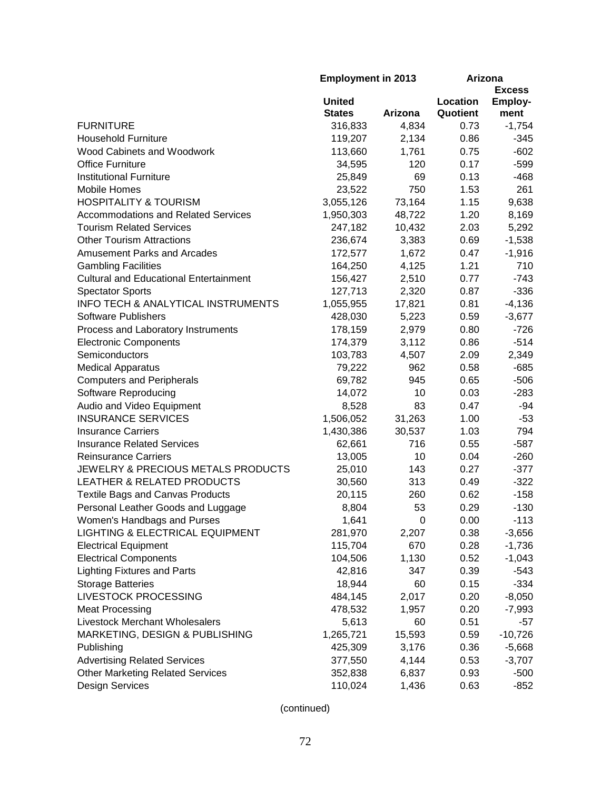|                                               | <b>Employment in 2013</b>      |         | Arizona<br><b>Excess</b> |                        |
|-----------------------------------------------|--------------------------------|---------|--------------------------|------------------------|
|                                               | <b>United</b><br><b>States</b> | Arizona | Location<br>Quotient     | <b>Employ-</b><br>ment |
| <b>FURNITURE</b>                              | 316,833                        | 4,834   | 0.73                     | $-1,754$               |
| <b>Household Furniture</b>                    | 119,207                        | 2,134   | 0.86                     | $-345$                 |
| <b>Wood Cabinets and Woodwork</b>             | 113,660                        | 1,761   | 0.75                     | $-602$                 |
| <b>Office Furniture</b>                       | 34,595                         | 120     | 0.17                     | $-599$                 |
| <b>Institutional Furniture</b>                | 25,849                         | 69      | 0.13                     | $-468$                 |
| <b>Mobile Homes</b>                           | 23,522                         | 750     | 1.53                     | 261                    |
| <b>HOSPITALITY &amp; TOURISM</b>              | 3,055,126                      | 73,164  | 1.15                     | 9,638                  |
| <b>Accommodations and Related Services</b>    | 1,950,303                      | 48,722  | 1.20                     | 8,169                  |
| <b>Tourism Related Services</b>               | 247,182                        | 10,432  | 2.03                     | 5,292                  |
| <b>Other Tourism Attractions</b>              | 236,674                        | 3,383   | 0.69                     | $-1,538$               |
| <b>Amusement Parks and Arcades</b>            | 172,577                        | 1,672   | 0.47                     | $-1,916$               |
| <b>Gambling Facilities</b>                    | 164,250                        | 4,125   | 1.21                     | 710                    |
| <b>Cultural and Educational Entertainment</b> | 156,427                        | 2,510   | 0.77                     | $-743$                 |
| <b>Spectator Sports</b>                       | 127,713                        | 2,320   | 0.87                     | $-336$                 |
| <b>INFO TECH &amp; ANALYTICAL INSTRUMENTS</b> | 1,055,955                      | 17,821  | 0.81                     | $-4,136$               |
| <b>Software Publishers</b>                    | 428,030                        | 5,223   | 0.59                     | $-3,677$               |
| Process and Laboratory Instruments            | 178,159                        | 2,979   | 0.80                     | $-726$                 |
| <b>Electronic Components</b>                  | 174,379                        | 3,112   | 0.86                     | $-514$                 |
| Semiconductors                                | 103,783                        | 4,507   | 2.09                     | 2,349                  |
| <b>Medical Apparatus</b>                      | 79,222                         | 962     | 0.58                     | $-685$                 |
| <b>Computers and Peripherals</b>              | 69,782                         | 945     | 0.65                     | $-506$                 |
| Software Reproducing                          | 14,072                         | 10      | 0.03                     | $-283$                 |
| Audio and Video Equipment                     | 8,528                          | 83      | 0.47                     | $-94$                  |
| <b>INSURANCE SERVICES</b>                     | 1,506,052                      | 31,263  | 1.00                     | $-53$                  |
| <b>Insurance Carriers</b>                     | 1,430,386                      | 30,537  | 1.03                     | 794                    |
| <b>Insurance Related Services</b>             | 62,661                         | 716     | 0.55                     | $-587$                 |
| <b>Reinsurance Carriers</b>                   | 13,005                         | 10      | 0.04                     | $-260$                 |
| JEWELRY & PRECIOUS METALS PRODUCTS            | 25,010                         | 143     | 0.27                     | $-377$                 |
| <b>LEATHER &amp; RELATED PRODUCTS</b>         | 30,560                         | 313     | 0.49                     | $-322$                 |
| <b>Textile Bags and Canvas Products</b>       | 20,115                         | 260     | 0.62                     | $-158$                 |
| Personal Leather Goods and Luggage            | 8,804                          | 53      | 0.29                     | $-130$                 |
| Women's Handbags and Purses                   | 1,641                          | 0       | 0.00                     | $-113$                 |
| <b>LIGHTING &amp; ELECTRICAL EQUIPMENT</b>    | 281,970                        | 2,207   | 0.38                     | $-3,656$               |
| <b>Electrical Equipment</b>                   | 115,704                        | 670     | 0.28                     | $-1,736$               |
| <b>Electrical Components</b>                  | 104,506                        | 1,130   | 0.52                     | $-1,043$               |
| <b>Lighting Fixtures and Parts</b>            | 42,816                         | 347     | 0.39                     | $-543$                 |
| <b>Storage Batteries</b>                      | 18,944                         | 60      | 0.15                     | $-334$                 |
| <b>LIVESTOCK PROCESSING</b>                   | 484,145                        | 2,017   | 0.20                     | $-8,050$               |
| <b>Meat Processing</b>                        | 478,532                        | 1,957   | 0.20                     | $-7,993$               |
| <b>Livestock Merchant Wholesalers</b>         | 5,613                          | 60      | 0.51                     | -57                    |
| MARKETING, DESIGN & PUBLISHING                | 1,265,721                      | 15,593  | 0.59                     | $-10,726$              |
| Publishing                                    | 425,309                        | 3,176   | 0.36                     | $-5,668$               |
| <b>Advertising Related Services</b>           | 377,550                        | 4,144   | 0.53                     | $-3,707$               |
| <b>Other Marketing Related Services</b>       | 352,838                        | 6,837   | 0.93                     | $-500$                 |
| Design Services                               | 110,024                        | 1,436   | 0.63                     | $-852$                 |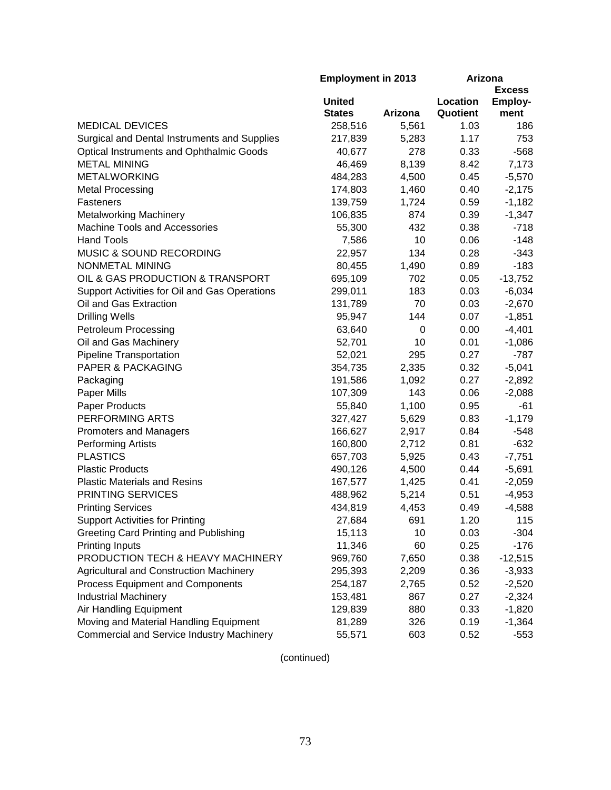|                                                  | <b>Employment in 2013</b> |         | Arizona       |                |
|--------------------------------------------------|---------------------------|---------|---------------|----------------|
|                                                  |                           |         | <b>Excess</b> |                |
|                                                  | <b>United</b>             |         | Location      | <b>Employ-</b> |
|                                                  | <b>States</b>             | Arizona | Quotient      | ment           |
| <b>MEDICAL DEVICES</b>                           | 258,516                   | 5,561   | 1.03          | 186            |
| Surgical and Dental Instruments and Supplies     | 217,839                   | 5,283   | 1.17          | 753            |
| <b>Optical Instruments and Ophthalmic Goods</b>  | 40,677                    | 278     | 0.33          | $-568$         |
| <b>METAL MINING</b>                              | 46,469                    | 8,139   | 8.42          | 7,173          |
| <b>METALWORKING</b>                              | 484,283                   | 4,500   | 0.45          | $-5,570$       |
| <b>Metal Processing</b>                          | 174,803                   | 1,460   | 0.40          | $-2,175$       |
| Fasteners                                        | 139,759                   | 1,724   | 0.59          | $-1,182$       |
| <b>Metalworking Machinery</b>                    | 106,835                   | 874     | 0.39          | $-1,347$       |
| <b>Machine Tools and Accessories</b>             | 55,300                    | 432     | 0.38          | $-718$         |
| <b>Hand Tools</b>                                | 7,586                     | 10      | 0.06          | $-148$         |
| MUSIC & SOUND RECORDING                          | 22,957                    | 134     | 0.28          | $-343$         |
| NONMETAL MINING                                  | 80,455                    | 1,490   | 0.89          | $-183$         |
| OIL & GAS PRODUCTION & TRANSPORT                 | 695,109                   | 702     | 0.05          | $-13,752$      |
| Support Activities for Oil and Gas Operations    | 299,011                   | 183     | 0.03          | $-6,034$       |
| Oil and Gas Extraction                           | 131,789                   | 70      | 0.03          | $-2,670$       |
| <b>Drilling Wells</b>                            | 95,947                    | 144     | 0.07          | $-1,851$       |
| <b>Petroleum Processing</b>                      | 63,640                    | 0       | 0.00          | $-4,401$       |
| Oil and Gas Machinery                            | 52,701                    | 10      | 0.01          | $-1,086$       |
| <b>Pipeline Transportation</b>                   | 52,021                    | 295     | 0.27          | $-787$         |
| <b>PAPER &amp; PACKAGING</b>                     | 354,735                   | 2,335   | 0.32          | $-5,041$       |
| Packaging                                        | 191,586                   | 1,092   | 0.27          | $-2,892$       |
| Paper Mills                                      | 107,309                   | 143     | 0.06          | $-2,088$       |
| <b>Paper Products</b>                            | 55,840                    | 1,100   | 0.95          | -61            |
| PERFORMING ARTS                                  | 327,427                   | 5,629   | 0.83          | $-1,179$       |
| <b>Promoters and Managers</b>                    | 166,627                   | 2,917   | 0.84          | -548           |
| <b>Performing Artists</b>                        | 160,800                   | 2,712   | 0.81          | $-632$         |
| <b>PLASTICS</b>                                  | 657,703                   | 5,925   | 0.43          | $-7,751$       |
| <b>Plastic Products</b>                          | 490,126                   | 4,500   | 0.44          | $-5,691$       |
| <b>Plastic Materials and Resins</b>              | 167,577                   | 1,425   | 0.41          | $-2,059$       |
| PRINTING SERVICES                                | 488,962                   | 5,214   | 0.51          | $-4,953$       |
| <b>Printing Services</b>                         | 434,819                   | 4,453   | 0.49          | $-4,588$       |
| <b>Support Activities for Printing</b>           | 27,684                    | 691     | 1.20          | 115            |
| Greeting Card Printing and Publishing            | 15,113                    | 10      | 0.03          | $-304$         |
| <b>Printing Inputs</b>                           | 11,346                    | 60      | 0.25          | $-176$         |
| PRODUCTION TECH & HEAVY MACHINERY                | 969,760                   | 7,650   | 0.38          | $-12,515$      |
| Agricultural and Construction Machinery          | 295,393                   | 2,209   | 0.36          | $-3,933$       |
| Process Equipment and Components                 | 254,187                   | 2,765   | 0.52          | $-2,520$       |
| <b>Industrial Machinery</b>                      | 153,481                   | 867     | 0.27          | $-2,324$       |
| Air Handling Equipment                           | 129,839                   | 880     | 0.33          | $-1,820$       |
| Moving and Material Handling Equipment           | 81,289                    | 326     | 0.19          | $-1,364$       |
| <b>Commercial and Service Industry Machinery</b> | 55,571                    | 603     | 0.52          | $-553$         |
|                                                  |                           |         |               |                |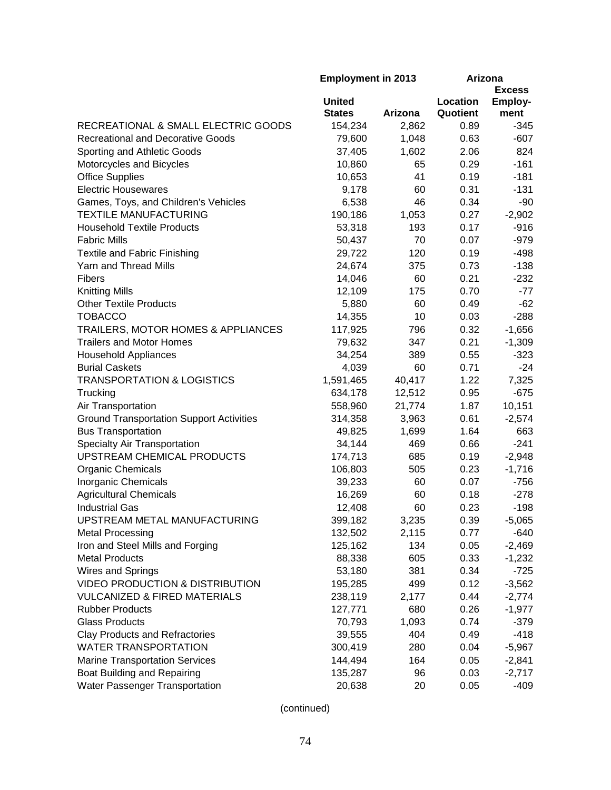| <b>Excess</b><br><b>United</b><br>Location<br><b>Employ-</b><br><b>States</b><br>Quotient<br>Arizona<br>ment<br>RECREATIONAL & SMALL ELECTRIC GOODS<br>2,862<br>0.89<br>154,234<br>$-345$<br><b>Recreational and Decorative Goods</b><br>1,048<br>0.63<br>$-607$<br>79,600<br>Sporting and Athletic Goods<br>37,405<br>1,602<br>2.06<br>824<br>$-161$<br>Motorcycles and Bicycles<br>65<br>0.29<br>10,860<br><b>Office Supplies</b><br>41<br>0.19<br>$-181$<br>10,653<br><b>Electric Housewares</b><br>9,178<br>60<br>0.31<br>$-131$<br>46<br>Games, Toys, and Children's Vehicles<br>0.34<br>$-90$<br>6,538<br><b>TEXTILE MANUFACTURING</b><br>190,186<br>1,053<br>0.27<br>$-2,902$<br>0.17<br>$-916$<br><b>Household Textile Products</b><br>193<br>53,318<br>70<br><b>Fabric Mills</b><br>0.07<br>$-979$<br>50,437<br><b>Textile and Fabric Finishing</b><br>29,722<br>120<br>0.19<br>$-498$<br>Yarn and Thread Mills<br>375<br>0.73<br>$-138$<br>24,674<br>0.21<br>14,046<br>60<br>$-232$<br><b>Fibers</b><br><b>Knitting Mills</b><br>12,109<br>175<br>0.70<br>$-77$<br><b>Other Textile Products</b><br>60<br>0.49<br>$-62$<br>5,880<br><b>TOBACCO</b><br>14,355<br>10<br>0.03<br>$-288$<br>TRAILERS, MOTOR HOMES & APPLIANCES<br>796<br>0.32<br>$-1,656$<br>117,925<br><b>Trailers and Motor Homes</b><br>347<br>0.21<br>$-1,309$<br>79,632<br>389<br>34,254<br>0.55<br>$-323$<br><b>Household Appliances</b><br><b>Burial Caskets</b><br>4,039<br>60<br>0.71<br>$-24$<br><b>TRANSPORTATION &amp; LOGISTICS</b><br>1,591,465<br>40,417<br>1.22<br>7,325<br>Trucking<br>634,178<br>0.95<br>$-675$<br>12,512<br>Air Transportation<br>558,960<br>21,774<br>1.87<br>10,151<br><b>Ground Transportation Support Activities</b><br>0.61<br>$-2,574$<br>314,358<br>3,963<br>1,699<br>1.64<br><b>Bus Transportation</b><br>49,825<br>663<br>Specialty Air Transportation<br>469<br>0.66<br>$-241$<br>34,144<br>UPSTREAM CHEMICAL PRODUCTS<br>685<br>0.19<br>$-2,948$<br>174,713<br>$-1,716$<br><b>Organic Chemicals</b><br>505<br>0.23<br>106,803<br>Inorganic Chemicals<br>39,233<br>60<br>0.07<br>$-756$<br><b>Agricultural Chemicals</b><br>16,269<br>60<br>0.18<br>$-278$<br>60<br>0.23<br><b>Industrial Gas</b><br>12,408<br>$-198$<br>UPSTREAM METAL MANUFACTURING<br>399,182<br>3,235<br>0.39<br>$-5,065$<br>132,502<br>2,115<br>$-640$<br><b>Metal Processing</b><br>0.77<br>Iron and Steel Mills and Forging<br>125,162<br>134<br>0.05<br>$-2,469$<br><b>Metal Products</b><br>88,338<br>605<br>0.33<br>$-1,232$<br>381<br>Wires and Springs<br>0.34<br>53,180<br>$-725$<br>499<br><b>VIDEO PRODUCTION &amp; DISTRIBUTION</b><br>0.12<br>$-3,562$<br>195,285<br><b>VULCANIZED &amp; FIRED MATERIALS</b><br>2,177<br>0.44<br>238,119<br>$-2,774$<br><b>Rubber Products</b><br>680<br>0.26<br>127,771<br>$-1,977$<br><b>Glass Products</b><br>1,093<br>0.74<br>70,793<br>$-379$<br><b>Clay Products and Refractories</b><br>39,555<br>404<br>0.49<br>$-418$<br><b>WATER TRANSPORTATION</b><br>300,419<br>280<br>0.04<br>$-5,967$<br><b>Marine Transportation Services</b><br>164<br>144,494<br>0.05<br>$-2,841$<br>Boat Building and Repairing<br>96<br>0.03<br>135,287<br>$-2,717$<br>Water Passenger Transportation<br>20,638<br>20<br>0.05<br>$-409$ | <b>Employment in 2013</b> |  | Arizona |  |
|----------------------------------------------------------------------------------------------------------------------------------------------------------------------------------------------------------------------------------------------------------------------------------------------------------------------------------------------------------------------------------------------------------------------------------------------------------------------------------------------------------------------------------------------------------------------------------------------------------------------------------------------------------------------------------------------------------------------------------------------------------------------------------------------------------------------------------------------------------------------------------------------------------------------------------------------------------------------------------------------------------------------------------------------------------------------------------------------------------------------------------------------------------------------------------------------------------------------------------------------------------------------------------------------------------------------------------------------------------------------------------------------------------------------------------------------------------------------------------------------------------------------------------------------------------------------------------------------------------------------------------------------------------------------------------------------------------------------------------------------------------------------------------------------------------------------------------------------------------------------------------------------------------------------------------------------------------------------------------------------------------------------------------------------------------------------------------------------------------------------------------------------------------------------------------------------------------------------------------------------------------------------------------------------------------------------------------------------------------------------------------------------------------------------------------------------------------------------------------------------------------------------------------------------------------------------------------------------------------------------------------------------------------------------------------------------------------------------------------------------------------------------------------------------------------------------------------------------------------------------------------------------------------------------------------------------------------------------------------------------------------------------------------------------------------------------------------------------------------------------------------------------------------------------------------------------------------------------------------------------------------------|---------------------------|--|---------|--|
|                                                                                                                                                                                                                                                                                                                                                                                                                                                                                                                                                                                                                                                                                                                                                                                                                                                                                                                                                                                                                                                                                                                                                                                                                                                                                                                                                                                                                                                                                                                                                                                                                                                                                                                                                                                                                                                                                                                                                                                                                                                                                                                                                                                                                                                                                                                                                                                                                                                                                                                                                                                                                                                                                                                                                                                                                                                                                                                                                                                                                                                                                                                                                                                                                                                                |                           |  |         |  |
|                                                                                                                                                                                                                                                                                                                                                                                                                                                                                                                                                                                                                                                                                                                                                                                                                                                                                                                                                                                                                                                                                                                                                                                                                                                                                                                                                                                                                                                                                                                                                                                                                                                                                                                                                                                                                                                                                                                                                                                                                                                                                                                                                                                                                                                                                                                                                                                                                                                                                                                                                                                                                                                                                                                                                                                                                                                                                                                                                                                                                                                                                                                                                                                                                                                                |                           |  |         |  |
|                                                                                                                                                                                                                                                                                                                                                                                                                                                                                                                                                                                                                                                                                                                                                                                                                                                                                                                                                                                                                                                                                                                                                                                                                                                                                                                                                                                                                                                                                                                                                                                                                                                                                                                                                                                                                                                                                                                                                                                                                                                                                                                                                                                                                                                                                                                                                                                                                                                                                                                                                                                                                                                                                                                                                                                                                                                                                                                                                                                                                                                                                                                                                                                                                                                                |                           |  |         |  |
|                                                                                                                                                                                                                                                                                                                                                                                                                                                                                                                                                                                                                                                                                                                                                                                                                                                                                                                                                                                                                                                                                                                                                                                                                                                                                                                                                                                                                                                                                                                                                                                                                                                                                                                                                                                                                                                                                                                                                                                                                                                                                                                                                                                                                                                                                                                                                                                                                                                                                                                                                                                                                                                                                                                                                                                                                                                                                                                                                                                                                                                                                                                                                                                                                                                                |                           |  |         |  |
|                                                                                                                                                                                                                                                                                                                                                                                                                                                                                                                                                                                                                                                                                                                                                                                                                                                                                                                                                                                                                                                                                                                                                                                                                                                                                                                                                                                                                                                                                                                                                                                                                                                                                                                                                                                                                                                                                                                                                                                                                                                                                                                                                                                                                                                                                                                                                                                                                                                                                                                                                                                                                                                                                                                                                                                                                                                                                                                                                                                                                                                                                                                                                                                                                                                                |                           |  |         |  |
|                                                                                                                                                                                                                                                                                                                                                                                                                                                                                                                                                                                                                                                                                                                                                                                                                                                                                                                                                                                                                                                                                                                                                                                                                                                                                                                                                                                                                                                                                                                                                                                                                                                                                                                                                                                                                                                                                                                                                                                                                                                                                                                                                                                                                                                                                                                                                                                                                                                                                                                                                                                                                                                                                                                                                                                                                                                                                                                                                                                                                                                                                                                                                                                                                                                                |                           |  |         |  |
|                                                                                                                                                                                                                                                                                                                                                                                                                                                                                                                                                                                                                                                                                                                                                                                                                                                                                                                                                                                                                                                                                                                                                                                                                                                                                                                                                                                                                                                                                                                                                                                                                                                                                                                                                                                                                                                                                                                                                                                                                                                                                                                                                                                                                                                                                                                                                                                                                                                                                                                                                                                                                                                                                                                                                                                                                                                                                                                                                                                                                                                                                                                                                                                                                                                                |                           |  |         |  |
|                                                                                                                                                                                                                                                                                                                                                                                                                                                                                                                                                                                                                                                                                                                                                                                                                                                                                                                                                                                                                                                                                                                                                                                                                                                                                                                                                                                                                                                                                                                                                                                                                                                                                                                                                                                                                                                                                                                                                                                                                                                                                                                                                                                                                                                                                                                                                                                                                                                                                                                                                                                                                                                                                                                                                                                                                                                                                                                                                                                                                                                                                                                                                                                                                                                                |                           |  |         |  |
|                                                                                                                                                                                                                                                                                                                                                                                                                                                                                                                                                                                                                                                                                                                                                                                                                                                                                                                                                                                                                                                                                                                                                                                                                                                                                                                                                                                                                                                                                                                                                                                                                                                                                                                                                                                                                                                                                                                                                                                                                                                                                                                                                                                                                                                                                                                                                                                                                                                                                                                                                                                                                                                                                                                                                                                                                                                                                                                                                                                                                                                                                                                                                                                                                                                                |                           |  |         |  |
|                                                                                                                                                                                                                                                                                                                                                                                                                                                                                                                                                                                                                                                                                                                                                                                                                                                                                                                                                                                                                                                                                                                                                                                                                                                                                                                                                                                                                                                                                                                                                                                                                                                                                                                                                                                                                                                                                                                                                                                                                                                                                                                                                                                                                                                                                                                                                                                                                                                                                                                                                                                                                                                                                                                                                                                                                                                                                                                                                                                                                                                                                                                                                                                                                                                                |                           |  |         |  |
|                                                                                                                                                                                                                                                                                                                                                                                                                                                                                                                                                                                                                                                                                                                                                                                                                                                                                                                                                                                                                                                                                                                                                                                                                                                                                                                                                                                                                                                                                                                                                                                                                                                                                                                                                                                                                                                                                                                                                                                                                                                                                                                                                                                                                                                                                                                                                                                                                                                                                                                                                                                                                                                                                                                                                                                                                                                                                                                                                                                                                                                                                                                                                                                                                                                                |                           |  |         |  |
|                                                                                                                                                                                                                                                                                                                                                                                                                                                                                                                                                                                                                                                                                                                                                                                                                                                                                                                                                                                                                                                                                                                                                                                                                                                                                                                                                                                                                                                                                                                                                                                                                                                                                                                                                                                                                                                                                                                                                                                                                                                                                                                                                                                                                                                                                                                                                                                                                                                                                                                                                                                                                                                                                                                                                                                                                                                                                                                                                                                                                                                                                                                                                                                                                                                                |                           |  |         |  |
|                                                                                                                                                                                                                                                                                                                                                                                                                                                                                                                                                                                                                                                                                                                                                                                                                                                                                                                                                                                                                                                                                                                                                                                                                                                                                                                                                                                                                                                                                                                                                                                                                                                                                                                                                                                                                                                                                                                                                                                                                                                                                                                                                                                                                                                                                                                                                                                                                                                                                                                                                                                                                                                                                                                                                                                                                                                                                                                                                                                                                                                                                                                                                                                                                                                                |                           |  |         |  |
|                                                                                                                                                                                                                                                                                                                                                                                                                                                                                                                                                                                                                                                                                                                                                                                                                                                                                                                                                                                                                                                                                                                                                                                                                                                                                                                                                                                                                                                                                                                                                                                                                                                                                                                                                                                                                                                                                                                                                                                                                                                                                                                                                                                                                                                                                                                                                                                                                                                                                                                                                                                                                                                                                                                                                                                                                                                                                                                                                                                                                                                                                                                                                                                                                                                                |                           |  |         |  |
|                                                                                                                                                                                                                                                                                                                                                                                                                                                                                                                                                                                                                                                                                                                                                                                                                                                                                                                                                                                                                                                                                                                                                                                                                                                                                                                                                                                                                                                                                                                                                                                                                                                                                                                                                                                                                                                                                                                                                                                                                                                                                                                                                                                                                                                                                                                                                                                                                                                                                                                                                                                                                                                                                                                                                                                                                                                                                                                                                                                                                                                                                                                                                                                                                                                                |                           |  |         |  |
|                                                                                                                                                                                                                                                                                                                                                                                                                                                                                                                                                                                                                                                                                                                                                                                                                                                                                                                                                                                                                                                                                                                                                                                                                                                                                                                                                                                                                                                                                                                                                                                                                                                                                                                                                                                                                                                                                                                                                                                                                                                                                                                                                                                                                                                                                                                                                                                                                                                                                                                                                                                                                                                                                                                                                                                                                                                                                                                                                                                                                                                                                                                                                                                                                                                                |                           |  |         |  |
|                                                                                                                                                                                                                                                                                                                                                                                                                                                                                                                                                                                                                                                                                                                                                                                                                                                                                                                                                                                                                                                                                                                                                                                                                                                                                                                                                                                                                                                                                                                                                                                                                                                                                                                                                                                                                                                                                                                                                                                                                                                                                                                                                                                                                                                                                                                                                                                                                                                                                                                                                                                                                                                                                                                                                                                                                                                                                                                                                                                                                                                                                                                                                                                                                                                                |                           |  |         |  |
|                                                                                                                                                                                                                                                                                                                                                                                                                                                                                                                                                                                                                                                                                                                                                                                                                                                                                                                                                                                                                                                                                                                                                                                                                                                                                                                                                                                                                                                                                                                                                                                                                                                                                                                                                                                                                                                                                                                                                                                                                                                                                                                                                                                                                                                                                                                                                                                                                                                                                                                                                                                                                                                                                                                                                                                                                                                                                                                                                                                                                                                                                                                                                                                                                                                                |                           |  |         |  |
|                                                                                                                                                                                                                                                                                                                                                                                                                                                                                                                                                                                                                                                                                                                                                                                                                                                                                                                                                                                                                                                                                                                                                                                                                                                                                                                                                                                                                                                                                                                                                                                                                                                                                                                                                                                                                                                                                                                                                                                                                                                                                                                                                                                                                                                                                                                                                                                                                                                                                                                                                                                                                                                                                                                                                                                                                                                                                                                                                                                                                                                                                                                                                                                                                                                                |                           |  |         |  |
|                                                                                                                                                                                                                                                                                                                                                                                                                                                                                                                                                                                                                                                                                                                                                                                                                                                                                                                                                                                                                                                                                                                                                                                                                                                                                                                                                                                                                                                                                                                                                                                                                                                                                                                                                                                                                                                                                                                                                                                                                                                                                                                                                                                                                                                                                                                                                                                                                                                                                                                                                                                                                                                                                                                                                                                                                                                                                                                                                                                                                                                                                                                                                                                                                                                                |                           |  |         |  |
|                                                                                                                                                                                                                                                                                                                                                                                                                                                                                                                                                                                                                                                                                                                                                                                                                                                                                                                                                                                                                                                                                                                                                                                                                                                                                                                                                                                                                                                                                                                                                                                                                                                                                                                                                                                                                                                                                                                                                                                                                                                                                                                                                                                                                                                                                                                                                                                                                                                                                                                                                                                                                                                                                                                                                                                                                                                                                                                                                                                                                                                                                                                                                                                                                                                                |                           |  |         |  |
|                                                                                                                                                                                                                                                                                                                                                                                                                                                                                                                                                                                                                                                                                                                                                                                                                                                                                                                                                                                                                                                                                                                                                                                                                                                                                                                                                                                                                                                                                                                                                                                                                                                                                                                                                                                                                                                                                                                                                                                                                                                                                                                                                                                                                                                                                                                                                                                                                                                                                                                                                                                                                                                                                                                                                                                                                                                                                                                                                                                                                                                                                                                                                                                                                                                                |                           |  |         |  |
|                                                                                                                                                                                                                                                                                                                                                                                                                                                                                                                                                                                                                                                                                                                                                                                                                                                                                                                                                                                                                                                                                                                                                                                                                                                                                                                                                                                                                                                                                                                                                                                                                                                                                                                                                                                                                                                                                                                                                                                                                                                                                                                                                                                                                                                                                                                                                                                                                                                                                                                                                                                                                                                                                                                                                                                                                                                                                                                                                                                                                                                                                                                                                                                                                                                                |                           |  |         |  |
|                                                                                                                                                                                                                                                                                                                                                                                                                                                                                                                                                                                                                                                                                                                                                                                                                                                                                                                                                                                                                                                                                                                                                                                                                                                                                                                                                                                                                                                                                                                                                                                                                                                                                                                                                                                                                                                                                                                                                                                                                                                                                                                                                                                                                                                                                                                                                                                                                                                                                                                                                                                                                                                                                                                                                                                                                                                                                                                                                                                                                                                                                                                                                                                                                                                                |                           |  |         |  |
|                                                                                                                                                                                                                                                                                                                                                                                                                                                                                                                                                                                                                                                                                                                                                                                                                                                                                                                                                                                                                                                                                                                                                                                                                                                                                                                                                                                                                                                                                                                                                                                                                                                                                                                                                                                                                                                                                                                                                                                                                                                                                                                                                                                                                                                                                                                                                                                                                                                                                                                                                                                                                                                                                                                                                                                                                                                                                                                                                                                                                                                                                                                                                                                                                                                                |                           |  |         |  |
|                                                                                                                                                                                                                                                                                                                                                                                                                                                                                                                                                                                                                                                                                                                                                                                                                                                                                                                                                                                                                                                                                                                                                                                                                                                                                                                                                                                                                                                                                                                                                                                                                                                                                                                                                                                                                                                                                                                                                                                                                                                                                                                                                                                                                                                                                                                                                                                                                                                                                                                                                                                                                                                                                                                                                                                                                                                                                                                                                                                                                                                                                                                                                                                                                                                                |                           |  |         |  |
|                                                                                                                                                                                                                                                                                                                                                                                                                                                                                                                                                                                                                                                                                                                                                                                                                                                                                                                                                                                                                                                                                                                                                                                                                                                                                                                                                                                                                                                                                                                                                                                                                                                                                                                                                                                                                                                                                                                                                                                                                                                                                                                                                                                                                                                                                                                                                                                                                                                                                                                                                                                                                                                                                                                                                                                                                                                                                                                                                                                                                                                                                                                                                                                                                                                                |                           |  |         |  |
|                                                                                                                                                                                                                                                                                                                                                                                                                                                                                                                                                                                                                                                                                                                                                                                                                                                                                                                                                                                                                                                                                                                                                                                                                                                                                                                                                                                                                                                                                                                                                                                                                                                                                                                                                                                                                                                                                                                                                                                                                                                                                                                                                                                                                                                                                                                                                                                                                                                                                                                                                                                                                                                                                                                                                                                                                                                                                                                                                                                                                                                                                                                                                                                                                                                                |                           |  |         |  |
|                                                                                                                                                                                                                                                                                                                                                                                                                                                                                                                                                                                                                                                                                                                                                                                                                                                                                                                                                                                                                                                                                                                                                                                                                                                                                                                                                                                                                                                                                                                                                                                                                                                                                                                                                                                                                                                                                                                                                                                                                                                                                                                                                                                                                                                                                                                                                                                                                                                                                                                                                                                                                                                                                                                                                                                                                                                                                                                                                                                                                                                                                                                                                                                                                                                                |                           |  |         |  |
|                                                                                                                                                                                                                                                                                                                                                                                                                                                                                                                                                                                                                                                                                                                                                                                                                                                                                                                                                                                                                                                                                                                                                                                                                                                                                                                                                                                                                                                                                                                                                                                                                                                                                                                                                                                                                                                                                                                                                                                                                                                                                                                                                                                                                                                                                                                                                                                                                                                                                                                                                                                                                                                                                                                                                                                                                                                                                                                                                                                                                                                                                                                                                                                                                                                                |                           |  |         |  |
|                                                                                                                                                                                                                                                                                                                                                                                                                                                                                                                                                                                                                                                                                                                                                                                                                                                                                                                                                                                                                                                                                                                                                                                                                                                                                                                                                                                                                                                                                                                                                                                                                                                                                                                                                                                                                                                                                                                                                                                                                                                                                                                                                                                                                                                                                                                                                                                                                                                                                                                                                                                                                                                                                                                                                                                                                                                                                                                                                                                                                                                                                                                                                                                                                                                                |                           |  |         |  |
|                                                                                                                                                                                                                                                                                                                                                                                                                                                                                                                                                                                                                                                                                                                                                                                                                                                                                                                                                                                                                                                                                                                                                                                                                                                                                                                                                                                                                                                                                                                                                                                                                                                                                                                                                                                                                                                                                                                                                                                                                                                                                                                                                                                                                                                                                                                                                                                                                                                                                                                                                                                                                                                                                                                                                                                                                                                                                                                                                                                                                                                                                                                                                                                                                                                                |                           |  |         |  |
|                                                                                                                                                                                                                                                                                                                                                                                                                                                                                                                                                                                                                                                                                                                                                                                                                                                                                                                                                                                                                                                                                                                                                                                                                                                                                                                                                                                                                                                                                                                                                                                                                                                                                                                                                                                                                                                                                                                                                                                                                                                                                                                                                                                                                                                                                                                                                                                                                                                                                                                                                                                                                                                                                                                                                                                                                                                                                                                                                                                                                                                                                                                                                                                                                                                                |                           |  |         |  |
|                                                                                                                                                                                                                                                                                                                                                                                                                                                                                                                                                                                                                                                                                                                                                                                                                                                                                                                                                                                                                                                                                                                                                                                                                                                                                                                                                                                                                                                                                                                                                                                                                                                                                                                                                                                                                                                                                                                                                                                                                                                                                                                                                                                                                                                                                                                                                                                                                                                                                                                                                                                                                                                                                                                                                                                                                                                                                                                                                                                                                                                                                                                                                                                                                                                                |                           |  |         |  |
|                                                                                                                                                                                                                                                                                                                                                                                                                                                                                                                                                                                                                                                                                                                                                                                                                                                                                                                                                                                                                                                                                                                                                                                                                                                                                                                                                                                                                                                                                                                                                                                                                                                                                                                                                                                                                                                                                                                                                                                                                                                                                                                                                                                                                                                                                                                                                                                                                                                                                                                                                                                                                                                                                                                                                                                                                                                                                                                                                                                                                                                                                                                                                                                                                                                                |                           |  |         |  |
|                                                                                                                                                                                                                                                                                                                                                                                                                                                                                                                                                                                                                                                                                                                                                                                                                                                                                                                                                                                                                                                                                                                                                                                                                                                                                                                                                                                                                                                                                                                                                                                                                                                                                                                                                                                                                                                                                                                                                                                                                                                                                                                                                                                                                                                                                                                                                                                                                                                                                                                                                                                                                                                                                                                                                                                                                                                                                                                                                                                                                                                                                                                                                                                                                                                                |                           |  |         |  |
|                                                                                                                                                                                                                                                                                                                                                                                                                                                                                                                                                                                                                                                                                                                                                                                                                                                                                                                                                                                                                                                                                                                                                                                                                                                                                                                                                                                                                                                                                                                                                                                                                                                                                                                                                                                                                                                                                                                                                                                                                                                                                                                                                                                                                                                                                                                                                                                                                                                                                                                                                                                                                                                                                                                                                                                                                                                                                                                                                                                                                                                                                                                                                                                                                                                                |                           |  |         |  |
|                                                                                                                                                                                                                                                                                                                                                                                                                                                                                                                                                                                                                                                                                                                                                                                                                                                                                                                                                                                                                                                                                                                                                                                                                                                                                                                                                                                                                                                                                                                                                                                                                                                                                                                                                                                                                                                                                                                                                                                                                                                                                                                                                                                                                                                                                                                                                                                                                                                                                                                                                                                                                                                                                                                                                                                                                                                                                                                                                                                                                                                                                                                                                                                                                                                                |                           |  |         |  |
|                                                                                                                                                                                                                                                                                                                                                                                                                                                                                                                                                                                                                                                                                                                                                                                                                                                                                                                                                                                                                                                                                                                                                                                                                                                                                                                                                                                                                                                                                                                                                                                                                                                                                                                                                                                                                                                                                                                                                                                                                                                                                                                                                                                                                                                                                                                                                                                                                                                                                                                                                                                                                                                                                                                                                                                                                                                                                                                                                                                                                                                                                                                                                                                                                                                                |                           |  |         |  |
|                                                                                                                                                                                                                                                                                                                                                                                                                                                                                                                                                                                                                                                                                                                                                                                                                                                                                                                                                                                                                                                                                                                                                                                                                                                                                                                                                                                                                                                                                                                                                                                                                                                                                                                                                                                                                                                                                                                                                                                                                                                                                                                                                                                                                                                                                                                                                                                                                                                                                                                                                                                                                                                                                                                                                                                                                                                                                                                                                                                                                                                                                                                                                                                                                                                                |                           |  |         |  |
|                                                                                                                                                                                                                                                                                                                                                                                                                                                                                                                                                                                                                                                                                                                                                                                                                                                                                                                                                                                                                                                                                                                                                                                                                                                                                                                                                                                                                                                                                                                                                                                                                                                                                                                                                                                                                                                                                                                                                                                                                                                                                                                                                                                                                                                                                                                                                                                                                                                                                                                                                                                                                                                                                                                                                                                                                                                                                                                                                                                                                                                                                                                                                                                                                                                                |                           |  |         |  |
|                                                                                                                                                                                                                                                                                                                                                                                                                                                                                                                                                                                                                                                                                                                                                                                                                                                                                                                                                                                                                                                                                                                                                                                                                                                                                                                                                                                                                                                                                                                                                                                                                                                                                                                                                                                                                                                                                                                                                                                                                                                                                                                                                                                                                                                                                                                                                                                                                                                                                                                                                                                                                                                                                                                                                                                                                                                                                                                                                                                                                                                                                                                                                                                                                                                                |                           |  |         |  |
|                                                                                                                                                                                                                                                                                                                                                                                                                                                                                                                                                                                                                                                                                                                                                                                                                                                                                                                                                                                                                                                                                                                                                                                                                                                                                                                                                                                                                                                                                                                                                                                                                                                                                                                                                                                                                                                                                                                                                                                                                                                                                                                                                                                                                                                                                                                                                                                                                                                                                                                                                                                                                                                                                                                                                                                                                                                                                                                                                                                                                                                                                                                                                                                                                                                                |                           |  |         |  |
|                                                                                                                                                                                                                                                                                                                                                                                                                                                                                                                                                                                                                                                                                                                                                                                                                                                                                                                                                                                                                                                                                                                                                                                                                                                                                                                                                                                                                                                                                                                                                                                                                                                                                                                                                                                                                                                                                                                                                                                                                                                                                                                                                                                                                                                                                                                                                                                                                                                                                                                                                                                                                                                                                                                                                                                                                                                                                                                                                                                                                                                                                                                                                                                                                                                                |                           |  |         |  |
|                                                                                                                                                                                                                                                                                                                                                                                                                                                                                                                                                                                                                                                                                                                                                                                                                                                                                                                                                                                                                                                                                                                                                                                                                                                                                                                                                                                                                                                                                                                                                                                                                                                                                                                                                                                                                                                                                                                                                                                                                                                                                                                                                                                                                                                                                                                                                                                                                                                                                                                                                                                                                                                                                                                                                                                                                                                                                                                                                                                                                                                                                                                                                                                                                                                                |                           |  |         |  |
|                                                                                                                                                                                                                                                                                                                                                                                                                                                                                                                                                                                                                                                                                                                                                                                                                                                                                                                                                                                                                                                                                                                                                                                                                                                                                                                                                                                                                                                                                                                                                                                                                                                                                                                                                                                                                                                                                                                                                                                                                                                                                                                                                                                                                                                                                                                                                                                                                                                                                                                                                                                                                                                                                                                                                                                                                                                                                                                                                                                                                                                                                                                                                                                                                                                                |                           |  |         |  |
|                                                                                                                                                                                                                                                                                                                                                                                                                                                                                                                                                                                                                                                                                                                                                                                                                                                                                                                                                                                                                                                                                                                                                                                                                                                                                                                                                                                                                                                                                                                                                                                                                                                                                                                                                                                                                                                                                                                                                                                                                                                                                                                                                                                                                                                                                                                                                                                                                                                                                                                                                                                                                                                                                                                                                                                                                                                                                                                                                                                                                                                                                                                                                                                                                                                                |                           |  |         |  |
|                                                                                                                                                                                                                                                                                                                                                                                                                                                                                                                                                                                                                                                                                                                                                                                                                                                                                                                                                                                                                                                                                                                                                                                                                                                                                                                                                                                                                                                                                                                                                                                                                                                                                                                                                                                                                                                                                                                                                                                                                                                                                                                                                                                                                                                                                                                                                                                                                                                                                                                                                                                                                                                                                                                                                                                                                                                                                                                                                                                                                                                                                                                                                                                                                                                                |                           |  |         |  |
|                                                                                                                                                                                                                                                                                                                                                                                                                                                                                                                                                                                                                                                                                                                                                                                                                                                                                                                                                                                                                                                                                                                                                                                                                                                                                                                                                                                                                                                                                                                                                                                                                                                                                                                                                                                                                                                                                                                                                                                                                                                                                                                                                                                                                                                                                                                                                                                                                                                                                                                                                                                                                                                                                                                                                                                                                                                                                                                                                                                                                                                                                                                                                                                                                                                                |                           |  |         |  |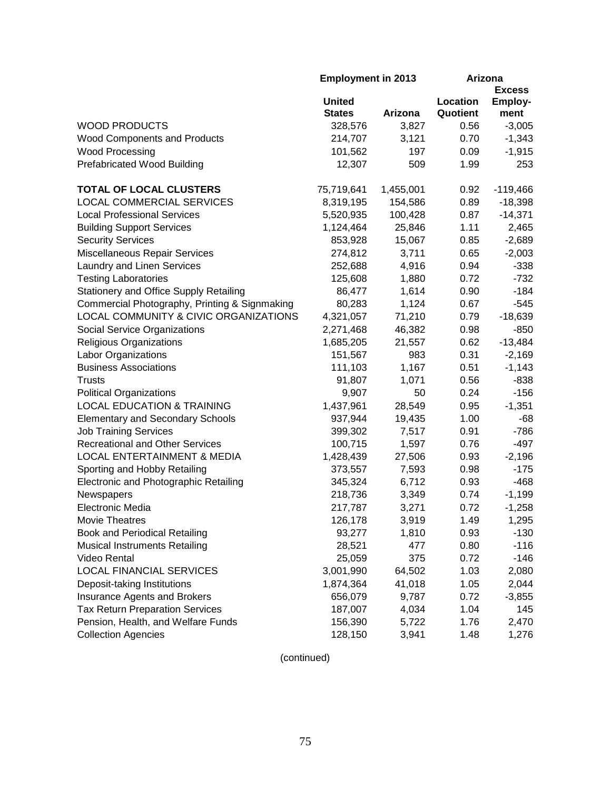|                                               | <b>Employment in 2013</b> |           | Arizona  |                |
|-----------------------------------------------|---------------------------|-----------|----------|----------------|
|                                               |                           |           |          | <b>Excess</b>  |
|                                               | <b>United</b>             |           | Location | <b>Employ-</b> |
|                                               | <b>States</b>             | Arizona   | Quotient | ment           |
| <b>WOOD PRODUCTS</b>                          | 328,576                   | 3,827     | 0.56     | $-3,005$       |
| <b>Wood Components and Products</b>           | 214,707                   | 3,121     | 0.70     | $-1,343$       |
| <b>Wood Processing</b>                        | 101,562                   | 197       | 0.09     | $-1,915$       |
| <b>Prefabricated Wood Building</b>            | 12,307                    | 509       | 1.99     | 253            |
| TOTAL OF LOCAL CLUSTERS                       | 75,719,641                | 1,455,001 | 0.92     | $-119,466$     |
| <b>LOCAL COMMERCIAL SERVICES</b>              | 8,319,195                 | 154,586   | 0.89     | $-18,398$      |
| <b>Local Professional Services</b>            | 5,520,935                 | 100,428   | 0.87     | $-14,371$      |
| <b>Building Support Services</b>              | 1,124,464                 | 25,846    | 1.11     | 2,465          |
| <b>Security Services</b>                      | 853,928                   | 15,067    | 0.85     | $-2,689$       |
| Miscellaneous Repair Services                 | 274,812                   | 3,711     | 0.65     | $-2,003$       |
| Laundry and Linen Services                    | 252,688                   | 4,916     | 0.94     | $-338$         |
| <b>Testing Laboratories</b>                   | 125,608                   | 1,880     | 0.72     | $-732$         |
| <b>Stationery and Office Supply Retailing</b> | 86,477                    | 1,614     | 0.90     | $-184$         |
| Commercial Photography, Printing & Signmaking | 80,283                    | 1,124     | 0.67     | $-545$         |
| LOCAL COMMUNITY & CIVIC ORGANIZATIONS         | 4,321,057                 | 71,210    | 0.79     | $-18,639$      |
| Social Service Organizations                  | 2,271,468                 | 46,382    | 0.98     | $-850$         |
| <b>Religious Organizations</b>                | 1,685,205                 | 21,557    | 0.62     | $-13,484$      |
| <b>Labor Organizations</b>                    | 151,567                   | 983       | 0.31     | $-2,169$       |
| <b>Business Associations</b>                  | 111,103                   | 1,167     | 0.51     | $-1,143$       |
| <b>Trusts</b>                                 | 91,807                    | 1,071     | 0.56     | $-838$         |
| <b>Political Organizations</b>                | 9,907                     | 50        | 0.24     | $-156$         |
| <b>LOCAL EDUCATION &amp; TRAINING</b>         | 1,437,961                 | 28,549    | 0.95     | $-1,351$       |
| <b>Elementary and Secondary Schools</b>       | 937,944                   | 19,435    | 1.00     | $-68$          |
| <b>Job Training Services</b>                  | 399,302                   | 7,517     | 0.91     | $-786$         |
| <b>Recreational and Other Services</b>        | 100,715                   | 1,597     | 0.76     | $-497$         |
| <b>LOCAL ENTERTAINMENT &amp; MEDIA</b>        | 1,428,439                 | 27,506    | 0.93     | $-2,196$       |
| Sporting and Hobby Retailing                  | 373,557                   | 7,593     | 0.98     | $-175$         |
| Electronic and Photographic Retailing         | 345,324                   | 6,712     | 0.93     | $-468$         |
| Newspapers                                    | 218,736                   | 3,349     | 0.74     | $-1,199$       |
| Electronic Media                              | 217,787                   | 3,271     | 0.72     | $-1,258$       |
| <b>Movie Theatres</b>                         | 126,178                   | 3,919     | 1.49     | 1,295          |
| <b>Book and Periodical Retailing</b>          | 93,277                    | 1,810     | 0.93     | $-130$         |
| <b>Musical Instruments Retailing</b>          | 28,521                    | 477       | 0.80     | $-116$         |
| Video Rental                                  | 25,059                    | 375       | 0.72     | $-146$         |
| <b>LOCAL FINANCIAL SERVICES</b>               | 3,001,990                 | 64,502    | 1.03     | 2,080          |
| Deposit-taking Institutions                   | 1,874,364                 | 41,018    | 1.05     | 2,044          |
| Insurance Agents and Brokers                  | 656,079                   | 9,787     | 0.72     | $-3,855$       |
| <b>Tax Return Preparation Services</b>        | 187,007                   | 4,034     | 1.04     | 145            |
| Pension, Health, and Welfare Funds            | 156,390                   | 5,722     | 1.76     | 2,470          |
| <b>Collection Agencies</b>                    | 128,150                   | 3,941     | 1.48     | 1,276          |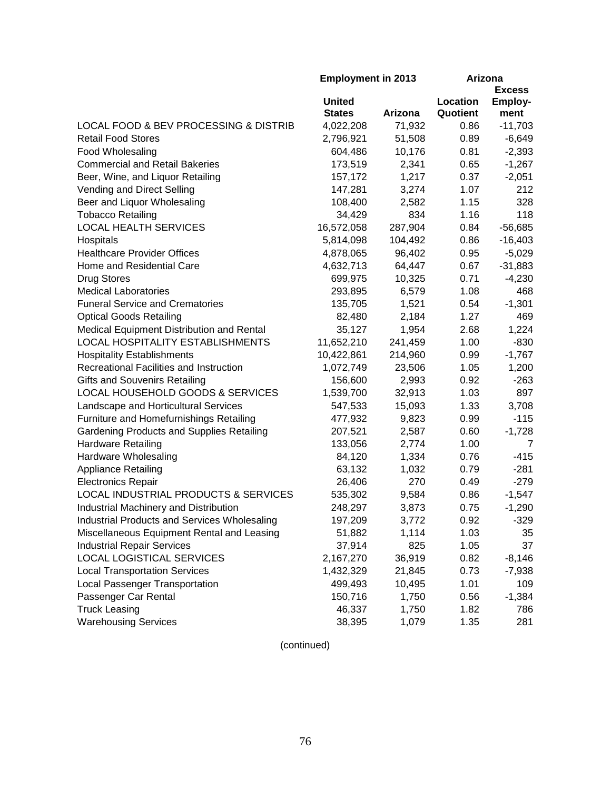|                                              | <b>Employment in 2013</b> |         | Arizona  |                |
|----------------------------------------------|---------------------------|---------|----------|----------------|
|                                              |                           |         |          | <b>Excess</b>  |
|                                              | <b>United</b>             |         | Location | <b>Employ-</b> |
|                                              | <b>States</b>             | Arizona | Quotient | ment           |
| LOCAL FOOD & BEV PROCESSING & DISTRIB        | 4,022,208                 | 71,932  | 0.86     | $-11,703$      |
| <b>Retail Food Stores</b>                    | 2,796,921                 | 51,508  | 0.89     | $-6,649$       |
| Food Wholesaling                             | 604,486                   | 10,176  | 0.81     | $-2,393$       |
| <b>Commercial and Retail Bakeries</b>        | 173,519                   | 2,341   | 0.65     | $-1,267$       |
| Beer, Wine, and Liquor Retailing             | 157,172                   | 1,217   | 0.37     | $-2,051$       |
| Vending and Direct Selling                   | 147,281                   | 3,274   | 1.07     | 212            |
| Beer and Liquor Wholesaling                  | 108,400                   | 2,582   | 1.15     | 328            |
| <b>Tobacco Retailing</b>                     | 34,429                    | 834     | 1.16     | 118            |
| <b>LOCAL HEALTH SERVICES</b>                 | 16,572,058                | 287,904 | 0.84     | $-56,685$      |
| Hospitals                                    | 5,814,098                 | 104,492 | 0.86     | $-16,403$      |
| <b>Healthcare Provider Offices</b>           | 4,878,065                 | 96,402  | 0.95     | $-5,029$       |
| Home and Residential Care                    | 4,632,713                 | 64,447  | 0.67     | $-31,883$      |
| <b>Drug Stores</b>                           | 699,975                   | 10,325  | 0.71     | $-4,230$       |
| <b>Medical Laboratories</b>                  | 293,895                   | 6,579   | 1.08     | 468            |
| <b>Funeral Service and Crematories</b>       | 135,705                   | 1,521   | 0.54     | $-1,301$       |
| <b>Optical Goods Retailing</b>               | 82,480                    | 2,184   | 1.27     | 469            |
| Medical Equipment Distribution and Rental    | 35,127                    | 1,954   | 2.68     | 1,224          |
| LOCAL HOSPITALITY ESTABLISHMENTS             | 11,652,210                | 241,459 | 1.00     | $-830$         |
| <b>Hospitality Establishments</b>            | 10,422,861                | 214,960 | 0.99     | $-1,767$       |
| Recreational Facilities and Instruction      | 1,072,749                 | 23,506  | 1.05     | 1,200          |
| <b>Gifts and Souvenirs Retailing</b>         | 156,600                   | 2,993   | 0.92     | $-263$         |
| LOCAL HOUSEHOLD GOODS & SERVICES             | 1,539,700                 | 32,913  | 1.03     | 897            |
| Landscape and Horticultural Services         | 547,533                   | 15,093  | 1.33     | 3,708          |
| Furniture and Homefurnishings Retailing      | 477,932                   | 9,823   | 0.99     | $-115$         |
| Gardening Products and Supplies Retailing    | 207,521                   | 2,587   | 0.60     | $-1,728$       |
| <b>Hardware Retailing</b>                    | 133,056                   | 2,774   | 1.00     | 7              |
| Hardware Wholesaling                         | 84,120                    | 1,334   | 0.76     | $-415$         |
| <b>Appliance Retailing</b>                   | 63,132                    | 1,032   | 0.79     | $-281$         |
| <b>Electronics Repair</b>                    | 26,406                    | 270     | 0.49     | $-279$         |
| LOCAL INDUSTRIAL PRODUCTS & SERVICES         | 535,302                   | 9,584   | 0.86     | $-1,547$       |
| Industrial Machinery and Distribution        | 248,297                   | 3,873   | 0.75     | $-1,290$       |
| Industrial Products and Services Wholesaling | 197,209                   | 3,772   | 0.92     | $-329$         |
| Miscellaneous Equipment Rental and Leasing   | 51,882                    | 1,114   | 1.03     | 35             |
| <b>Industrial Repair Services</b>            | 37,914                    | 825     | 1.05     | 37             |
| LOCAL LOGISTICAL SERVICES                    | 2,167,270                 | 36,919  | 0.82     | $-8,146$       |
| <b>Local Transportation Services</b>         | 1,432,329                 | 21,845  | 0.73     | $-7,938$       |
| Local Passenger Transportation               | 499,493                   | 10,495  | 1.01     | 109            |
| Passenger Car Rental                         | 150,716                   | 1,750   | 0.56     | $-1,384$       |
| <b>Truck Leasing</b>                         | 46,337                    | 1,750   | 1.82     | 786            |
| <b>Warehousing Services</b>                  | 38,395                    | 1,079   | 1.35     | 281            |